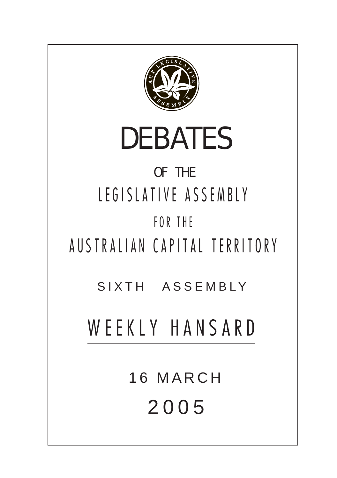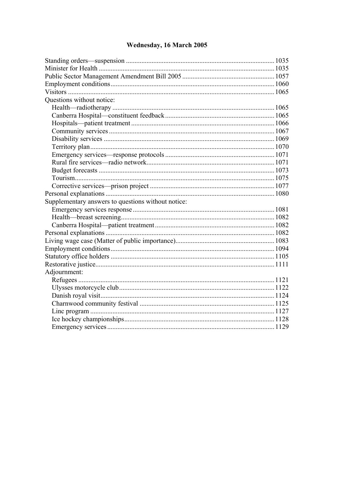# Wednesday, 16 March 2005

| Questions without notice:                          |  |
|----------------------------------------------------|--|
|                                                    |  |
|                                                    |  |
|                                                    |  |
|                                                    |  |
|                                                    |  |
|                                                    |  |
|                                                    |  |
|                                                    |  |
|                                                    |  |
|                                                    |  |
|                                                    |  |
|                                                    |  |
| Supplementary answers to questions without notice: |  |
|                                                    |  |
|                                                    |  |
|                                                    |  |
|                                                    |  |
|                                                    |  |
|                                                    |  |
|                                                    |  |
|                                                    |  |
| Adjournment:                                       |  |
|                                                    |  |
|                                                    |  |
|                                                    |  |
|                                                    |  |
|                                                    |  |
|                                                    |  |
|                                                    |  |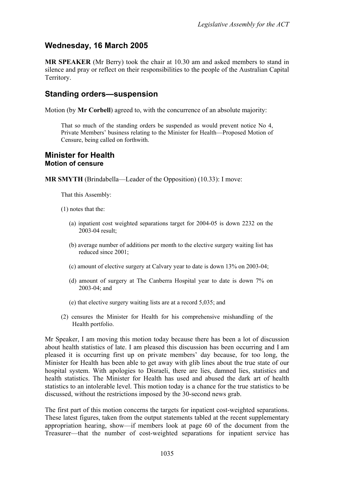# **Wednesday, 16 March 2005**

**MR SPEAKER** (Mr Berry) took the chair at 10.30 am and asked members to stand in silence and pray or reflect on their responsibilities to the people of the Australian Capital Territory.

# <span id="page-2-0"></span>**Standing orders—suspension**

Motion (by **Mr Corbell**) agreed to, with the concurrence of an absolute majority:

That so much of the standing orders be suspended as would prevent notice No 4, Private Members' business relating to the Minister for Health—Proposed Motion of Censure, being called on forthwith.

### <span id="page-2-1"></span>**Minister for Health Motion of censure**

**MR SMYTH** (Brindabella—Leader of the Opposition) (10.33): I move:

That this Assembly:

- (1) notes that the:
	- (a) inpatient cost weighted separations target for 2004-05 is down 2232 on the 2003-04 result;
	- (b) average number of additions per month to the elective surgery waiting list has reduced since 2001;
	- (c) amount of elective surgery at Calvary year to date is down 13% on 2003-04;
	- (d) amount of surgery at The Canberra Hospital year to date is down 7% on 2003-04; and
	- (e) that elective surgery waiting lists are at a record 5,035; and
- (2) censures the Minister for Health for his comprehensive mishandling of the Health portfolio.

Mr Speaker, I am moving this motion today because there has been a lot of discussion about health statistics of late. I am pleased this discussion has been occurring and I am pleased it is occurring first up on private members' day because, for too long, the Minister for Health has been able to get away with glib lines about the true state of our hospital system. With apologies to Disraeli, there are lies, damned lies, statistics and health statistics. The Minister for Health has used and abused the dark art of health statistics to an intolerable level. This motion today is a chance for the true statistics to be discussed, without the restrictions imposed by the 30-second news grab.

The first part of this motion concerns the targets for inpatient cost-weighted separations. These latest figures, taken from the output statements tabled at the recent supplementary appropriation hearing, show—if members look at page 60 of the document from the Treasurer—that the number of cost-weighted separations for inpatient service has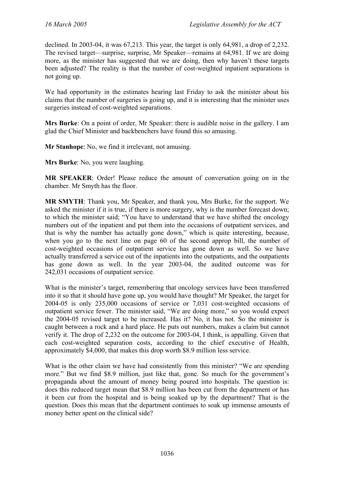declined. In 2003-04, it was 67,213. This year, the target is only 64,981, a drop of 2,232. The revised target—surprise, surprise, Mr Speaker—remains at 64,981. If we are doing more, as the minister has suggested that we are doing, then why haven't these targets been adjusted? The reality is that the number of cost-weighted inpatient separations is not going up.

We had opportunity in the estimates hearing last Friday to ask the minister about his claims that the number of surgeries is going up, and it is interesting that the minister uses surgeries instead of cost-weighted separations.

**Mrs Burke**: On a point of order, Mr Speaker: there is audible noise in the gallery. I am glad the Chief Minister and backbenchers have found this so amusing.

**Mr Stanhope**: No, we find it irrelevant, not amusing.

**Mrs Burke**: No, you were laughing.

**MR SPEAKER**: Order! Please reduce the amount of conversation going on in the chamber. Mr Smyth has the floor.

**MR SMYTH**: Thank you, Mr Speaker, and thank you, Mrs Burke, for the support. We asked the minister if it is true, if there is more surgery, why is the number forecast down; to which the minister said; "You have to understand that we have shifted the oncology numbers out of the inpatient and put them into the occasions of outpatient services, and that is why the number has actually gone down," which is quite interesting, because, when you go to the next line on page 60 of the second approp bill, the number of cost-weighted occasions of outpatient service has gone down as well. So we have actually transferred a service out of the inpatients into the outpatients, and the outpatients has gone down as well. In the year 2003-04, the audited outcome was for 242,031 occasions of outpatient service.

What is the minister's target, remembering that oncology services have been transferred into it so that it should have gone up, you would have thought? Mr Speaker, the target for 2004-05 is only 235,000 occasions of service or 7,031 cost-weighted occasions of outpatient service fewer. The minister said, "We are doing more," so you would expect the 2004-05 revised target to be increased. Has it? No, it has not. So the minister is caught between a rock and a hard place. He puts out numbers, makes a claim but cannot verify it. The drop of 2,232 on the outcome for 2003-04, I think, is appalling. Given that each cost-weighted separation costs, according to the chief executive of Health, approximately \$4,000, that makes this drop worth \$8.9 million less service.

What is the other claim we have had consistently from this minister? "We are spending more." But we find \$8.9 million, just like that, gone. So much for the government's propaganda about the amount of money being poured into hospitals. The question is: does this reduced target mean that \$8.9 million has been cut from the department or has it been cut from the hospital and is being soaked up by the department? That is the question. Does this mean that the department continues to soak up immense amounts of money better spent on the clinical side?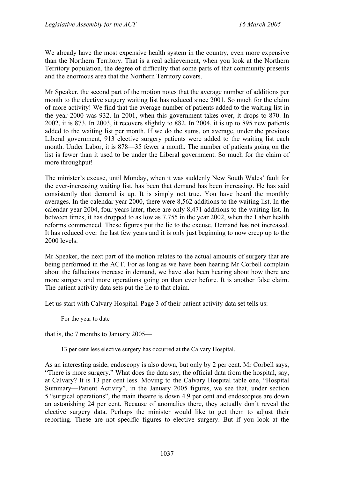We already have the most expensive health system in the country, even more expensive than the Northern Territory. That is a real achievement, when you look at the Northern Territory population, the degree of difficulty that some parts of that community presents and the enormous area that the Northern Territory covers.

Mr Speaker, the second part of the motion notes that the average number of additions per month to the elective surgery waiting list has reduced since 2001. So much for the claim of more activity! We find that the average number of patients added to the waiting list in the year 2000 was 932. In 2001, when this government takes over, it drops to 870. In 2002, it is 873. In 2003, it recovers slightly to 882. In 2004, it is up to 895 new patients added to the waiting list per month. If we do the sums, on average, under the previous Liberal government, 913 elective surgery patients were added to the waiting list each month. Under Labor, it is 878—35 fewer a month. The number of patients going on the list is fewer than it used to be under the Liberal government. So much for the claim of more throughput!

The minister's excuse, until Monday, when it was suddenly New South Wales' fault for the ever-increasing waiting list, has been that demand has been increasing. He has said consistently that demand is up. It is simply not true. You have heard the monthly averages. In the calendar year 2000, there were 8,562 additions to the waiting list. In the calendar year 2004, four years later, there are only 8,471 additions to the waiting list. In between times, it has dropped to as low as 7,755 in the year 2002, when the Labor health reforms commenced. These figures put the lie to the excuse. Demand has not increased. It has reduced over the last few years and it is only just beginning to now creep up to the 2000 levels.

Mr Speaker, the next part of the motion relates to the actual amounts of surgery that are being performed in the ACT. For as long as we have been hearing Mr Corbell complain about the fallacious increase in demand, we have also been hearing about how there are more surgery and more operations going on than ever before. It is another false claim. The patient activity data sets put the lie to that claim.

Let us start with Calvary Hospital. Page 3 of their patient activity data set tells us:

For the year to date—

that is, the 7 months to January 2005—

13 per cent less elective surgery has occurred at the Calvary Hospital.

As an interesting aside, endoscopy is also down, but only by 2 per cent. Mr Corbell says, "There is more surgery." What does the data say, the official data from the hospital, say, at Calvary? It is 13 per cent less. Moving to the Calvary Hospital table one, "Hospital Summary—Patient Activity", in the January 2005 figures, we see that, under section 5 "surgical operations", the main theatre is down 4.9 per cent and endoscopies are down an astonishing 24 per cent. Because of anomalies there, they actually don't reveal the elective surgery data. Perhaps the minister would like to get them to adjust their reporting. These are not specific figures to elective surgery. But if you look at the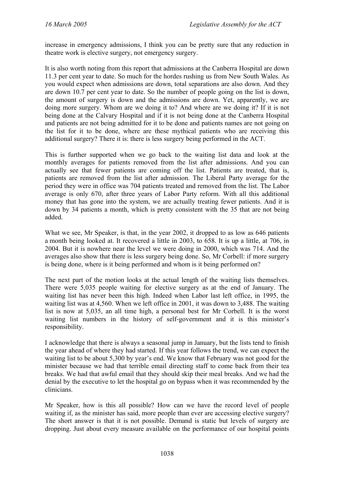increase in emergency admissions, I think you can be pretty sure that any reduction in theatre work is elective surgery, not emergency surgery.

It is also worth noting from this report that admissions at the Canberra Hospital are down 11.3 per cent year to date. So much for the hordes rushing us from New South Wales. As you would expect when admissions are down, total separations are also down. And they are down 10.7 per cent year to date. So the number of people going on the list is down, the amount of surgery is down and the admissions are down. Yet, apparently, we are doing more surgery. Whom are we doing it to? And where are we doing it? If it is not being done at the Calvary Hospital and if it is not being done at the Canberra Hospital and patients are not being admitted for it to be done and patients names are not going on the list for it to be done, where are these mythical patients who are receiving this additional surgery? There it is: there is less surgery being performed in the ACT.

This is further supported when we go back to the waiting list data and look at the monthly averages for patients removed from the list after admissions. And you can actually see that fewer patients are coming off the list. Patients are treated, that is, patients are removed from the list after admission. The Liberal Party average for the period they were in office was 704 patients treated and removed from the list. The Labor average is only 670, after three years of Labor Party reform. With all this additional money that has gone into the system, we are actually treating fewer patients. And it is down by 34 patients a month, which is pretty consistent with the 35 that are not being added.

What we see, Mr Speaker, is that, in the year 2002, it dropped to as low as 646 patients a month being looked at. It recovered a little in 2003, to 658. It is up a little, at 706, in 2004. But it is nowhere near the level we were doing in 2000, which was 714. And the averages also show that there is less surgery being done. So, Mr Corbell: if more surgery is being done, where is it being performed and whom is it being performed on?

The next part of the motion looks at the actual length of the waiting lists themselves. There were 5,035 people waiting for elective surgery as at the end of January. The waiting list has never been this high. Indeed when Labor last left office, in 1995, the waiting list was at 4,560. When we left office in 2001, it was down to 3,488. The waiting list is now at 5,035, an all time high, a personal best for Mr Corbell. It is the worst waiting list numbers in the history of self-government and it is this minister's responsibility.

I acknowledge that there is always a seasonal jump in January, but the lists tend to finish the year ahead of where they had started. If this year follows the trend, we can expect the waiting list to be about 5,300 by year's end. We know that February was not good for the minister because we had that terrible email directing staff to come back from their tea breaks. We had that awful email that they should skip their meal breaks. And we had the denial by the executive to let the hospital go on bypass when it was recommended by the clinicians.

Mr Speaker, how is this all possible? How can we have the record level of people waiting if, as the minister has said, more people than ever are accessing elective surgery? The short answer is that it is not possible. Demand is static but levels of surgery are dropping. Just about every measure available on the performance of our hospital points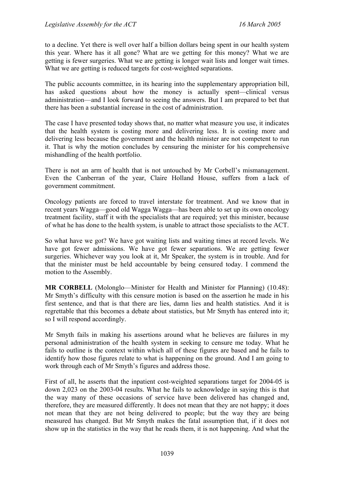to a decline. Yet there is well over half a billion dollars being spent in our health system this year. Where has it all gone? What are we getting for this money? What we are getting is fewer surgeries. What we are getting is longer wait lists and longer wait times. What we are getting is reduced targets for cost-weighted separations.

The public accounts committee, in its hearing into the supplementary appropriation bill, has asked questions about how the money is actually spent—clinical versus administration—and I look forward to seeing the answers. But I am prepared to bet that there has been a substantial increase in the cost of administration.

The case I have presented today shows that, no matter what measure you use, it indicates that the health system is costing more and delivering less. It is costing more and delivering less because the government and the health minister are not competent to run it. That is why the motion concludes by censuring the minister for his comprehensive mishandling of the health portfolio.

There is not an arm of health that is not untouched by Mr Corbell's mismanagement. Even the Canberran of the year, Claire Holland House, suffers from a lack of government commitment.

Oncology patients are forced to travel interstate for treatment. And we know that in recent years Wagga—good old Wagga Wagga—has been able to set up its own oncology treatment facility, staff it with the specialists that are required; yet this minister, because of what he has done to the health system, is unable to attract those specialists to the ACT.

So what have we got? We have got waiting lists and waiting times at record levels. We have got fewer admissions. We have got fewer separations. We are getting fewer surgeries. Whichever way you look at it, Mr Speaker, the system is in trouble. And for that the minister must be held accountable by being censured today. I commend the motion to the Assembly.

**MR CORBELL** (Molonglo—Minister for Health and Minister for Planning) (10.48): Mr Smyth's difficulty with this censure motion is based on the assertion he made in his first sentence, and that is that there are lies, damn lies and health statistics. And it is regrettable that this becomes a debate about statistics, but Mr Smyth has entered into it; so I will respond accordingly.

Mr Smyth fails in making his assertions around what he believes are failures in my personal administration of the health system in seeking to censure me today. What he fails to outline is the context within which all of these figures are based and he fails to identify how those figures relate to what is happening on the ground. And I am going to work through each of Mr Smyth's figures and address those.

First of all, he asserts that the inpatient cost-weighted separations target for 2004-05 is down 2,023 on the 2003-04 results. What he fails to acknowledge in saying this is that the way many of these occasions of service have been delivered has changed and, therefore, they are measured differently. It does not mean that they are not happy; it does not mean that they are not being delivered to people; but the way they are being measured has changed. But Mr Smyth makes the fatal assumption that, if it does not show up in the statistics in the way that he reads them, it is not happening. And what the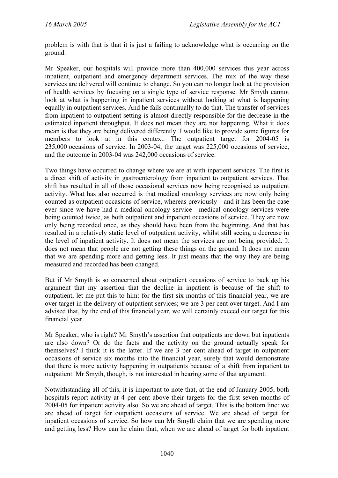problem is with that is that it is just a failing to acknowledge what is occurring on the ground.

Mr Speaker, our hospitals will provide more than 400,000 services this year across inpatient, outpatient and emergency department services. The mix of the way these services are delivered will continue to change. So you can no longer look at the provision of health services by focusing on a single type of service response. Mr Smyth cannot look at what is happening in inpatient services without looking at what is happening equally in outpatient services. And he fails continually to do that. The transfer of services from inpatient to outpatient setting is almost directly responsible for the decrease in the estimated inpatient throughput. It does not mean they are not happening. What it does mean is that they are being delivered differently. I would like to provide some figures for members to look at in this context. The outpatient target for 2004-05 is 235,000 occasions of service. In 2003-04, the target was 225,000 occasions of service, and the outcome in 2003-04 was 242,000 occasions of service.

Two things have occurred to change where we are at with inpatient services. The first is a direct shift of activity in gastroenterology from inpatient to outpatient services. That shift has resulted in all of those occasional services now being recognised as outpatient activity. What has also occurred is that medical oncology services are now only being counted as outpatient occasions of service, whereas previously—and it has been the case ever since we have had a medical oncology service—medical oncology services were being counted twice, as both outpatient and inpatient occasions of service. They are now only being recorded once, as they should have been from the beginning. And that has resulted in a relatively static level of outpatient activity, whilst still seeing a decrease in the level of inpatient activity. It does not mean the services are not being provided. It does not mean that people are not getting these things on the ground. It does not mean that we are spending more and getting less. It just means that the way they are being measured and recorded has been changed.

But if Mr Smyth is so concerned about outpatient occasions of service to back up his argument that my assertion that the decline in inpatient is because of the shift to outpatient, let me put this to him: for the first six months of this financial year, we are over target in the delivery of outpatient services; we are 3 per cent over target. And I am advised that, by the end of this financial year, we will certainly exceed our target for this financial year.

Mr Speaker, who is right? Mr Smyth's assertion that outpatients are down but inpatients are also down? Or do the facts and the activity on the ground actually speak for themselves? I think it is the latter. If we are 3 per cent ahead of target in outpatient occasions of service six months into the financial year, surely that would demonstrate that there is more activity happening in outpatients because of a shift from inpatient to outpatient. Mr Smyth, though, is not interested in hearing some of that argument.

Notwithstanding all of this, it is important to note that, at the end of January 2005, both hospitals report activity at 4 per cent above their targets for the first seven months of 2004-05 for inpatient activity also. So we are ahead of target. This is the bottom line: we are ahead of target for outpatient occasions of service. We are ahead of target for inpatient occasions of service. So how can Mr Smyth claim that we are spending more and getting less? How can he claim that, when we are ahead of target for both inpatient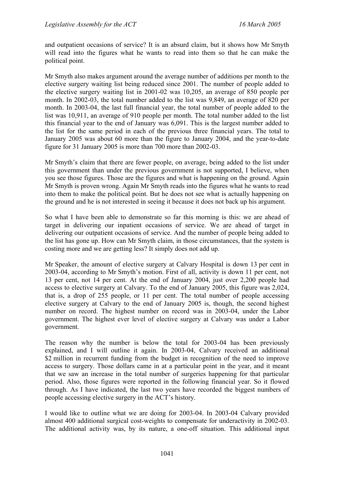and outpatient occasions of service? It is an absurd claim, but it shows how Mr Smyth will read into the figures what he wants to read into them so that he can make the political point.

Mr Smyth also makes argument around the average number of additions per month to the elective surgery waiting list being reduced since 2001. The number of people added to the elective surgery waiting list in 2001-02 was 10,205, an average of 850 people per month. In 2002-03, the total number added to the list was 9,849, an average of 820 per month. In 2003-04, the last full financial year, the total number of people added to the list was 10,911, an average of 910 people per month. The total number added to the list this financial year to the end of January was 6,091. This is the largest number added to the list for the same period in each of the previous three financial years. The total to January 2005 was about 60 more than the figure to January 2004, and the year-to-date figure for 31 January 2005 is more than 700 more than 2002-03.

Mr Smyth's claim that there are fewer people, on average, being added to the list under this government than under the previous government is not supported, I believe, when you see those figures. Those are the figures and what is happening on the ground. Again Mr Smyth is proven wrong. Again Mr Smyth reads into the figures what he wants to read into them to make the political point. But he does not see what is actually happening on the ground and he is not interested in seeing it because it does not back up his argument.

So what I have been able to demonstrate so far this morning is this: we are ahead of target in delivering our inpatient occasions of service. We are ahead of target in delivering our outpatient occasions of service. And the number of people being added to the list has gone up. How can Mr Smyth claim, in those circumstances, that the system is costing more and we are getting less? It simply does not add up.

Mr Speaker, the amount of elective surgery at Calvary Hospital is down 13 per cent in 2003-04, according to Mr Smyth's motion. First of all, activity is down 11 per cent, not 13 per cent, not 14 per cent. At the end of January 2004, just over 2,200 people had access to elective surgery at Calvary. To the end of January 2005, this figure was 2,024, that is, a drop of 255 people, or 11 per cent. The total number of people accessing elective surgery at Calvary to the end of January 2005 is, though, the second highest number on record. The highest number on record was in 2003-04, under the Labor government. The highest ever level of elective surgery at Calvary was under a Labor government.

The reason why the number is below the total for 2003-04 has been previously explained, and I will outline it again. In 2003-04, Calvary received an additional \$2 million in recurrent funding from the budget in recognition of the need to improve access to surgery. Those dollars came in at a particular point in the year, and it meant that we saw an increase in the total number of surgeries happening for that particular period. Also, those figures were reported in the following financial year. So it flowed through. As I have indicated, the last two years have recorded the biggest numbers of people accessing elective surgery in the ACT's history.

I would like to outline what we are doing for 2003-04. In 2003-04 Calvary provided almost 400 additional surgical cost-weights to compensate for underactivity in 2002-03. The additional activity was, by its nature, a one-off situation. This additional input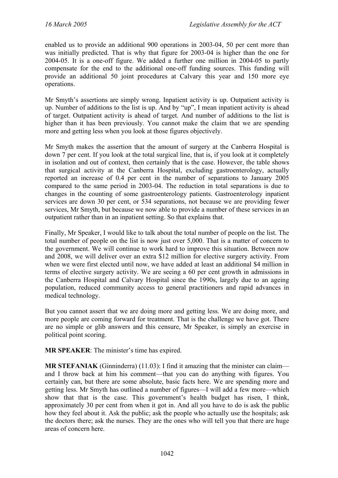enabled us to provide an additional 900 operations in 2003-04, 50 per cent more than was initially predicted. That is why that figure for 2003-04 is higher than the one for 2004-05. It is a one-off figure. We added a further one million in 2004-05 to partly compensate for the end to the additional one-off funding sources. This funding will provide an additional 50 joint procedures at Calvary this year and 150 more eye operations.

Mr Smyth's assertions are simply wrong. Inpatient activity is up. Outpatient activity is up. Number of additions to the list is up. And by "up", I mean inpatient activity is ahead of target. Outpatient activity is ahead of target. And number of additions to the list is higher than it has been previously. You cannot make the claim that we are spending more and getting less when you look at those figures objectively.

Mr Smyth makes the assertion that the amount of surgery at the Canberra Hospital is down 7 per cent. If you look at the total surgical line, that is, if you look at it completely in isolation and out of context, then certainly that is the case. However, the table shows that surgical activity at the Canberra Hospital, excluding gastroenterology, actually reported an increase of 0.4 per cent in the number of separations to January 2005 compared to the same period in 2003-04. The reduction in total separations is due to changes in the counting of some gastroenterology patients. Gastroenterology inpatient services are down 30 per cent, or 534 separations, not because we are providing fewer services, Mr Smyth, but because we now able to provide a number of these services in an outpatient rather than in an inpatient setting. So that explains that.

Finally, Mr Speaker, I would like to talk about the total number of people on the list. The total number of people on the list is now just over 5,000. That is a matter of concern to the government. We will continue to work hard to improve this situation. Between now and 2008, we will deliver over an extra \$12 million for elective surgery activity. From when we were first elected until now, we have added at least an additional \$4 million in terms of elective surgery activity. We are seeing a 60 per cent growth in admissions in the Canberra Hospital and Calvary Hospital since the 1990s, largely due to an ageing population, reduced community access to general practitioners and rapid advances in medical technology.

But you cannot assert that we are doing more and getting less. We are doing more, and more people are coming forward for treatment. That is the challenge we have got. There are no simple or glib answers and this censure, Mr Speaker, is simply an exercise in political point scoring.

**MR SPEAKER**: The minister's time has expired.

**MR STEFANIAK** (Ginninderra) (11.03): I find it amazing that the minister can claim and I throw back at him his comment—that you can do anything with figures. You certainly can, but there are some absolute, basic facts here. We are spending more and getting less. Mr Smyth has outlined a number of figures—I will add a few more—which show that that is the case. This government's health budget has risen, I think, approximately 30 per cent from when it got in. And all you have to do is ask the public how they feel about it. Ask the public; ask the people who actually use the hospitals; ask the doctors there; ask the nurses. They are the ones who will tell you that there are huge areas of concern here.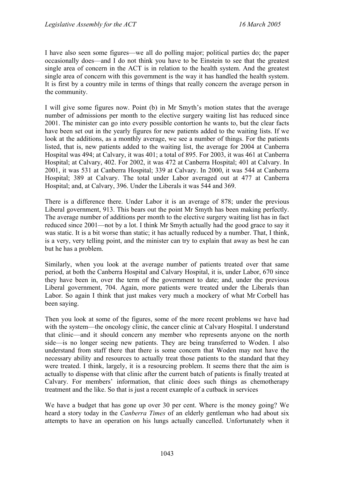I have also seen some figures—we all do polling major; political parties do; the paper occasionally does—and I do not think you have to be Einstein to see that the greatest single area of concern in the ACT is in relation to the health system. And the greatest single area of concern with this government is the way it has handled the health system. It is first by a country mile in terms of things that really concern the average person in the community.

I will give some figures now. Point (b) in Mr Smyth's motion states that the average number of admissions per month to the elective surgery waiting list has reduced since 2001. The minister can go into every possible contortion he wants to, but the clear facts have been set out in the yearly figures for new patients added to the waiting lists. If we look at the additions, as a monthly average, we see a number of things. For the patients listed, that is, new patients added to the waiting list, the average for 2004 at Canberra Hospital was 494; at Calvary, it was 401; a total of 895. For 2003, it was 461 at Canberra Hospital; at Calvary, 402. For 2002, it was 472 at Canberra Hospital; 401 at Calvary. In 2001, it was 531 at Canberra Hospital; 339 at Calvary. In 2000, it was 544 at Canberra Hospital; 389 at Calvary. The total under Labor averaged out at 477 at Canberra Hospital; and, at Calvary, 396. Under the Liberals it was 544 and 369.

There is a difference there. Under Labor it is an average of 878; under the previous Liberal government, 913. This bears out the point Mr Smyth has been making perfectly. The average number of additions per month to the elective surgery waiting list has in fact reduced since 2001—not by a lot. I think Mr Smyth actually had the good grace to say it was static. It is a bit worse than static; it has actually reduced by a number. That, I think, is a very, very telling point, and the minister can try to explain that away as best he can but he has a problem.

Similarly, when you look at the average number of patients treated over that same period, at both the Canberra Hospital and Calvary Hospital, it is, under Labor, 670 since they have been in, over the term of the government to date; and, under the previous Liberal government, 704. Again, more patients were treated under the Liberals than Labor. So again I think that just makes very much a mockery of what Mr Corbell has been saying.

Then you look at some of the figures, some of the more recent problems we have had with the system—the oncology clinic, the cancer clinic at Calvary Hospital. I understand that clinic—and it should concern any member who represents anyone on the north side—is no longer seeing new patients. They are being transferred to Woden. I also understand from staff there that there is some concern that Woden may not have the necessary ability and resources to actually treat those patients to the standard that they were treated. I think, largely, it is a resourcing problem. It seems there that the aim is actually to dispense with that clinic after the current batch of patients is finally treated at Calvary. For members' information, that clinic does such things as chemotherapy treatment and the like. So that is just a recent example of a cutback in services

We have a budget that has gone up over 30 per cent. Where is the money going? We heard a story today in the *Canberra Times* of an elderly gentleman who had about six attempts to have an operation on his lungs actually cancelled. Unfortunately when it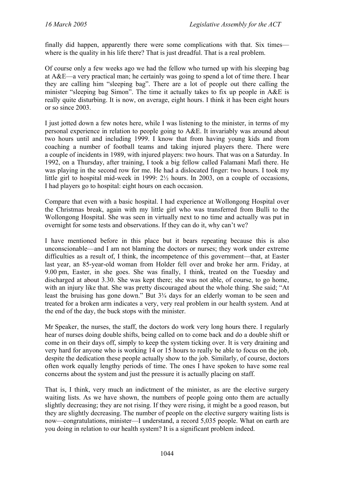finally did happen, apparently there were some complications with that. Six times where is the quality in his life there? That is just dreadful. That is a real problem.

Of course only a few weeks ago we had the fellow who turned up with his sleeping bag at A&E—a very practical man; he certainly was going to spend a lot of time there. I hear they are calling him "sleeping bag". There are a lot of people out there calling the minister "sleeping bag Simon". The time it actually takes to fix up people in A&E is really quite disturbing. It is now, on average, eight hours. I think it has been eight hours or so since 2003.

I just jotted down a few notes here, while I was listening to the minister, in terms of my personal experience in relation to people going to A&E. It invariably was around about two hours until and including 1999. I know that from having young kids and from coaching a number of football teams and taking injured players there. There were a couple of incidents in 1989, with injured players: two hours. That was on a Saturday. In 1992, on a Thursday, after training, I took a big fellow called Falamani Mafi there. He was playing in the second row for me. He had a dislocated finger: two hours. I took my little girl to hospital mid-week in 1999: 2½ hours. In 2003, on a couple of occasions, I had players go to hospital: eight hours on each occasion.

Compare that even with a basic hospital. I had experience at Wollongong Hospital over the Christmas break, again with my little girl who was transferred from Bulli to the Wollongong Hospital. She was seen in virtually next to no time and actually was put in overnight for some tests and observations. If they can do it, why can't we?

I have mentioned before in this place but it bears repeating because this is also unconscionable—and I am not blaming the doctors or nurses; they work under extreme difficulties as a result of, I think, the incompetence of this government—that, at Easter last year, an 85-year-old woman from Holder fell over and broke her arm. Friday, at 9.00 pm, Easter, in she goes. She was finally, I think, treated on the Tuesday and discharged at about 3.30. She was kept there; she was not able, of course, to go home, with an injury like that. She was pretty discouraged about the whole thing. She said; "At least the bruising has gone down." But 3¾ days for an elderly woman to be seen and treated for a broken arm indicates a very, very real problem in our health system. And at the end of the day, the buck stops with the minister.

Mr Speaker, the nurses, the staff, the doctors do work very long hours there. I regularly hear of nurses doing double shifts, being called on to come back and do a double shift or come in on their days off, simply to keep the system ticking over. It is very draining and very hard for anyone who is working 14 or 15 hours to really be able to focus on the job, despite the dedication these people actually show to the job. Similarly, of course, doctors often work equally lengthy periods of time. The ones I have spoken to have some real concerns about the system and just the pressure it is actually placing on staff.

That is, I think, very much an indictment of the minister, as are the elective surgery waiting lists. As we have shown, the numbers of people going onto them are actually slightly decreasing; they are not rising. If they were rising, it might be a good reason, but they are slightly decreasing. The number of people on the elective surgery waiting lists is now—congratulations, minister—I understand, a record 5,035 people. What on earth are you doing in relation to our health system? It is a significant problem indeed.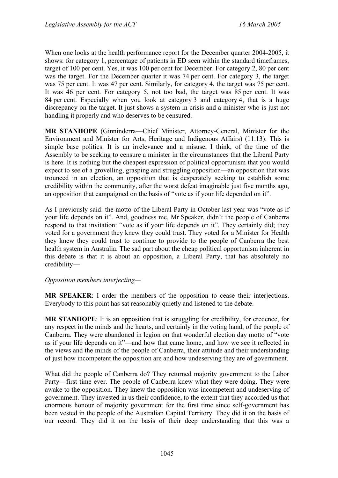When one looks at the health performance report for the December quarter 2004-2005, it shows: for category 1, percentage of patients in ED seen within the standard timeframes, target of 100 per cent. Yes, it was 100 per cent for December. For category 2, 80 per cent was the target. For the December quarter it was 74 per cent. For category 3, the target was 75 per cent. It was 47 per cent. Similarly, for category 4, the target was 75 per cent. It was 46 per cent. For category 5, not too bad, the target was 85 per cent. It was 84 per cent. Especially when you look at category 3 and category 4, that is a huge discrepancy on the target. It just shows a system in crisis and a minister who is just not handling it properly and who deserves to be censured.

**MR STANHOPE** (Ginninderra—Chief Minister, Attorney-General, Minister for the Environment and Minister for Arts, Heritage and Indigenous Affairs) (11.13): This is simple base politics. It is an irrelevance and a misuse, I think, of the time of the Assembly to be seeking to censure a minister in the circumstances that the Liberal Party is here. It is nothing but the cheapest expression of political opportunism that you would expect to see of a grovelling, grasping and struggling opposition—an opposition that was trounced in an election, an opposition that is desperately seeking to establish some credibility within the community, after the worst defeat imaginable just five months ago, an opposition that campaigned on the basis of "vote as if your life depended on it".

As I previously said: the motto of the Liberal Party in October last year was "vote as if your life depends on it". And, goodness me, Mr Speaker, didn't the people of Canberra respond to that invitation: "vote as if your life depends on it". They certainly did; they voted for a government they knew they could trust. They voted for a Minister for Health they knew they could trust to continue to provide to the people of Canberra the best health system in Australia. The sad part about the cheap political opportunism inherent in this debate is that it is about an opposition, a Liberal Party, that has absolutely no credibility—

### *Opposition members interjecting—*

**MR SPEAKER**: I order the members of the opposition to cease their interjections. Everybody to this point has sat reasonably quietly and listened to the debate.

**MR STANHOPE**: It is an opposition that is struggling for credibility, for credence, for any respect in the minds and the hearts, and certainly in the voting hand, of the people of Canberra. They were abandoned in legion on that wonderful election day motto of "vote as if your life depends on it"—and how that came home, and how we see it reflected in the views and the minds of the people of Canberra, their attitude and their understanding of just how incompetent the opposition are and how undeserving they are of government.

What did the people of Canberra do? They returned majority government to the Labor Party—first time ever. The people of Canberra knew what they were doing. They were awake to the opposition. They knew the opposition was incompetent and undeserving of government. They invested in us their confidence, to the extent that they accorded us that enormous honour of majority government for the first time since self-government has been vested in the people of the Australian Capital Territory. They did it on the basis of our record. They did it on the basis of their deep understanding that this was a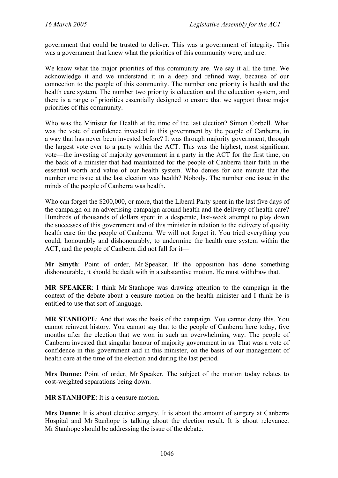government that could be trusted to deliver. This was a government of integrity. This was a government that knew what the priorities of this community were, and are.

We know what the major priorities of this community are. We say it all the time. We acknowledge it and we understand it in a deep and refined way, because of our connection to the people of this community. The number one priority is health and the health care system. The number two priority is education and the education system, and there is a range of priorities essentially designed to ensure that we support those major priorities of this community.

Who was the Minister for Health at the time of the last election? Simon Corbell. What was the vote of confidence invested in this government by the people of Canberra, in a way that has never been invested before? It was through majority government, through the largest vote ever to a party within the ACT. This was the highest, most significant vote—the investing of majority government in a party in the ACT for the first time, on the back of a minister that had maintained for the people of Canberra their faith in the essential worth and value of our health system. Who denies for one minute that the number one issue at the last election was health? Nobody. The number one issue in the minds of the people of Canberra was health.

Who can forget the \$200,000, or more, that the Liberal Party spent in the last five days of the campaign on an advertising campaign around health and the delivery of health care? Hundreds of thousands of dollars spent in a desperate, last-week attempt to play down the successes of this government and of this minister in relation to the delivery of quality health care for the people of Canberra. We will not forget it. You tried everything you could, honourably and dishonourably, to undermine the health care system within the ACT, and the people of Canberra did not fall for it—

**Mr Smyth**: Point of order, Mr Speaker. If the opposition has done something dishonourable, it should be dealt with in a substantive motion. He must withdraw that.

**MR SPEAKER**: I think Mr Stanhope was drawing attention to the campaign in the context of the debate about a censure motion on the health minister and I think he is entitled to use that sort of language.

**MR STANHOPE**: And that was the basis of the campaign. You cannot deny this. You cannot reinvent history. You cannot say that to the people of Canberra here today, five months after the election that we won in such an overwhelming way. The people of Canberra invested that singular honour of majority government in us. That was a vote of confidence in this government and in this minister, on the basis of our management of health care at the time of the election and during the last period.

**Mrs Dunne:** Point of order, Mr Speaker. The subject of the motion today relates to cost-weighted separations being down.

**MR STANHOPE**: It is a censure motion.

**Mrs Dunne**: It is about elective surgery. It is about the amount of surgery at Canberra Hospital and Mr Stanhope is talking about the election result. It is about relevance. Mr Stanhope should be addressing the issue of the debate.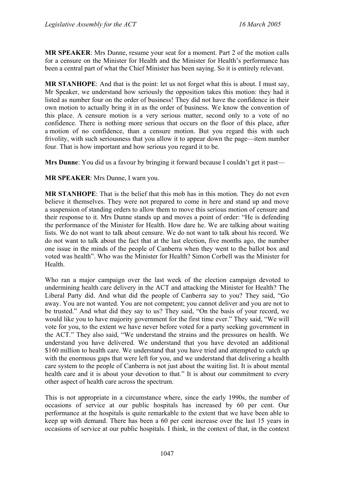**MR SPEAKER**: Mrs Dunne, resume your seat for a moment. Part 2 of the motion calls for a censure on the Minister for Health and the Minister for Health's performance has been a central part of what the Chief Minister has been saying. So it is entirely relevant.

**MR STANHOPE**: And that is the point: let us not forget what this is about. I must say, Mr Speaker, we understand how seriously the opposition takes this motion: they had it listed as number four on the order of business! They did not have the confidence in their own motion to actually bring it in as the order of business. We know the convention of this place. A censure motion is a very serious matter, second only to a vote of no confidence. There is nothing more serious that occurs on the floor of this place, after a motion of no confidence, than a censure motion. But you regard this with such frivolity, with such seriousness that you allow it to appear down the page—item number four. That is how important and how serious you regard it to be.

**Mrs Dunne**: You did us a favour by bringing it forward because I couldn't get it past—

**MR SPEAKER**: Mrs Dunne, I warn you.

**MR STANHOPE**: That is the belief that this mob has in this motion. They do not even believe it themselves. They were not prepared to come in here and stand up and move a suspension of standing orders to allow them to move this serious motion of censure and their response to it. Mrs Dunne stands up and moves a point of order: "He is defending the performance of the Minister for Health. How dare he. We are talking about waiting lists. We do not want to talk about censure. We do not want to talk about his record. We do not want to talk about the fact that at the last election, five months ago, the number one issue in the minds of the people of Canberra when they went to the ballot box and voted was health". Who was the Minister for Health? Simon Corbell was the Minister for Health.

Who ran a major campaign over the last week of the election campaign devoted to undermining health care delivery in the ACT and attacking the Minister for Health? The Liberal Party did. And what did the people of Canberra say to you? They said, "Go away. You are not wanted. You are not competent; you cannot deliver and you are not to be trusted." And what did they say to us? They said, "On the basis of your record, we would like you to have majority government for the first time ever." They said, "We will vote for you, to the extent we have never before voted for a party seeking government in the ACT." They also said, "We understand the strains and the pressures on health. We understand you have delivered. We understand that you have devoted an additional \$160 million to health care. We understand that you have tried and attempted to catch up with the enormous gaps that were left for you, and we understand that delivering a health care system to the people of Canberra is not just about the waiting list. It is about mental health care and it is about your devotion to that." It is about our commitment to every other aspect of health care across the spectrum.

This is not appropriate in a circumstance where, since the early 1990s, the number of occasions of service at our public hospitals has increased by 60 per cent. Our performance at the hospitals is quite remarkable to the extent that we have been able to keep up with demand. There has been a 60 per cent increase over the last 15 years in occasions of service at our public hospitals. I think, in the context of that, in the context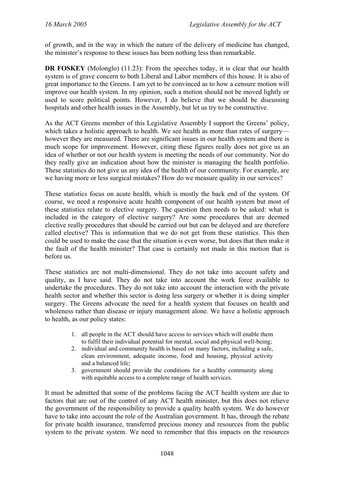of growth, and in the way in which the nature of the delivery of medicine has changed, the minister's response to these issues has been nothing less than remarkable.

**DR FOSKEY** (Molonglo) (11.23): From the speeches today, it is clear that our health system is of grave concern to both Liberal and Labor members of this house. It is also of great importance to the Greens. I am yet to be convinced as to how a censure motion will improve our health system. In my opinion, such a motion should not be moved lightly or used to score political points. However, I do believe that we should be discussing hospitals and other health issues in the Assembly, but let us try to be constructive.

As the ACT Greens member of this Legislative Assembly I support the Greens' policy, which takes a holistic approach to health. We see health as more than rates of surgery however they are measured. There are significant issues in our health system and there is much scope for improvement. However, citing these figures really does not give us an idea of whether or not our health system is meeting the needs of our community. Nor do they really give an indication about how the minister is managing the health portfolio. These statistics do not give us any idea of the health of our community. For example, are we having more or less surgical mistakes? How do we measure quality in our services?

These statistics focus on acute health, which is mostly the back end of the system. Of course, we need a responsive acute health component of our health system but most of these statistics relate to elective surgery. The question then needs to be asked: what is included in the category of elective surgery? Are some procedures that are deemed elective really procedures that should be carried out but can be delayed and are therefore called elective? This is information that we do not get from these statistics. This then could be used to make the case that the situation is even worse, but does that then make it the fault of the health minister? That case is certainly not made in this motion that is before us.

These statistics are not multi-dimensional. They do not take into account safety and quality, as I have said. They do not take into account the work force available to undertake the procedures. They do not take into account the interaction with the private health sector and whether this sector is doing less surgery or whether it is doing simpler surgery. The Greens advocate the need for a health system that focuses on health and wholeness rather than disease or injury management alone. We have a holistic approach to health, as our policy states:

- 1. all people in the ACT should have access to services which will enable them to fulfil their individual potential for mental, social and physical well-being;
- 2. individual and community health is based on many factors, including a safe, clean environment, adequate income, food and housing, physical activity and a balanced life;
- 3. government should provide the conditions for a healthy community along with equitable access to a complete range of health services.

It must be admitted that some of the problems facing the ACT health system are due to factors that are out of the control of any ACT health minister, but this does not relieve the government of the responsibility to provide a quality health system. We do however have to take into account the role of the Australian government. It has, through the rebate for private health insurance, transferred precious money and resources from the public system to the private system. We need to remember that this impacts on the resources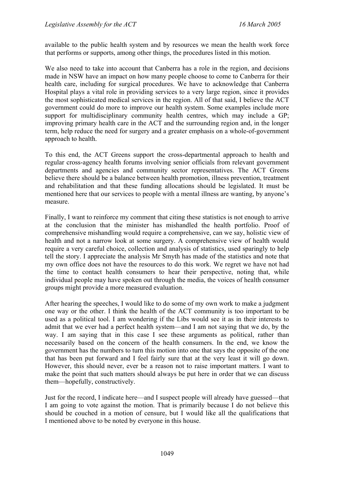available to the public health system and by resources we mean the health work force that performs or supports, among other things, the procedures listed in this motion.

We also need to take into account that Canberra has a role in the region, and decisions made in NSW have an impact on how many people choose to come to Canberra for their health care, including for surgical procedures. We have to acknowledge that Canberra Hospital plays a vital role in providing services to a very large region, since it provides the most sophisticated medical services in the region. All of that said, I believe the ACT government could do more to improve our health system. Some examples include more support for multidisciplinary community health centres, which may include a GP; improving primary health care in the ACT and the surrounding region and, in the longer term, help reduce the need for surgery and a greater emphasis on a whole-of-government approach to health.

To this end, the ACT Greens support the cross-departmental approach to health and regular cross-agency health forums involving senior officials from relevant government departments and agencies and community sector representatives. The ACT Greens believe there should be a balance between health promotion, illness prevention, treatment and rehabilitation and that these funding allocations should be legislated. It must be mentioned here that our services to people with a mental illness are wanting, by anyone's measure.

Finally, I want to reinforce my comment that citing these statistics is not enough to arrive at the conclusion that the minister has mishandled the health portfolio. Proof of comprehensive mishandling would require a comprehensive, can we say, holistic view of health and not a narrow look at some surgery. A comprehensive view of health would require a very careful choice, collection and analysis of statistics, used sparingly to help tell the story. I appreciate the analysis Mr Smyth has made of the statistics and note that my own office does not have the resources to do this work. We regret we have not had the time to contact health consumers to hear their perspective, noting that, while individual people may have spoken out through the media, the voices of health consumer groups might provide a more measured evaluation.

After hearing the speeches, I would like to do some of my own work to make a judgment one way or the other. I think the health of the ACT community is too important to be used as a political tool. I am wondering if the Libs would see it as in their interests to admit that we ever had a perfect health system—and I am not saying that we do, by the way. I am saying that in this case I see these arguments as political, rather than necessarily based on the concern of the health consumers. In the end, we know the government has the numbers to turn this motion into one that says the opposite of the one that has been put forward and I feel fairly sure that at the very least it will go down. However, this should never, ever be a reason not to raise important matters. I want to make the point that such matters should always be put here in order that we can discuss them—hopefully, constructively.

Just for the record, I indicate here—and I suspect people will already have guessed—that I am going to vote against the motion. That is primarily because I do not believe this should be couched in a motion of censure, but I would like all the qualifications that I mentioned above to be noted by everyone in this house.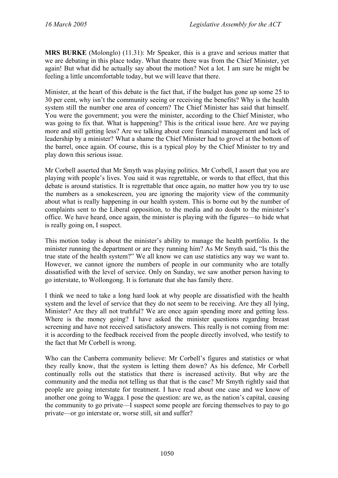**MRS BURKE** (Molonglo) (11.31): Mr Speaker, this is a grave and serious matter that we are debating in this place today. What theatre there was from the Chief Minister, yet again! But what did he actually say about the motion? Not a lot. I am sure he might be feeling a little uncomfortable today, but we will leave that there.

Minister, at the heart of this debate is the fact that, if the budget has gone up some 25 to 30 per cent, why isn't the community seeing or receiving the benefits? Why is the health system still the number one area of concern? The Chief Minister has said that himself. You were the government; you were the minister, according to the Chief Minister, who was going to fix that. What is happening? This is the critical issue here. Are we paying more and still getting less? Are we talking about core financial management and lack of leadership by a minister? What a shame the Chief Minister had to grovel at the bottom of the barrel, once again. Of course, this is a typical ploy by the Chief Minister to try and play down this serious issue.

Mr Corbell asserted that Mr Smyth was playing politics. Mr Corbell, I assert that you are playing with people's lives. You said it was regrettable, or words to that effect, that this debate is around statistics. It is regrettable that once again, no matter how you try to use the numbers as a smokescreen, you are ignoring the majority view of the community about what is really happening in our health system. This is borne out by the number of complaints sent to the Liberal opposition, to the media and no doubt to the minister's office. We have heard, once again, the minister is playing with the figures—to hide what is really going on, I suspect.

This motion today is about the minister's ability to manage the health portfolio. Is the minister running the department or are they running him? As Mr Smyth said, "Is this the true state of the health system?" We all know we can use statistics any way we want to. However, we cannot ignore the numbers of people in our community who are totally dissatisfied with the level of service. Only on Sunday, we saw another person having to go interstate, to Wollongong. It is fortunate that she has family there.

I think we need to take a long hard look at why people are dissatisfied with the health system and the level of service that they do not seem to be receiving. Are they all lying, Minister? Are they all not truthful? We are once again spending more and getting less. Where is the money going? I have asked the minister questions regarding breast screening and have not received satisfactory answers. This really is not coming from me: it is according to the feedback received from the people directly involved, who testify to the fact that Mr Corbell is wrong.

Who can the Canberra community believe: Mr Corbell's figures and statistics or what they really know, that the system is letting them down? As his defence, Mr Corbell continually rolls out the statistics that there is increased activity. But why are the community and the media not telling us that that is the case? Mr Smyth rightly said that people are going interstate for treatment. I have read about one case and we know of another one going to Wagga. I pose the question: are we, as the nation's capital, causing the community to go private—I suspect some people are forcing themselves to pay to go private—or go interstate or, worse still, sit and suffer?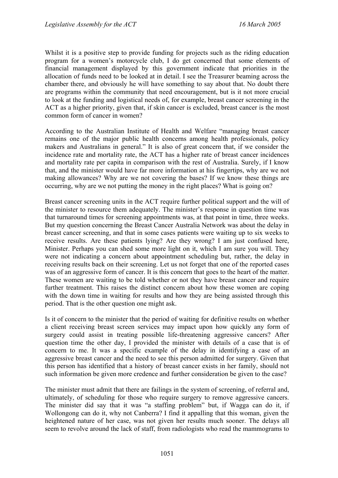Whilst it is a positive step to provide funding for projects such as the riding education program for a women's motorcycle club, I do get concerned that some elements of financial management displayed by this government indicate that priorities in the allocation of funds need to be looked at in detail. I see the Treasurer beaming across the chamber there, and obviously he will have something to say about that. No doubt there are programs within the community that need encouragement, but is it not more crucial to look at the funding and logistical needs of, for example, breast cancer screening in the ACT as a higher priority, given that, if skin cancer is excluded, breast cancer is the most common form of cancer in women?

According to the Australian Institute of Health and Welfare "managing breast cancer remains one of the major public health concerns among health professionals, policy makers and Australians in general." It is also of great concern that, if we consider the incidence rate and mortality rate, the ACT has a higher rate of breast cancer incidences and mortality rate per capita in comparison with the rest of Australia. Surely, if I know that, and the minister would have far more information at his fingertips, why are we not making allowances? Why are we not covering the bases? If we know these things are occurring, why are we not putting the money in the right places? What is going on?

Breast cancer screening units in the ACT require further political support and the will of the minister to resource them adequately. The minister's response in question time was that turnaround times for screening appointments was, at that point in time, three weeks. But my question concerning the Breast Cancer Australia Network was about the delay in breast cancer screening, and that in some cases patients were waiting up to six weeks to receive results. Are these patients lying? Are they wrong? I am just confused here, Minister. Perhaps you can shed some more light on it, which I am sure you will. They were not indicating a concern about appointment scheduling but, rather, the delay in receiving results back on their screening. Let us not forget that one of the reported cases was of an aggressive form of cancer. It is this concern that goes to the heart of the matter. These women are waiting to be told whether or not they have breast cancer and require further treatment. This raises the distinct concern about how these women are coping with the down time in waiting for results and how they are being assisted through this period. That is the other question one might ask.

Is it of concern to the minister that the period of waiting for definitive results on whether a client receiving breast screen services may impact upon how quickly any form of surgery could assist in treating possible life-threatening aggressive cancers? After question time the other day, I provided the minister with details of a case that is of concern to me. It was a specific example of the delay in identifying a case of an aggressive breast cancer and the need to see this person admitted for surgery. Given that this person has identified that a history of breast cancer exists in her family, should not such information be given more credence and further consideration be given to the case?

The minister must admit that there are failings in the system of screening, of referral and, ultimately, of scheduling for those who require surgery to remove aggressive cancers. The minister did say that it was "a staffing problem" but, if Wagga can do it, if Wollongong can do it, why not Canberra? I find it appalling that this woman, given the heightened nature of her case, was not given her results much sooner. The delays all seem to revolve around the lack of staff, from radiologists who read the mammograms to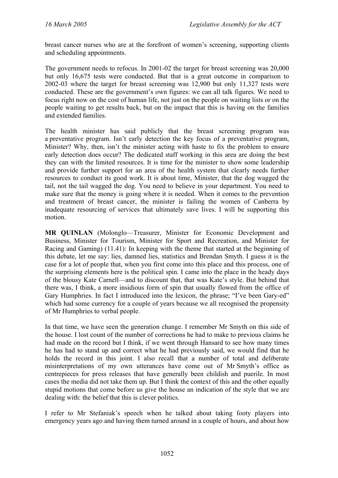breast cancer nurses who are at the forefront of women's screening, supporting clients and scheduling appointments.

The government needs to refocus. In 2001-02 the target for breast screening was 20,000 but only 16,675 tests were conducted. But that is a great outcome in comparison to 2002-03 where the target for breast screening was 12,900 but only 11,327 tests were conducted. These are the government's own figures: we can all talk figures. We need to focus right now on the cost of human life, not just on the people on waiting lists or on the people waiting to get results back, but on the impact that this is having on the families and extended families.

The health minister has said publicly that the breast screening program was a preventative program. Isn't early detection the key focus of a preventative program, Minister? Why, then, isn't the minister acting with haste to fix the problem to ensure early detection does occur? The dedicated staff working in this area are doing the best they can with the limited resources. It is time for the minister to show some leadership and provide further support for an area of the health system that clearly needs further resources to conduct its good work. It is about time, Minister, that the dog wagged the tail, not the tail wagged the dog. You need to believe in your department. You need to make sure that the money is going where it is needed. When it comes to the prevention and treatment of breast cancer, the minister is failing the women of Canberra by inadequate resourcing of services that ultimately save lives. I will be supporting this motion.

**MR QUINLAN** (Molonglo—Treasurer, Minister for Economic Development and Business, Minister for Tourism, Minister for Sport and Recreation, and Minister for Racing and Gaming) (11.41): In keeping with the theme that started at the beginning of this debate, let me say: lies, damned lies, statistics and Brendan Smyth. I guess it is the case for a lot of people that, when you first come into this place and this process, one of the surprising elements here is the political spin. I came into the place in the heady days of the blousy Kate Carnell—and to discount that, that was Kate's style. But behind that there was, I think, a more insidious form of spin that usually flowed from the office of Gary Humphries. In fact I introduced into the lexicon, the phrase; "I've been Gary-ed" which had some currency for a couple of years because we all recognised the propensity of Mr Humphries to verbal people.

In that time, we have seen the generation change. I remember Mr Smyth on this side of the house. I lost count of the number of corrections he had to make to previous claims he had made on the record but I think, if we went through Hansard to see how many times he has had to stand up and correct what he had previously said, we would find that he holds the record in this joint. I also recall that a number of total and deliberate misinterpretations of my own utterances have come out of Mr Smyth's office as centrepieces for press releases that have generally been childish and puerile. In most cases the media did not take them up. But I think the context of this and the other equally stupid motions that come before us give the house an indication of the style that we are dealing with: the belief that this is clever politics.

I refer to Mr Stefaniak's speech when he talked about taking footy players into emergency years ago and having them turned around in a couple of hours, and about how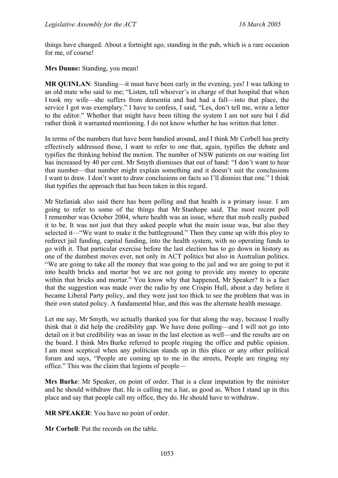things have changed. About a fortnight ago, standing in the pub, which is a rare occasion for me, of course!

**Mrs Dunne:** Standing, you mean!

**MR QUINLAN:** Standing—it must have been early in the evening, yes! I was talking to an old mate who said to me; "Listen, tell whoever's in charge of that hospital that when I took my wife—she suffers from dementia and had had a fall—into that place, the service I got was exemplary." I have to confess, I said, "Les, don't tell me, write a letter to the editor." Whether that might have been tilting the system I am not sure but I did rather think it warranted mentioning. I do not know whether he has written that letter.

In terms of the numbers that have been bandied around, and I think Mr Corbell has pretty effectively addressed those, I want to refer to one that, again, typifies the debate and typifies the thinking behind the motion. The number of NSW patients on our waiting list has increased by 40 per cent. Mr Smyth dismisses that out of hand: "I don't want to hear that number—that number might explain something and it doesn't suit the conclusions I want to draw. I don't want to draw conclusions on facts so I'll dismiss that one." I think that typifies the approach that has been taken in this regard.

Mr Stefaniak also said there has been polling and that health is a primary issue. I am going to refer to some of the things that Mr Stanhope said. The most recent poll I remember was October 2004, where health was an issue, where that mob really pushed it to be. It was not just that they asked people what the main issue was, but also they selected it—"We want to make it the battleground." Then they came up with this ploy to redirect jail funding, capital funding, into the health system, with no operating funds to go with it. That particular exercise before the last election has to go down in history as one of the dumbest moves ever, not only in ACT politics but also in Australian politics. "We are going to take all the money that was going to the jail and we are going to put it into health bricks and mortar but we are not going to provide any money to operate within that bricks and mortar." You know why that happened, Mr Speaker? It is a fact that the suggestion was made over the radio by one Crispin Hull, about a day before it became Liberal Party policy, and they were just too thick to see the problem that was in their own stated policy. A fundamental blue, and this was the alternate health message.

Let me say, Mr Smyth, we actually thanked you for that along the way, because I really think that it did help the credibility gap. We have done polling—and I will not go into detail on it but credibility was an issue in the last election as well—and the results are on the board. I think Mrs Burke referred to people ringing the office and public opinion. I am most sceptical when any politician stands up in this place or any other political forum and says, "People are coming up to me in the streets, People are ringing my office." This was the claim that legions of people—

**Mrs Burke**: Mr Speaker, on point of order. That is a clear imputation by the minister and he should withdraw that. He is calling me a liar, as good as. When I stand up in this place and say that people call my office, they do. He should have to withdraw.

**MR SPEAKER**: You have no point of order.

**Mr Corbell**: Put the records on the table.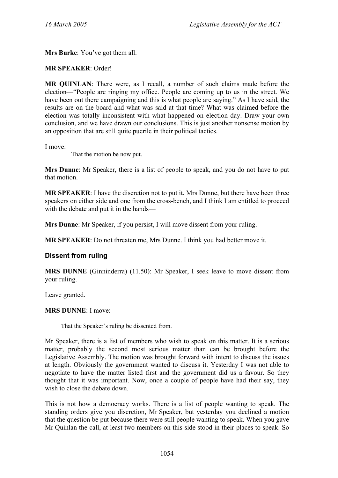**Mrs Burke**: You've got them all.

### **MR SPEAKER**: Order!

**MR QUINLAN**: There were, as I recall, a number of such claims made before the election—"People are ringing my office. People are coming up to us in the street. We have been out there campaigning and this is what people are saying." As I have said, the results are on the board and what was said at that time? What was claimed before the election was totally inconsistent with what happened on election day. Draw your own conclusion, and we have drawn our conclusions. This is just another nonsense motion by an opposition that are still quite puerile in their political tactics.

I move:

That the motion be now put.

**Mrs Dunne**: Mr Speaker, there is a list of people to speak, and you do not have to put that motion.

**MR SPEAKER**: I have the discretion not to put it, Mrs Dunne, but there have been three speakers on either side and one from the cross-bench, and I think I am entitled to proceed with the debate and put it in the hands—

**Mrs Dunne**: Mr Speaker, if you persist, I will move dissent from your ruling.

**MR SPEAKER**: Do not threaten me, Mrs Dunne. I think you had better move it.

### **Dissent from ruling**

**MRS DUNNE** (Ginninderra) (11.50): Mr Speaker, I seek leave to move dissent from your ruling.

Leave granted.

### **MRS DUNNE**: I move:

That the Speaker's ruling be dissented from.

Mr Speaker, there is a list of members who wish to speak on this matter. It is a serious matter, probably the second most serious matter than can be brought before the Legislative Assembly. The motion was brought forward with intent to discuss the issues at length. Obviously the government wanted to discuss it. Yesterday I was not able to negotiate to have the matter listed first and the government did us a favour. So they thought that it was important. Now, once a couple of people have had their say, they wish to close the debate down.

This is not how a democracy works. There is a list of people wanting to speak. The standing orders give you discretion, Mr Speaker, but yesterday you declined a motion that the question be put because there were still people wanting to speak. When you gave Mr Quinlan the call, at least two members on this side stood in their places to speak. So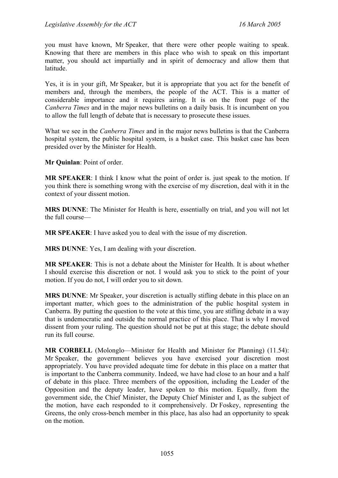you must have known, Mr Speaker, that there were other people waiting to speak. Knowing that there are members in this place who wish to speak on this important matter, you should act impartially and in spirit of democracy and allow them that latitude.

Yes, it is in your gift, Mr Speaker, but it is appropriate that you act for the benefit of members and, through the members, the people of the ACT. This is a matter of considerable importance and it requires airing. It is on the front page of the *Canberra Times* and in the major news bulletins on a daily basis. It is incumbent on you to allow the full length of debate that is necessary to prosecute these issues.

What we see in the *Canberra Times* and in the major news bulletins is that the Canberra hospital system, the public hospital system, is a basket case. This basket case has been presided over by the Minister for Health.

**Mr Quinlan**: Point of order.

**MR SPEAKER**: I think I know what the point of order is. just speak to the motion. If you think there is something wrong with the exercise of my discretion, deal with it in the context of your dissent motion.

**MRS DUNNE**: The Minister for Health is here, essentially on trial, and you will not let the full course—

**MR SPEAKER**: I have asked you to deal with the issue of my discretion.

**MRS DUNNE**: Yes, I am dealing with your discretion.

**MR SPEAKER**: This is not a debate about the Minister for Health. It is about whether I should exercise this discretion or not. I would ask you to stick to the point of your motion. If you do not, I will order you to sit down.

**MRS DUNNE**: Mr Speaker, your discretion is actually stifling debate in this place on an important matter, which goes to the administration of the public hospital system in Canberra. By putting the question to the vote at this time, you are stifling debate in a way that is undemocratic and outside the normal practice of this place. That is why I moved dissent from your ruling. The question should not be put at this stage; the debate should run its full course.

**MR CORBELL** (Molonglo—Minister for Health and Minister for Planning) (11.54): Mr Speaker, the government believes you have exercised your discretion most appropriately. You have provided adequate time for debate in this place on a matter that is important to the Canberra community. Indeed, we have had close to an hour and a half of debate in this place. Three members of the opposition, including the Leader of the Opposition and the deputy leader, have spoken to this motion. Equally, from the government side, the Chief Minister, the Deputy Chief Minister and I, as the subject of the motion, have each responded to it comprehensively. Dr Foskey, representing the Greens, the only cross-bench member in this place, has also had an opportunity to speak on the motion.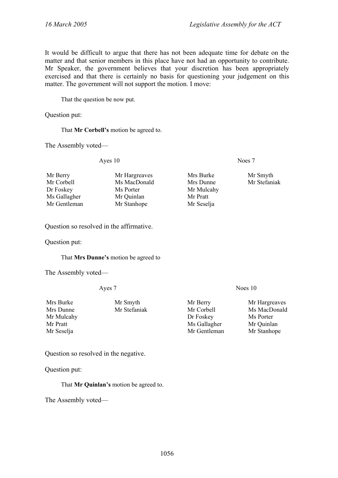It would be difficult to argue that there has not been adequate time for debate on the matter and that senior members in this place have not had an opportunity to contribute. Mr Speaker, the government believes that your discretion has been appropriately exercised and that there is certainly no basis for questioning your judgement on this matter. The government will not support the motion. I move:

That the question be now put.

Question put:

That **Mr Corbell's** motion be agreed to.

The Assembly voted—

Ayes 10 Noes 7

| Mr Smyth     |
|--------------|
| Mr Stefaniak |
|              |
|              |
|              |
|              |

Question so resolved in the affirmative.

Question put:

#### That **Mrs Dunne's** motion be agreed to

The Assembly voted—

Ayes 7 Noes 10

| Mrs Burke  | Mr Smyth     | Mr Berry     | Mr Hargreaves |
|------------|--------------|--------------|---------------|
| Mrs Dunne  | Mr Stefaniak | Mr Corbell   | Ms MacDonald  |
| Mr Mulcahy |              | Dr Foskey    | Ms Porter     |
| Mr Pratt   |              | Ms Gallagher | Mr Quinlan    |
| Mr Seselja |              | Mr Gentleman | Mr Stanhope   |

Question so resolved in the negative.

Question put:

That **Mr Quinlan's** motion be agreed to.

The Assembly voted—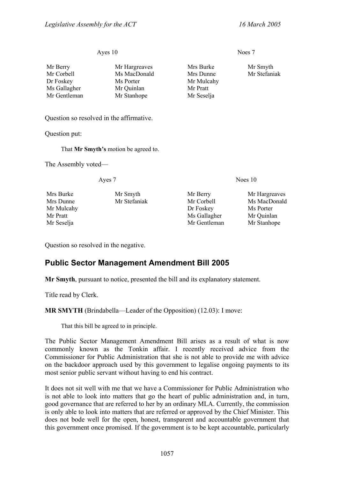#### Ayes 10 Noes 7

| Mr Berry     | Mr Hargreaves | Mrs Burke  | Mr Smyth     |
|--------------|---------------|------------|--------------|
| Mr Corbell   | Ms MacDonald  | Mrs Dunne  | Mr Stefaniak |
| Dr Foskey    | Ms Porter     | Mr Mulcahy |              |
| Ms Gallagher | Mr Quinlan    | Mr Pratt   |              |
| Mr Gentleman | Mr Stanhope   | Mr Seselja |              |

Question so resolved in the affirmative.

Question put:

That **Mr Smyth's** motion be agreed to.

The Assembly voted—

Mrs Burke Mr Smyth Mr Berry Mr Hargreaves Mr Mulcahy **Dr Foskey** Ms Porter Mr Pratt Mr Sallagher Mr Ouinlan Mr Seselja Mr Gentleman Mr Stanhope

Ayes 7 Noes 10

Mrs Dunne Mr Stefaniak Mr Corbell Ms MacDonald

Question so resolved in the negative.

# <span id="page-24-0"></span>**Public Sector Management Amendment Bill 2005**

**Mr Smyth**, pursuant to notice, presented the bill and its explanatory statement.

Title read by Clerk.

**MR SMYTH** (Brindabella—Leader of the Opposition) (12.03): I move:

That this bill be agreed to in principle.

The Public Sector Management Amendment Bill arises as a result of what is now commonly known as the Tonkin affair. I recently received advice from the Commissioner for Public Administration that she is not able to provide me with advice on the backdoor approach used by this government to legalise ongoing payments to its most senior public servant without having to end his contract.

It does not sit well with me that we have a Commissioner for Public Administration who is not able to look into matters that go the heart of public administration and, in turn, good governance that are referred to her by an ordinary MLA. Currently, the commission is only able to look into matters that are referred or approved by the Chief Minister. This does not bode well for the open, honest, transparent and accountable government that this government once promised. If the government is to be kept accountable, particularly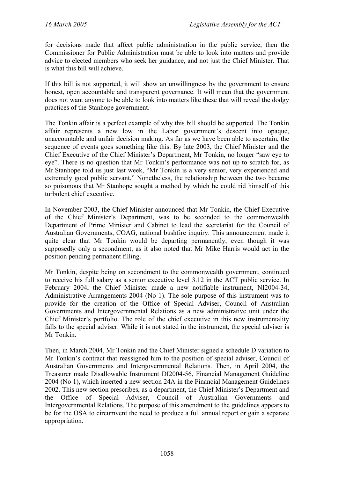for decisions made that affect public administration in the public service, then the Commissioner for Public Administration must be able to look into matters and provide advice to elected members who seek her guidance, and not just the Chief Minister. That is what this bill will achieve.

If this bill is not supported, it will show an unwillingness by the government to ensure honest, open accountable and transparent governance. It will mean that the government does not want anyone to be able to look into matters like these that will reveal the dodgy practices of the Stanhope government.

The Tonkin affair is a perfect example of why this bill should be supported. The Tonkin affair represents a new low in the Labor government's descent into opaque, unaccountable and unfair decision making. As far as we have been able to ascertain, the sequence of events goes something like this. By late 2003, the Chief Minister and the Chief Executive of the Chief Minister's Department, Mr Tonkin, no longer "saw eye to eye". There is no question that Mr Tonkin's performance was not up to scratch for, as Mr Stanhope told us just last week, "Mr Tonkin is a very senior, very experienced and extremely good public servant." Nonetheless, the relationship between the two became so poisonous that Mr Stanhope sought a method by which he could rid himself of this turbulent chief executive.

In November 2003, the Chief Minister announced that Mr Tonkin, the Chief Executive of the Chief Minister's Department, was to be seconded to the commonwealth Department of Prime Minister and Cabinet to lead the secretariat for the Council of Australian Governments, COAG, national bushfire inquiry. This announcement made it quite clear that Mr Tonkin would be departing permanently, even though it was supposedly only a secondment, as it also noted that Mr Mike Harris would act in the position pending permanent filling.

Mr Tonkin, despite being on secondment to the commonwealth government, continued to receive his full salary as a senior executive level 3.12 in the ACT public service. In February 2004, the Chief Minister made a new notifiable instrument, NI2004-34, Administrative Arrangements 2004 (No 1). The sole purpose of this instrument was to provide for the creation of the Office of Special Adviser, Council of Australian Governments and Intergovernmental Relations as a new administrative unit under the Chief Minister's portfolio. The role of the chief executive in this new instrumentality falls to the special adviser. While it is not stated in the instrument, the special adviser is Mr Tonkin.

Then, in March 2004, Mr Tonkin and the Chief Minister signed a schedule D variation to Mr Tonkin's contract that reassigned him to the position of special adviser, Council of Australian Governments and Intergovernmental Relations. Then, in April 2004, the Treasurer made Disallowable Instrument DI2004-56, Financial Management Guideline 2004 (No 1), which inserted a new section 24A in the Financial Management Guidelines 2002. This new section prescribes, as a department, the Chief Minister's Department and the Office of Special Adviser, Council of Australian Governments and Intergovernmental Relations. The purpose of this amendment to the guidelines appears to be for the OSA to circumvent the need to produce a full annual report or gain a separate appropriation.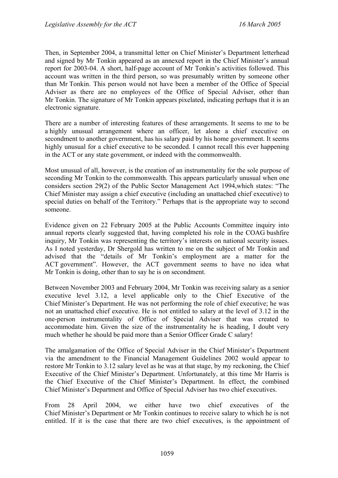Then, in September 2004, a transmittal letter on Chief Minister's Department letterhead and signed by Mr Tonkin appeared as an annexed report in the Chief Minister's annual report for 2003-04. A short, half-page account of Mr Tonkin's activities followed. This account was written in the third person, so was presumably written by someone other than Mr Tonkin. This person would not have been a member of the Office of Special Adviser as there are no employees of the Office of Special Adviser, other than Mr Tonkin. The signature of Mr Tonkin appears pixelated, indicating perhaps that it is an electronic signature.

There are a number of interesting features of these arrangements. It seems to me to be a highly unusual arrangement where an officer, let alone a chief executive on secondment to another government, has his salary paid by his home government. It seems highly unusual for a chief executive to be seconded. I cannot recall this ever happening in the ACT or any state government, or indeed with the commonwealth.

Most unusual of all, however, is the creation of an instrumentality for the sole purpose of seconding Mr Tonkin to the commonwealth. This appears particularly unusual when one considers section 29(2) of the Public Sector Management Act 1994,which states: "The Chief Minister may assign a chief executive (including an unattached chief executive) to special duties on behalf of the Territory." Perhaps that is the appropriate way to second someone.

Evidence given on 22 February 2005 at the Public Accounts Committee inquiry into annual reports clearly suggested that, having completed his role in the COAG bushfire inquiry, Mr Tonkin was representing the territory's interests on national security issues. As I noted yesterday, Dr Shergold has written to me on the subject of Mr Tonkin and advised that the "details of Mr Tonkin's employment are a matter for the ACT government". However, the ACT government seems to have no idea what Mr Tonkin is doing, other than to say he is on secondment.

Between November 2003 and February 2004, Mr Tonkin was receiving salary as a senior executive level 3.12, a level applicable only to the Chief Executive of the Chief Minister's Department. He was not performing the role of chief executive; he was not an unattached chief executive. He is not entitled to salary at the level of 3.12 in the one-person instrumentality of Office of Special Adviser that was created to accommodate him. Given the size of the instrumentality he is heading, I doubt very much whether he should be paid more than a Senior Officer Grade C salary!

The amalgamation of the Office of Special Adviser in the Chief Minister's Department via the amendment to the Financial Management Guidelines 2002 would appear to restore Mr Tonkin to 3.12 salary level as he was at that stage, by my reckoning, the Chief Executive of the Chief Minister's Department. Unfortunately, at this time Mr Harris is the Chief Executive of the Chief Minister's Department. In effect, the combined Chief Minister's Department and Office of Special Adviser has two chief executives.

From 28 April 2004, we either have two chief executives of the Chief Minister's Department or Mr Tonkin continues to receive salary to which he is not entitled. If it is the case that there are two chief executives, is the appointment of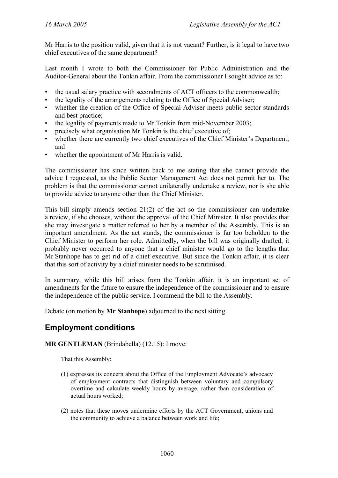Mr Harris to the position valid, given that it is not vacant? Further, is it legal to have two chief executives of the same department?

Last month I wrote to both the Commissioner for Public Administration and the Auditor-General about the Tonkin affair. From the commissioner I sought advice as to:

- the usual salary practice with secondments of ACT officers to the commonwealth;
- the legality of the arrangements relating to the Office of Special Adviser;
- whether the creation of the Office of Special Adviser meets public sector standards and best practice;
- the legality of payments made to Mr Tonkin from mid-November 2003;
- precisely what organisation Mr Tonkin is the chief executive of;
- whether there are currently two chief executives of the Chief Minister's Department; and
- whether the appointment of Mr Harris is valid.

The commissioner has since written back to me stating that she cannot provide the advice I requested, as the Public Sector Management Act does not permit her to. The problem is that the commissioner cannot unilaterally undertake a review, nor is she able to provide advice to anyone other than the Chief Minister.

This bill simply amends section 21(2) of the act so the commissioner can undertake a review, if she chooses, without the approval of the Chief Minister. It also provides that she may investigate a matter referred to her by a member of the Assembly. This is an important amendment. As the act stands, the commissioner is far too beholden to the Chief Minister to perform her role. Admittedly, when the bill was originally drafted, it probably never occurred to anyone that a chief minister would go to the lengths that Mr Stanhope has to get rid of a chief executive. But since the Tonkin affair, it is clear that this sort of activity by a chief minister needs to be scrutinised.

In summary, while this bill arises from the Tonkin affair, it is an important set of amendments for the future to ensure the independence of the commissioner and to ensure the independence of the public service. I commend the bill to the Assembly.

Debate (on motion by **Mr Stanhope**) adjourned to the next sitting.

# <span id="page-27-0"></span>**Employment conditions**

### **MR GENTLEMAN** (Brindabella) (12.15): I move:

That this Assembly:

- (1) expresses its concern about the Office of the Employment Advocate's advocacy of employment contracts that distinguish between voluntary and compulsory overtime and calculate weekly hours by average, rather than consideration of actual hours worked;
- (2) notes that these moves undermine efforts by the ACT Government, unions and the community to achieve a balance between work and life;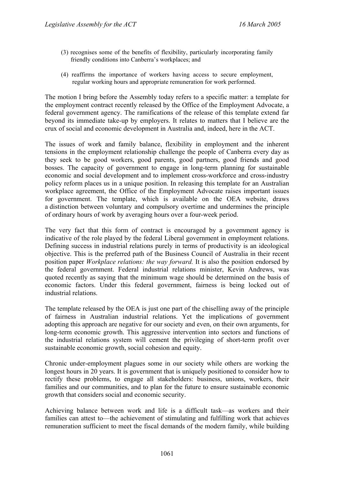- (3) recognises some of the benefits of flexibility, particularly incorporating family friendly conditions into Canberra's workplaces; and
- (4) reaffirms the importance of workers having access to secure employment, regular working hours and appropriate remuneration for work performed.

The motion I bring before the Assembly today refers to a specific matter: a template for the employment contract recently released by the Office of the Employment Advocate, a federal government agency. The ramifications of the release of this template extend far beyond its immediate take-up by employers. It relates to matters that I believe are the crux of social and economic development in Australia and, indeed, here in the ACT.

The issues of work and family balance, flexibility in employment and the inherent tensions in the employment relationship challenge the people of Canberra every day as they seek to be good workers, good parents, good partners, good friends and good bosses. The capacity of government to engage in long-term planning for sustainable economic and social development and to implement cross-workforce and cross-industry policy reform places us in a unique position. In releasing this template for an Australian workplace agreement, the Office of the Employment Advocate raises important issues for government. The template, which is available on the OEA website, draws a distinction between voluntary and compulsory overtime and undermines the principle of ordinary hours of work by averaging hours over a four-week period.

The very fact that this form of contract is encouraged by a government agency is indicative of the role played by the federal Liberal government in employment relations. Defining success in industrial relations purely in terms of productivity is an ideological objective. This is the preferred path of the Business Council of Australia in their recent position paper *Workplace relations: the way forward.* It is also the position endorsed by the federal government. Federal industrial relations minister, Kevin Andrews, was quoted recently as saying that the minimum wage should be determined on the basis of economic factors. Under this federal government, fairness is being locked out of industrial relations.

The template released by the OEA is just one part of the chiselling away of the principle of fairness in Australian industrial relations. Yet the implications of government adopting this approach are negative for our society and even, on their own arguments, for long-term economic growth. This aggressive intervention into sectors and functions of the industrial relations system will cement the privileging of short-term profit over sustainable economic growth, social cohesion and equity.

Chronic under-employment plagues some in our society while others are working the longest hours in 20 years. It is government that is uniquely positioned to consider how to rectify these problems, to engage all stakeholders: business, unions, workers, their families and our communities, and to plan for the future to ensure sustainable economic growth that considers social and economic security.

Achieving balance between work and life is a difficult task—as workers and their families can attest to—the achievement of stimulating and fulfilling work that achieves remuneration sufficient to meet the fiscal demands of the modern family, while building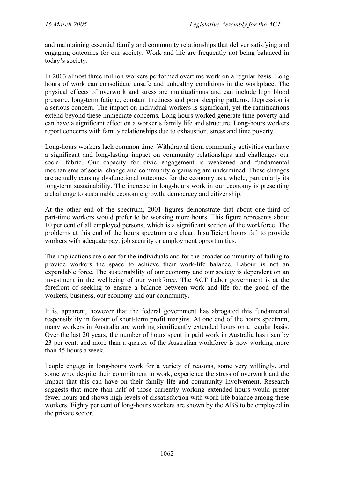and maintaining essential family and community relationships that deliver satisfying and engaging outcomes for our society. Work and life are frequently not being balanced in today's society.

In 2003 almost three million workers performed overtime work on a regular basis. Long hours of work can consolidate unsafe and unhealthy conditions in the workplace. The physical effects of overwork and stress are multitudinous and can include high blood pressure, long-term fatigue, constant tiredness and poor sleeping patterns. Depression is a serious concern. The impact on individual workers is significant, yet the ramifications extend beyond these immediate concerns. Long hours worked generate time poverty and can have a significant effect on a worker's family life and structure. Long-hours workers report concerns with family relationships due to exhaustion, stress and time poverty.

Long-hours workers lack common time. Withdrawal from community activities can have a significant and long-lasting impact on community relationships and challenges our social fabric. Our capacity for civic engagement is weakened and fundamental mechanisms of social change and community organising are undermined. These changes are actually causing dysfunctional outcomes for the economy as a whole, particularly its long-term sustainability. The increase in long-hours work in our economy is presenting a challenge to sustainable economic growth, democracy and citizenship.

At the other end of the spectrum, 2001 figures demonstrate that about one-third of part-time workers would prefer to be working more hours. This figure represents about 10 per cent of all employed persons, which is a significant section of the workforce. The problems at this end of the hours spectrum are clear. Insufficient hours fail to provide workers with adequate pay, job security or employment opportunities.

The implications are clear for the individuals and for the broader community of failing to provide workers the space to achieve their work-life balance. Labour is not an expendable force. The sustainability of our economy and our society is dependent on an investment in the wellbeing of our workforce. The ACT Labor government is at the forefront of seeking to ensure a balance between work and life for the good of the workers, business, our economy and our community.

It is, apparent, however that the federal government has abrogated this fundamental responsibility in favour of short-term profit margins. At one end of the hours spectrum, many workers in Australia are working significantly extended hours on a regular basis. Over the last 20 years, the number of hours spent in paid work in Australia has risen by 23 per cent, and more than a quarter of the Australian workforce is now working more than 45 hours a week.

People engage in long-hours work for a variety of reasons, some very willingly, and some who, despite their commitment to work, experience the stress of overwork and the impact that this can have on their family life and community involvement. Research suggests that more than half of those currently working extended hours would prefer fewer hours and shows high levels of dissatisfaction with work-life balance among these workers. Eighty per cent of long-hours workers are shown by the ABS to be employed in the private sector.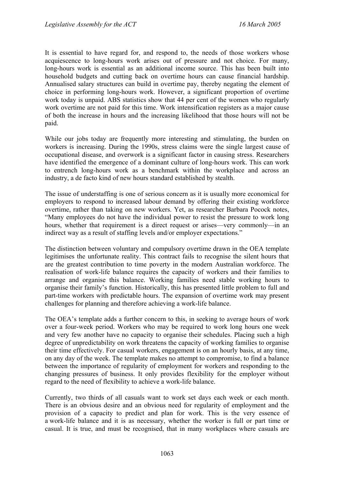It is essential to have regard for, and respond to, the needs of those workers whose acquiescence to long-hours work arises out of pressure and not choice. For many, long-hours work is essential as an additional income source. This has been built into household budgets and cutting back on overtime hours can cause financial hardship. Annualised salary structures can build in overtime pay, thereby negating the element of choice in performing long-hours work. However, a significant proportion of overtime work today is unpaid. ABS statistics show that 44 per cent of the women who regularly work overtime are not paid for this time. Work intensification registers as a major cause of both the increase in hours and the increasing likelihood that those hours will not be paid.

While our jobs today are frequently more interesting and stimulating, the burden on workers is increasing. During the 1990s, stress claims were the single largest cause of occupational disease, and overwork is a significant factor in causing stress. Researchers have identified the emergence of a dominant culture of long-hours work. This can work to entrench long-hours work as a benchmark within the workplace and across an industry, a de facto kind of new hours standard established by stealth.

The issue of understaffing is one of serious concern as it is usually more economical for employers to respond to increased labour demand by offering their existing workforce overtime, rather than taking on new workers. Yet, as researcher Barbara Pocock notes, "Many employees do not have the individual power to resist the pressure to work long hours, whether that requirement is a direct request or arises—very commonly—in an indirect way as a result of staffing levels and/or employer expectations."

The distinction between voluntary and compulsory overtime drawn in the OEA template legitimises the unfortunate reality. This contract fails to recognise the silent hours that are the greatest contribution to time poverty in the modern Australian workforce. The realisation of work-life balance requires the capacity of workers and their families to arrange and organise this balance. Working families need stable working hours to organise their family's function. Historically, this has presented little problem to full and part-time workers with predictable hours. The expansion of overtime work may present challenges for planning and therefore achieving a work-life balance.

The OEA's template adds a further concern to this, in seeking to average hours of work over a four-week period. Workers who may be required to work long hours one week and very few another have no capacity to organise their schedules. Placing such a high degree of unpredictability on work threatens the capacity of working families to organise their time effectively. For casual workers, engagement is on an hourly basis, at any time, on any day of the week. The template makes no attempt to compromise, to find a balance between the importance of regularity of employment for workers and responding to the changing pressures of business. It only provides flexibility for the employer without regard to the need of flexibility to achieve a work-life balance.

Currently, two thirds of all casuals want to work set days each week or each month. There is an obvious desire and an obvious need for regularity of employment and the provision of a capacity to predict and plan for work. This is the very essence of a work-life balance and it is as necessary, whether the worker is full or part time or casual. It is true, and must be recognised, that in many workplaces where casuals are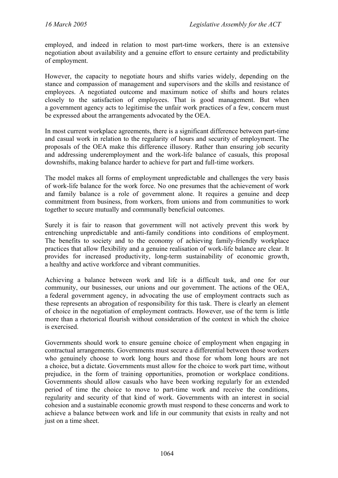employed, and indeed in relation to most part-time workers, there is an extensive negotiation about availability and a genuine effort to ensure certainty and predictability of employment.

However, the capacity to negotiate hours and shifts varies widely, depending on the stance and compassion of management and supervisors and the skills and resistance of employees. A negotiated outcome and maximum notice of shifts and hours relates closely to the satisfaction of employees. That is good management. But when a government agency acts to legitimise the unfair work practices of a few, concern must be expressed about the arrangements advocated by the OEA.

In most current workplace agreements, there is a significant difference between part-time and casual work in relation to the regularity of hours and security of employment. The proposals of the OEA make this difference illusory. Rather than ensuring job security and addressing underemployment and the work-life balance of casuals, this proposal downshifts, making balance harder to achieve for part and full-time workers.

The model makes all forms of employment unpredictable and challenges the very basis of work-life balance for the work force. No one presumes that the achievement of work and family balance is a role of government alone. It requires a genuine and deep commitment from business, from workers, from unions and from communities to work together to secure mutually and communally beneficial outcomes.

Surely it is fair to reason that government will not actively prevent this work by entrenching unpredictable and anti-family conditions into conditions of employment. The benefits to society and to the economy of achieving family-friendly workplace practices that allow flexibility and a genuine realisation of work-life balance are clear. It provides for increased productivity, long-term sustainability of economic growth, a healthy and active workforce and vibrant communities.

Achieving a balance between work and life is a difficult task, and one for our community, our businesses, our unions and our government. The actions of the OEA, a federal government agency, in advocating the use of employment contracts such as these represents an abrogation of responsibility for this task. There is clearly an element of choice in the negotiation of employment contracts. However, use of the term is little more than a rhetorical flourish without consideration of the context in which the choice is exercised.

Governments should work to ensure genuine choice of employment when engaging in contractual arrangements. Governments must secure a differential between those workers who genuinely choose to work long hours and those for whom long hours are not a choice, but a dictate. Governments must allow for the choice to work part time, without prejudice, in the form of training opportunities, promotion or workplace conditions. Governments should allow casuals who have been working regularly for an extended period of time the choice to move to part-time work and receive the conditions, regularity and security of that kind of work. Governments with an interest in social cohesion and a sustainable economic growth must respond to these concerns and work to achieve a balance between work and life in our community that exists in realty and not just on a time sheet.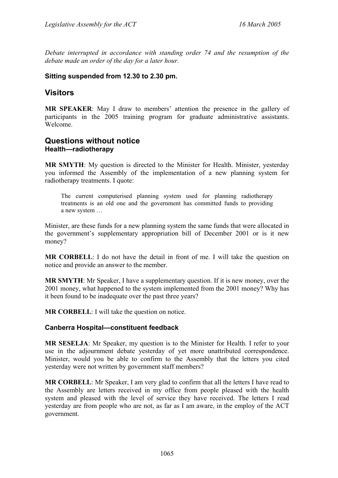*Debate interrupted in accordance with standing order 74 and the resumption of the debate made an order of the day for a later hour.* 

# **Sitting suspended from 12.30 to 2.30 pm.**

# <span id="page-32-0"></span>**Visitors**

**MR SPEAKER**: May I draw to members' attention the presence in the gallery of participants in the 2005 training program for graduate administrative assistants. Welcome.

# <span id="page-32-1"></span>**Questions without notice Health—radiotherapy**

**MR SMYTH**: My question is directed to the Minister for Health. Minister, yesterday you informed the Assembly of the implementation of a new planning system for radiotherapy treatments. I quote:

The current computerised planning system used for planning radiotherapy treatments is an old one and the government has committed funds to providing a new system …

Minister, are these funds for a new planning system the same funds that were allocated in the government's supplementary appropriation bill of December 2001 or is it new money?

**MR CORBELL**: I do not have the detail in front of me. I will take the question on notice and provide an answer to the member.

**MR SMYTH**: Mr Speaker, I have a supplementary question. If it is new money, over the 2001 money, what happened to the system implemented from the 2001 money? Why has it been found to be inadequate over the past three years?

**MR CORBELL**: I will take the question on notice.

# <span id="page-32-2"></span>**Canberra Hospital—constituent feedback**

**MR SESELJA**: Mr Speaker, my question is to the Minister for Health. I refer to your use in the adjournment debate yesterday of yet more unattributed correspondence. Minister, would you be able to confirm to the Assembly that the letters you cited yesterday were not written by government staff members?

**MR CORBELL**: Mr Speaker, I am very glad to confirm that all the letters I have read to the Assembly are letters received in my office from people pleased with the health system and pleased with the level of service they have received. The letters I read yesterday are from people who are not, as far as I am aware, in the employ of the ACT government.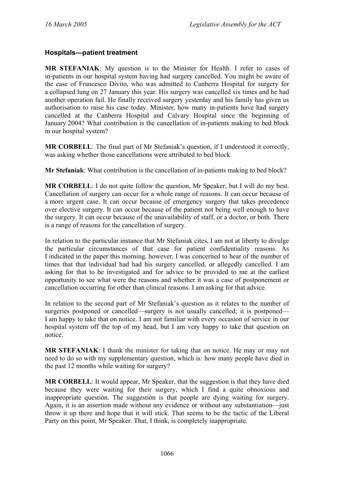## <span id="page-33-0"></span>**Hospitals—patient treatment**

**MR STEFANIAK**: My question is to the Minister for Health. I refer to cases of in-patients in our hospital system having had surgery cancelled. You might be aware of the case of Francesco Divito, who was admitted to Canberra Hospital for surgery for a collapsed lung on 27 January this year. His surgery was cancelled six times and he had another operation fail. He finally received surgery yesterday and his family has given us authorisation to raise his case today. Minister, how many in-patients have had surgery cancelled at the Canberra Hospital and Calvary Hospital since the beginning of January 2004? What contribution is the cancellation of in-patients making to bed block in our hospital system?

**MR CORBELL**: The final part of Mr Stefaniak's question, if I understood it correctly, was asking whether those cancellations were attributed to bed block.

**Mr Stefaniak**: What contribution is the cancellation of in-patients making to bed block?

**MR CORBELL**: I do not quite follow the question, Mr Speaker, but I will do my best. Cancellation of surgery can occur for a whole range of reasons. It can occur because of a more urgent case. It can occur because of emergency surgery that takes precedence over elective surgery. It can occur because of the patient not being well enough to have the surgery. It can occur because of the unavailability of staff, or a doctor, or both. There is a range of reasons for the cancellation of surgery.

In relation to the particular instance that Mr Stefaniak cites, I am not at liberty to divulge the particular circumstances of that case for patient confidentiality reasons. As I indicated in the paper this morning, however, I was concerned to hear of the number of times that that individual had had his surgery cancelled, or allegedly cancelled. I am asking for that to be investigated and for advice to be provided to me at the earliest opportunity to see what were the reasons and whether it was a case of postponement or cancellation occurring for other than clinical reasons. I am asking for that advice.

In relation to the second part of Mr Stefaniak's question as it relates to the number of surgeries postponed or cancelled—surgery is not usually cancelled; it is postponed— I am happy to take that on notice. I am not familiar with every occasion of service in our hospital system off the top of my head, but I am very happy to take that question on notice.

**MR STEFANIAK**: I thank the minister for taking that on notice. He may or may not need to do so with my supplementary question, which is: how many people have died in the past 12 months while waiting for surgery?

**MR CORBELL**: It would appear, Mr Speaker, that the suggestion is that they have died because they were waiting for their surgery, which I find a quite obnoxious and inappropriate question. The suggestion is that people are dying waiting for surgery. Again, it is an assertion made without any evidence or without any substantiation—just throw it up there and hope that it will stick. That seems to be the tactic of the Liberal Party on this point, Mr Speaker. That, I think, is completely inappropriate.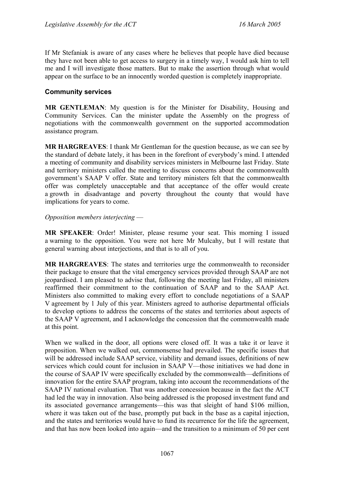If Mr Stefaniak is aware of any cases where he believes that people have died because they have not been able to get access to surgery in a timely way, I would ask him to tell me and I will investigate those matters. But to make the assertion through what would appear on the surface to be an innocently worded question is completely inappropriate.

## <span id="page-34-0"></span>**Community services**

**MR GENTLEMAN**: My question is for the Minister for Disability, Housing and Community Services. Can the minister update the Assembly on the progress of negotiations with the commonwealth government on the supported accommodation assistance program.

**MR HARGREAVES**: I thank Mr Gentleman for the question because, as we can see by the standard of debate lately, it has been in the forefront of everybody's mind. I attended a meeting of community and disability services ministers in Melbourne last Friday. State and territory ministers called the meeting to discuss concerns about the commonwealth government's SAAP V offer. State and territory ministers felt that the commonwealth offer was completely unacceptable and that acceptance of the offer would create a growth in disadvantage and poverty throughout the county that would have implications for years to come.

#### *Opposition members interjecting* —

**MR SPEAKER**: Order! Minister, please resume your seat. This morning I issued a warning to the opposition. You were not here Mr Mulcahy, but I will restate that general warning about interjections, and that is to all of you.

**MR HARGREAVES**: The states and territories urge the commonwealth to reconsider their package to ensure that the vital emergency services provided through SAAP are not jeopardised. I am pleased to advise that, following the meeting last Friday, all ministers reaffirmed their commitment to the continuation of SAAP and to the SAAP Act. Ministers also committed to making every effort to conclude negotiations of a SAAP V agreement by 1 July of this year. Ministers agreed to authorise departmental officials to develop options to address the concerns of the states and territories about aspects of the SAAP V agreement, and I acknowledge the concession that the commonwealth made at this point.

When we walked in the door, all options were closed off. It was a take it or leave it proposition. When we walked out, commonsense had prevailed. The specific issues that will be addressed include SAAP service, viability and demand issues, definitions of new services which could count for inclusion in SAAP V—those initiatives we had done in the course of SAAP IV were specifically excluded by the commonwealth—definitions of innovation for the entire SAAP program, taking into account the recommendations of the SAAP IV national evaluation. That was another concession because in the fact the ACT had led the way in innovation. Also being addressed is the proposed investment fund and its associated governance arrangements—this was that sleight of hand \$106 million, where it was taken out of the base, promptly put back in the base as a capital injection, and the states and territories would have to fund its recurrence for the life the agreement, and that has now been looked into again—and the transition to a minimum of 50 per cent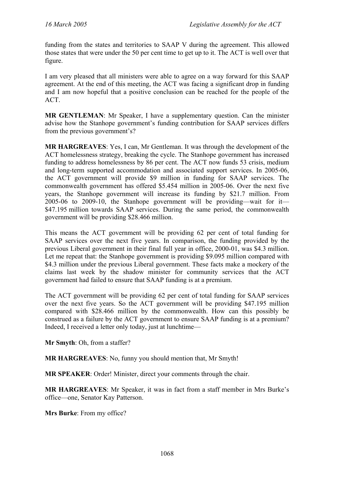funding from the states and territories to SAAP V during the agreement. This allowed those states that were under the 50 per cent time to get up to it. The ACT is well over that figure.

I am very pleased that all ministers were able to agree on a way forward for this SAAP agreement. At the end of this meeting, the ACT was facing a significant drop in funding and I am now hopeful that a positive conclusion can be reached for the people of the ACT.

**MR GENTLEMAN:** Mr Speaker, I have a supplementary question. Can the minister advise how the Stanhope government's funding contribution for SAAP services differs from the previous government's?

**MR HARGREAVES**: Yes, I can, Mr Gentleman. It was through the development of the ACT homelessness strategy, breaking the cycle. The Stanhope government has increased funding to address homelessness by 86 per cent. The ACT now funds 53 crisis, medium and long-term supported accommodation and associated support services. In 2005-06, the ACT government will provide \$9 million in funding for SAAP services. The commonwealth government has offered \$5.454 million in 2005-06. Over the next five years, the Stanhope government will increase its funding by \$21.7 million. From 2005-06 to 2009-10, the Stanhope government will be providing—wait for it— \$47.195 million towards SAAP services. During the same period, the commonwealth government will be providing \$28.466 million.

This means the ACT government will be providing 62 per cent of total funding for SAAP services over the next five years. In comparison, the funding provided by the previous Liberal government in their final full year in office, 2000-01, was \$4.3 million. Let me repeat that: the Stanhope government is providing \$9.095 million compared with \$4.3 million under the previous Liberal government. These facts make a mockery of the claims last week by the shadow minister for community services that the ACT government had failed to ensure that SAAP funding is at a premium.

The ACT government will be providing 62 per cent of total funding for SAAP services over the next five years. So the ACT government will be providing \$47.195 million compared with \$28.466 million by the commonwealth. How can this possibly be construed as a failure by the ACT government to ensure SAAP funding is at a premium? Indeed, I received a letter only today, just at lunchtime—

**Mr Smyth**: Oh, from a staffer?

**MR HARGREAVES**: No, funny you should mention that, Mr Smyth!

**MR SPEAKER**: Order! Minister, direct your comments through the chair.

**MR HARGREAVES**: Mr Speaker, it was in fact from a staff member in Mrs Burke's office—one, Senator Kay Patterson.

**Mrs Burke**: From my office?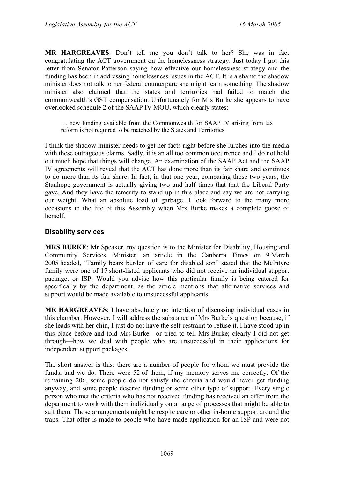**MR HARGREAVES**: Don't tell me you don't talk to her? She was in fact congratulating the ACT government on the homelessness strategy. Just today I got this letter from Senator Patterson saying how effective our homelessness strategy and the funding has been in addressing homelessness issues in the ACT. It is a shame the shadow minister does not talk to her federal counterpart; she might learn something. The shadow minister also claimed that the states and territories had failed to match the commonwealth's GST compensation. Unfortunately for Mrs Burke she appears to have overlooked schedule 2 of the SAAP IV MOU, which clearly states:

… new funding available from the Commonwealth for SAAP IV arising from tax reform is not required to be matched by the States and Territories.

I think the shadow minister needs to get her facts right before she lurches into the media with these outrageous claims. Sadly, it is an all too common occurrence and I do not hold out much hope that things will change. An examination of the SAAP Act and the SAAP IV agreements will reveal that the ACT has done more than its fair share and continues to do more than its fair share. In fact, in that one year, comparing those two years, the Stanhope government is actually giving two and half times that that the Liberal Party gave. And they have the temerity to stand up in this place and say we are not carrying our weight. What an absolute load of garbage. I look forward to the many more occasions in the life of this Assembly when Mrs Burke makes a complete goose of herself.

#### **Disability services**

**MRS BURKE**: Mr Speaker, my question is to the Minister for Disability, Housing and Community Services. Minister, an article in the Canberra Times on 9 March 2005 headed, "Family bears burden of care for disabled son" stated that the McIntyre family were one of 17 short-listed applicants who did not receive an individual support package, or ISP. Would you advise how this particular family is being catered for specifically by the department, as the article mentions that alternative services and support would be made available to unsuccessful applicants.

**MR HARGREAVES**: I have absolutely no intention of discussing individual cases in this chamber. However, I will address the substance of Mrs Burke's question because, if she leads with her chin, I just do not have the self-restraint to refuse it. I have stood up in this place before and told Mrs Burke—or tried to tell Mrs Burke; clearly I did not get through—how we deal with people who are unsuccessful in their applications for independent support packages.

The short answer is this: there are a number of people for whom we must provide the funds, and we do. There were 52 of them, if my memory serves me correctly. Of the remaining 206, some people do not satisfy the criteria and would never get funding anyway, and some people deserve funding or some other type of support. Every single person who met the criteria who has not received funding has received an offer from the department to work with them individually on a range of processes that might be able to suit them. Those arrangements might be respite care or other in-home support around the traps. That offer is made to people who have made application for an ISP and were not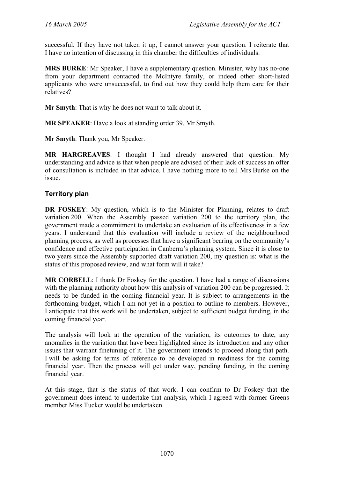successful. If they have not taken it up, I cannot answer your question. I reiterate that I have no intention of discussing in this chamber the difficulties of individuals.

**MRS BURKE**: Mr Speaker, I have a supplementary question. Minister, why has no-one from your department contacted the McIntyre family, or indeed other short-listed applicants who were unsuccessful, to find out how they could help them care for their relatives?

**Mr Smyth**: That is why he does not want to talk about it.

**MR SPEAKER**: Have a look at standing order 39, Mr Smyth.

**Mr Smyth**: Thank you, Mr Speaker.

**MR HARGREAVES**: I thought I had already answered that question. My understanding and advice is that when people are advised of their lack of success an offer of consultation is included in that advice. I have nothing more to tell Mrs Burke on the issue.

# **Territory plan**

**DR FOSKEY**: My question, which is to the Minister for Planning, relates to draft variation 200. When the Assembly passed variation 200 to the territory plan, the government made a commitment to undertake an evaluation of its effectiveness in a few years. I understand that this evaluation will include a review of the neighbourhood planning process, as well as processes that have a significant bearing on the community's confidence and effective participation in Canberra's planning system. Since it is close to two years since the Assembly supported draft variation 200, my question is: what is the status of this proposed review, and what form will it take?

**MR CORBELL**: I thank Dr Foskey for the question. I have had a range of discussions with the planning authority about how this analysis of variation 200 can be progressed. It needs to be funded in the coming financial year. It is subject to arrangements in the forthcoming budget, which I am not yet in a position to outline to members. However, I anticipate that this work will be undertaken, subject to sufficient budget funding, in the coming financial year.

The analysis will look at the operation of the variation, its outcomes to date, any anomalies in the variation that have been highlighted since its introduction and any other issues that warrant finetuning of it. The government intends to proceed along that path. I will be asking for terms of reference to be developed in readiness for the coming financial year. Then the process will get under way, pending funding, in the coming financial year.

At this stage, that is the status of that work. I can confirm to Dr Foskey that the government does intend to undertake that analysis, which I agreed with former Greens member Miss Tucker would be undertaken.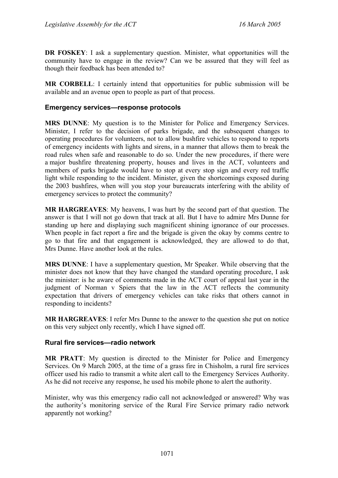**DR FOSKEY**: I ask a supplementary question. Minister, what opportunities will the community have to engage in the review? Can we be assured that they will feel as though their feedback has been attended to?

**MR CORBELL**: I certainly intend that opportunities for public submission will be available and an avenue open to people as part of that process.

#### **Emergency services—response protocols**

**MRS DUNNE**: My question is to the Minister for Police and Emergency Services. Minister, I refer to the decision of parks brigade, and the subsequent changes to operating procedures for volunteers, not to allow bushfire vehicles to respond to reports of emergency incidents with lights and sirens, in a manner that allows them to break the road rules when safe and reasonable to do so. Under the new procedures, if there were a major bushfire threatening property, houses and lives in the ACT, volunteers and members of parks brigade would have to stop at every stop sign and every red traffic light while responding to the incident. Minister, given the shortcomings exposed during the 2003 bushfires, when will you stop your bureaucrats interfering with the ability of emergency services to protect the community?

**MR HARGREAVES**: My heavens, I was hurt by the second part of that question. The answer is that I will not go down that track at all. But I have to admire Mrs Dunne for standing up here and displaying such magnificent shining ignorance of our processes. When people in fact report a fire and the brigade is given the okay by comms centre to go to that fire and that engagement is acknowledged, they are allowed to do that, Mrs Dunne. Have another look at the rules.

**MRS DUNNE**: I have a supplementary question, Mr Speaker. While observing that the minister does not know that they have changed the standard operating procedure, I ask the minister: is he aware of comments made in the ACT court of appeal last year in the judgment of Norman v Spiers that the law in the ACT reflects the community expectation that drivers of emergency vehicles can take risks that others cannot in responding to incidents?

**MR HARGREAVES**: I refer Mrs Dunne to the answer to the question she put on notice on this very subject only recently, which I have signed off.

#### **Rural fire services—radio network**

**MR PRATT**: My question is directed to the Minister for Police and Emergency Services. On 9 March 2005, at the time of a grass fire in Chisholm, a rural fire services officer used his radio to transmit a white alert call to the Emergency Services Authority. As he did not receive any response, he used his mobile phone to alert the authority.

Minister, why was this emergency radio call not acknowledged or answered? Why was the authority's monitoring service of the Rural Fire Service primary radio network apparently not working?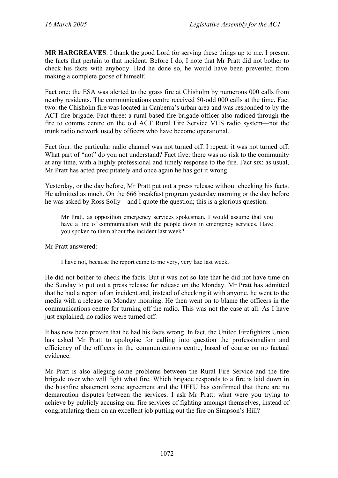**MR HARGREAVES**: I thank the good Lord for serving these things up to me. I present the facts that pertain to that incident. Before I do, I note that Mr Pratt did not bother to check his facts with anybody. Had he done so, he would have been prevented from making a complete goose of himself.

Fact one: the ESA was alerted to the grass fire at Chisholm by numerous 000 calls from nearby residents. The communications centre received 50-odd 000 calls at the time. Fact two: the Chisholm fire was located in Canberra's urban area and was responded to by the ACT fire brigade. Fact three: a rural based fire brigade officer also radioed through the fire to comms centre on the old ACT Rural Fire Service VHS radio system—not the trunk radio network used by officers who have become operational.

Fact four: the particular radio channel was not turned off. I repeat: it was not turned off. What part of "not" do you not understand? Fact five: there was no risk to the community at any time, with a highly professional and timely response to the fire. Fact six: as usual, Mr Pratt has acted precipitately and once again he has got it wrong.

Yesterday, or the day before, Mr Pratt put out a press release without checking his facts. He admitted as much. On the 666 breakfast program yesterday morning or the day before he was asked by Ross Solly—and I quote the question; this is a glorious question:

Mr Pratt, as opposition emergency services spokesman, I would assume that you have a line of communication with the people down in emergency services. Have you spoken to them about the incident last week?

Mr Pratt answered:

I have not, because the report came to me very, very late last week.

He did not bother to check the facts. But it was not so late that he did not have time on the Sunday to put out a press release for release on the Monday. Mr Pratt has admitted that he had a report of an incident and, instead of checking it with anyone, he went to the media with a release on Monday morning. He then went on to blame the officers in the communications centre for turning off the radio. This was not the case at all. As I have just explained, no radios were turned off.

It has now been proven that he had his facts wrong. In fact, the United Firefighters Union has asked Mr Pratt to apologise for calling into question the professionalism and efficiency of the officers in the communications centre, based of course on no factual evidence.

Mr Pratt is also alleging some problems between the Rural Fire Service and the fire brigade over who will fight what fire. Which brigade responds to a fire is laid down in the bushfire abatement zone agreement and the UFFU has confirmed that there are no demarcation disputes between the services. I ask Mr Pratt: what were you trying to achieve by publicly accusing our fire services of fighting amongst themselves, instead of congratulating them on an excellent job putting out the fire on Simpson's Hill?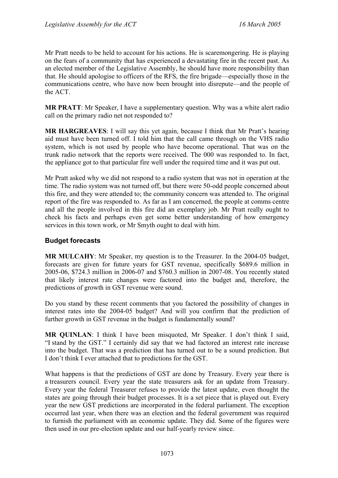Mr Pratt needs to be held to account for his actions. He is scaremongering. He is playing on the fears of a community that has experienced a devastating fire in the recent past. As an elected member of the Legislative Assembly, he should have more responsibility than that. He should apologise to officers of the RFS, the fire brigade—especially those in the communications centre, who have now been brought into disrepute—and the people of the ACT.

**MR PRATT**: Mr Speaker, I have a supplementary question. Why was a white alert radio call on the primary radio net not responded to?

**MR HARGREAVES**: I will say this yet again, because I think that Mr Pratt's hearing aid must have been turned off. I told him that the call came through on the VHS radio system, which is not used by people who have become operational. That was on the trunk radio network that the reports were received. The 000 was responded to. In fact, the appliance got to that particular fire well under the required time and it was put out.

Mr Pratt asked why we did not respond to a radio system that was not in operation at the time. The radio system was not turned off, but there were 50-odd people concerned about this fire, and they were attended to; the community concern was attended to. The original report of the fire was responded to. As far as I am concerned, the people at comms centre and all the people involved in this fire did an exemplary job. Mr Pratt really ought to check his facts and perhaps even get some better understanding of how emergency services in this town work, or Mr Smyth ought to deal with him.

# **Budget forecasts**

**MR MULCAHY**: Mr Speaker, my question is to the Treasurer. In the 2004-05 budget, forecasts are given for future years for GST revenue, specifically \$689.6 million in 2005-06, \$724.3 million in 2006-07 and \$760.3 million in 2007-08. You recently stated that likely interest rate changes were factored into the budget and, therefore, the predictions of growth in GST revenue were sound.

Do you stand by these recent comments that you factored the possibility of changes in interest rates into the 2004-05 budget? And will you confirm that the prediction of further growth in GST revenue in the budget is fundamentally sound?

**MR QUINLAN**: I think I have been misquoted, Mr Speaker. I don't think I said, "I stand by the GST." I certainly did say that we had factored an interest rate increase into the budget. That was a prediction that has turned out to be a sound prediction. But I don't think I ever attached that to predictions for the GST.

What happens is that the predictions of GST are done by Treasury. Every year there is a treasurers council. Every year the state treasurers ask for an update from Treasury. Every year the federal Treasurer refuses to provide the latest update, even thought the states are going through their budget processes. It is a set piece that is played out. Every year the new GST predictions are incorporated in the federal parliament. The exception occurred last year, when there was an election and the federal government was required to furnish the parliament with an economic update. They did. Some of the figures were then used in our pre-election update and our half-yearly review since.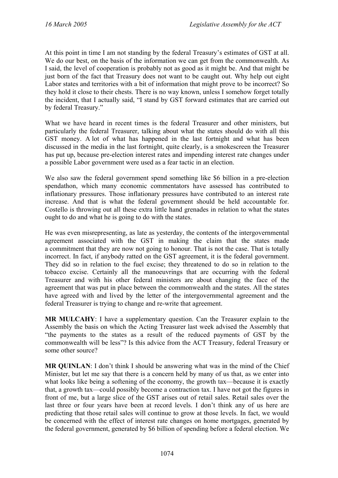At this point in time I am not standing by the federal Treasury's estimates of GST at all. We do our best, on the basis of the information we can get from the commonwealth. As I said, the level of cooperation is probably not as good as it might be. And that might be just born of the fact that Treasury does not want to be caught out. Why help out eight Labor states and territories with a bit of information that might prove to be incorrect? So they hold it close to their chests. There is no way known, unless I somehow forget totally the incident, that I actually said, "I stand by GST forward estimates that are carried out by federal Treasury."

What we have heard in recent times is the federal Treasurer and other ministers, but particularly the federal Treasurer, talking about what the states should do with all this GST money. A lot of what has happened in the last fortnight and what has been discussed in the media in the last fortnight, quite clearly, is a smokescreen the Treasurer has put up, because pre-election interest rates and impending interest rate changes under a possible Labor government were used as a fear tactic in an election.

We also saw the federal government spend something like \$6 billion in a pre-election spendathon, which many economic commentators have assessed has contributed to inflationary pressures. Those inflationary pressures have contributed to an interest rate increase. And that is what the federal government should be held accountable for. Costello is throwing out all these extra little hand grenades in relation to what the states ought to do and what he is going to do with the states.

He was even misrepresenting, as late as yesterday, the contents of the intergovernmental agreement associated with the GST in making the claim that the states made a commitment that they are now not going to honour. That is not the case. That is totally incorrect. In fact, if anybody ratted on the GST agreement, it is the federal government. They did so in relation to the fuel excise; they threatened to do so in relation to the tobacco excise. Certainly all the manoeuvrings that are occurring with the federal Treasurer and with his other federal ministers are about changing the face of the agreement that was put in place between the commonwealth and the states. All the states have agreed with and lived by the letter of the intergovernmental agreement and the federal Treasurer is trying to change and re-write that agreement.

**MR MULCAHY**: I have a supplementary question. Can the Treasurer explain to the Assembly the basis on which the Acting Treasurer last week advised the Assembly that "the payments to the states as a result of the reduced payments of GST by the commonwealth will be less"? Is this advice from the ACT Treasury, federal Treasury or some other source?

**MR QUINLAN**: I don't think I should be answering what was in the mind of the Chief Minister, but let me say that there is a concern held by many of us that, as we enter into what looks like being a softening of the economy, the growth tax—because it is exactly that, a growth tax—could possibly become a contraction tax. I have not got the figures in front of me, but a large slice of the GST arises out of retail sales. Retail sales over the last three or four years have been at record levels. I don't think any of us here are predicting that those retail sales will continue to grow at those levels. In fact, we would be concerned with the effect of interest rate changes on home mortgages, generated by the federal government, generated by \$6 billion of spending before a federal election. We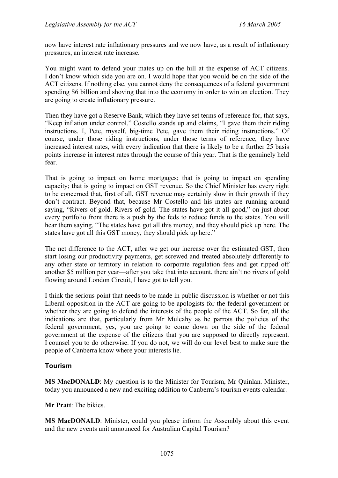now have interest rate inflationary pressures and we now have, as a result of inflationary pressures, an interest rate increase.

You might want to defend your mates up on the hill at the expense of ACT citizens. I don't know which side you are on. I would hope that you would be on the side of the ACT citizens. If nothing else, you cannot deny the consequences of a federal government spending \$6 billion and shoving that into the economy in order to win an election. They are going to create inflationary pressure.

Then they have got a Reserve Bank, which they have set terms of reference for, that says, "Keep inflation under control." Costello stands up and claims, "I gave them their riding instructions. I, Pete, myself, big-time Pete, gave them their riding instructions." Of course, under those riding instructions, under those terms of reference, they have increased interest rates, with every indication that there is likely to be a further 25 basis points increase in interest rates through the course of this year. That is the genuinely held fear.

That is going to impact on home mortgages; that is going to impact on spending capacity; that is going to impact on GST revenue. So the Chief Minister has every right to be concerned that, first of all, GST revenue may certainly slow in their growth if they don't contract. Beyond that, because Mr Costello and his mates are running around saying, "Rivers of gold. Rivers of gold. The states have got it all good," on just about every portfolio front there is a push by the feds to reduce funds to the states. You will hear them saying, "The states have got all this money, and they should pick up here. The states have got all this GST money, they should pick up here."

The net difference to the ACT, after we get our increase over the estimated GST, then start losing our productivity payments, get screwed and treated absolutely differently to any other state or territory in relation to corporate regulation fees and get ripped off another \$5 million per year—after you take that into account, there ain't no rivers of gold flowing around London Circuit, I have got to tell you.

I think the serious point that needs to be made in public discussion is whether or not this Liberal opposition in the ACT are going to be apologists for the federal government or whether they are going to defend the interests of the people of the ACT. So far, all the indications are that, particularly from Mr Mulcahy as he parrots the policies of the federal government, yes, you are going to come down on the side of the federal government at the expense of the citizens that you are supposed to directly represent. I counsel you to do otherwise. If you do not, we will do our level best to make sure the people of Canberra know where your interests lie.

# **Tourism**

**MS MacDONALD**: My question is to the Minister for Tourism, Mr Quinlan. Minister, today you announced a new and exciting addition to Canberra's tourism events calendar.

**Mr Pratt**: The bikies.

**MS MacDONALD**: Minister, could you please inform the Assembly about this event and the new events unit announced for Australian Capital Tourism?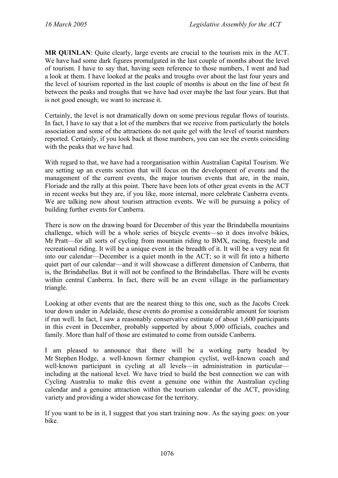**MR QUINLAN**: Quite clearly, large events are crucial to the tourism mix in the ACT. We have had some dark figures promulgated in the last couple of months about the level of tourism. I have to say that, having seen reference to those numbers, I went and had a look at them. I have looked at the peaks and troughs over about the last four years and the level of tourism reported in the last couple of months is about on the line of best fit between the peaks and troughs that we have had over maybe the last four years. But that is not good enough; we want to increase it.

Certainly, the level is not dramatically down on some previous regular flows of tourists. In fact, I have to say that a lot of the numbers that we receive from particularly the hotels association and some of the attractions do not quite gel with the level of tourist numbers reported. Certainly, if you look back at those numbers, you can see the events coinciding with the peaks that we have had.

With regard to that, we have had a reorganisation within Australian Capital Tourism. We are setting up an events section that will focus on the development of events and the management of the current events, the major tourism events that are, in the main, Floriade and the rally at this point. There have been lots of other great events in the ACT in recent weeks but they are, if you like, more internal, more celebrate Canberra events. We are talking now about tourism attraction events. We will be pursuing a policy of building further events for Canberra.

There is now on the drawing board for December of this year the Brindabella mountains challenge, which will be a whole series of bicycle events—so it does involve bikies, Mr Pratt—for all sorts of cycling from mountain riding to BMX, racing, freestyle and recreational riding. It will be a unique event in the breadth of it. It will be a very neat fit into our calendar—December is a quiet month in the ACT; so it will fit into a hitherto quiet part of our calendar—and it will showcase a different dimension of Canberra, that is, the Brindabellas. But it will not be confined to the Brindabellas. There will be events within central Canberra. In fact, there will be an event village in the parliamentary triangle.

Looking at other events that are the nearest thing to this one, such as the Jacobs Creek tour down under in Adelaide, these events do promise a considerable amount for tourism if run well. In fact, I saw a reasonably conservative estimate of about 1,600 participants in this event in December, probably supported by about 5,000 officials, coaches and family. More than half of those are estimated to come from outside Canberra.

I am pleased to announce that there will be a working party headed by Mr Stephen Hodge, a well-known former champion cyclist, well-known coach and well-known participant in cycling at all levels—in administration in particular including at the national level. We have tried to build the best connection we can with Cycling Australia to make this event a genuine one within the Australian cycling calendar and a genuine attraction within the tourism calendar of the ACT, providing variety and providing a wider showcase for the territory.

If you want to be in it, I suggest that you start training now. As the saying goes: on your bike.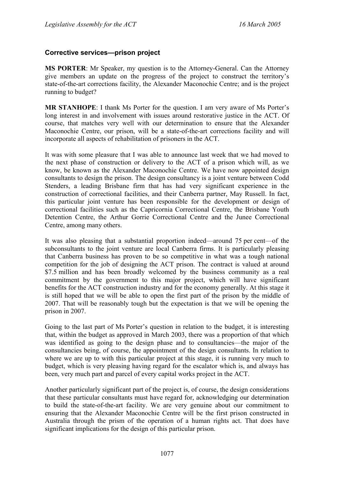# **Corrective services—prison project**

**MS PORTER**: Mr Speaker, my question is to the Attorney-General. Can the Attorney give members an update on the progress of the project to construct the territory's state-of-the-art corrections facility, the Alexander Maconochie Centre; and is the project running to budget?

**MR STANHOPE**: I thank Ms Porter for the question. I am very aware of Ms Porter's long interest in and involvement with issues around restorative justice in the ACT. Of course, that matches very well with our determination to ensure that the Alexander Maconochie Centre, our prison, will be a state-of-the-art corrections facility and will incorporate all aspects of rehabilitation of prisoners in the ACT.

It was with some pleasure that I was able to announce last week that we had moved to the next phase of construction or delivery to the ACT of a prison which will, as we know, be known as the Alexander Maconochie Centre. We have now appointed design consultants to design the prison. The design consultancy is a joint venture between Codd Stenders, a leading Brisbane firm that has had very significant experience in the construction of correctional facilities, and their Canberra partner, May Russell. In fact, this particular joint venture has been responsible for the development or design of correctional facilities such as the Capricornia Correctional Centre, the Brisbane Youth Detention Centre, the Arthur Gorrie Correctional Centre and the Junee Correctional Centre, among many others.

It was also pleasing that a substantial proportion indeed—around 75 per cent—of the subconsultants to the joint venture are local Canberra firms. It is particularly pleasing that Canberra business has proven to be so competitive in what was a tough national competition for the job of designing the ACT prison. The contract is valued at around \$7.5 million and has been broadly welcomed by the business community as a real commitment by the government to this major project, which will have significant benefits for the ACT construction industry and for the economy generally. At this stage it is still hoped that we will be able to open the first part of the prison by the middle of 2007. That will be reasonably tough but the expectation is that we will be opening the prison in 2007.

Going to the last part of Ms Porter's question in relation to the budget, it is interesting that, within the budget as approved in March 2003, there was a proportion of that which was identified as going to the design phase and to consultancies—the major of the consultancies being, of course, the appointment of the design consultants. In relation to where we are up to with this particular project at this stage, it is running very much to budget, which is very pleasing having regard for the escalator which is, and always has been, very much part and parcel of every capital works project in the ACT.

Another particularly significant part of the project is, of course, the design considerations that these particular consultants must have regard for, acknowledging our determination to build the state-of-the-art facility. We are very genuine about our commitment to ensuring that the Alexander Maconochie Centre will be the first prison constructed in Australia through the prism of the operation of a human rights act. That does have significant implications for the design of this particular prison.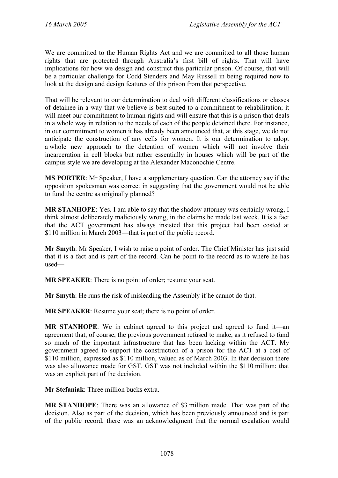We are committed to the Human Rights Act and we are committed to all those human rights that are protected through Australia's first bill of rights. That will have implications for how we design and construct this particular prison. Of course, that will be a particular challenge for Codd Stenders and May Russell in being required now to look at the design and design features of this prison from that perspective.

That will be relevant to our determination to deal with different classifications or classes of detainee in a way that we believe is best suited to a commitment to rehabilitation; it will meet our commitment to human rights and will ensure that this is a prison that deals in a whole way in relation to the needs of each of the people detained there. For instance, in our commitment to women it has already been announced that, at this stage, we do not anticipate the construction of any cells for women. It is our determination to adopt a whole new approach to the detention of women which will not involve their incarceration in cell blocks but rather essentially in houses which will be part of the campus style we are developing at the Alexander Maconochie Centre.

**MS PORTER**: Mr Speaker, I have a supplementary question. Can the attorney say if the opposition spokesman was correct in suggesting that the government would not be able to fund the centre as originally planned?

**MR STANHOPE**: Yes. I am able to say that the shadow attorney was certainly wrong, I think almost deliberately maliciously wrong, in the claims he made last week. It is a fact that the ACT government has always insisted that this project had been costed at \$110 million in March 2003—that is part of the public record.

**Mr Smyth**: Mr Speaker, I wish to raise a point of order. The Chief Minister has just said that it is a fact and is part of the record. Can he point to the record as to where he has used—

**MR SPEAKER**: There is no point of order; resume your seat.

**Mr Smyth**: He runs the risk of misleading the Assembly if he cannot do that.

**MR SPEAKER**: Resume your seat; there is no point of order.

**MR STANHOPE**: We in cabinet agreed to this project and agreed to fund it—an agreement that, of course, the previous government refused to make, as it refused to fund so much of the important infrastructure that has been lacking within the ACT. My government agreed to support the construction of a prison for the ACT at a cost of \$110 million, expressed as \$110 million, valued as of March 2003. In that decision there was also allowance made for GST. GST was not included within the \$110 million; that was an explicit part of the decision.

**Mr Stefaniak**: Three million bucks extra.

**MR STANHOPE**: There was an allowance of \$3 million made. That was part of the decision. Also as part of the decision, which has been previously announced and is part of the public record, there was an acknowledgment that the normal escalation would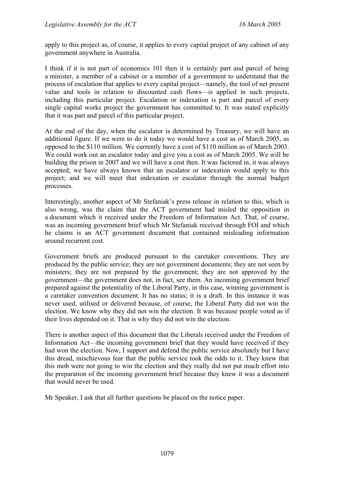apply to this project as, of course, it applies to every capital project of any cabinet of any government anywhere in Australia.

I think if it is not part of economics 101 then it is certainly part and parcel of being a minister, a member of a cabinet or a member of a government to understand that the process of escalation that applies to every capital project—namely, the tool of net present value and tools in relation to discounted cash flows—is applied in such projects, including this particular project. Escalation or indexation is part and parcel of every single capital works project the government has committed to. It was stated explicitly that it was part and parcel of this particular project.

At the end of the day, when the escalator is determined by Treasury, we will have an additional figure. If we were to do it today we would have a cost as of March 2005, as opposed to the \$110 million. We currently have a cost of \$110 million as of March 2003. We could work out an escalator today and give you a cost as of March 2005. We will be building the prison in 2007 and we will have a cost then. It was factored in, it was always accepted; we have always known that an escalator or indexation would apply to this project; and we will meet that indexation or escalator through the normal budget processes.

Interestingly, another aspect of Mr Stefaniak's press release in relation to this, which is also wrong, was the claim that the ACT government had misled the opposition in a document which it received under the Freedom of Information Act. That, of course, was an incoming government brief which Mr Stefaniak received through FOI and which he claims is an ACT government document that contained misleading information around recurrent cost.

Government briefs are produced pursuant to the caretaker conventions. They are produced by the public service; they are not government documents; they are not seen by ministers; they are not prepared by the government; they are not approved by the government—the government does not, in fact, see them. An incoming government brief prepared against the potentiality of the Liberal Party, in this case, winning government is a caretaker convention document. It has no status; it is a draft. In this instance it was never used, utilised or delivered because, of course, the Liberal Party did not win the election. We know why they did not win the election. It was because people voted as if their lives depended on it. That is why they did not win the election.

There is another aspect of this document that the Liberals received under the Freedom of Information Act—the incoming government brief that they would have received if they had won the election. Now, I support and defend the public service absolutely but I have this dread, mischievous fear that the public service took the odds to it. They knew that this mob were not going to win the election and they really did not put much effort into the preparation of the incoming government brief because they knew it was a document that would never be used.

Mr Speaker, I ask that all further questions be placed on the notice paper.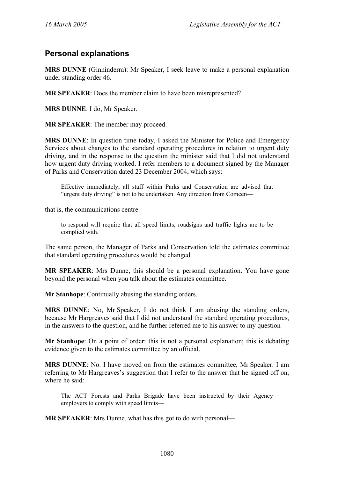# **Personal explanations**

**MRS DUNNE** (Ginninderra): Mr Speaker, I seek leave to make a personal explanation under standing order 46.

**MR SPEAKER**: Does the member claim to have been misrepresented?

**MRS DUNNE**: I do, Mr Speaker.

**MR SPEAKER**: The member may proceed.

**MRS DUNNE**: In question time today, I asked the Minister for Police and Emergency Services about changes to the standard operating procedures in relation to urgent duty driving, and in the response to the question the minister said that I did not understand how urgent duty driving worked. I refer members to a document signed by the Manager of Parks and Conservation dated 23 December 2004, which says:

Effective immediately, all staff within Parks and Conservation are advised that "urgent duty driving" is not to be undertaken. Any direction from Comcen—

that is, the communications centre—

to respond will require that all speed limits, roadsigns and traffic lights are to be complied with.

The same person, the Manager of Parks and Conservation told the estimates committee that standard operating procedures would be changed.

**MR SPEAKER**: Mrs Dunne, this should be a personal explanation. You have gone beyond the personal when you talk about the estimates committee.

**Mr Stanhope**: Continually abusing the standing orders.

**MRS DUNNE**: No, Mr Speaker, I do not think I am abusing the standing orders, because Mr Hargreaves said that I did not understand the standard operating procedures, in the answers to the question, and he further referred me to his answer to my question—

**Mr Stanhope**: On a point of order: this is not a personal explanation; this is debating evidence given to the estimates committee by an official.

**MRS DUNNE**: No. I have moved on from the estimates committee, Mr Speaker. I am referring to Mr Hargreaves's suggestion that I refer to the answer that he signed off on, where he said:

The ACT Forests and Parks Brigade have been instructed by their Agency employers to comply with speed limits—

**MR SPEAKER**: Mrs Dunne, what has this got to do with personal—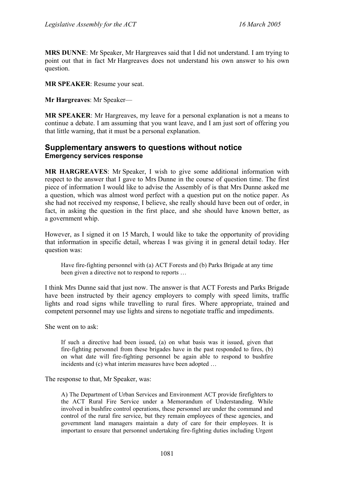**MRS DUNNE**: Mr Speaker, Mr Hargreaves said that I did not understand. I am trying to point out that in fact Mr Hargreaves does not understand his own answer to his own question.

**MR SPEAKER**: Resume your seat.

**Mr Hargreaves**: Mr Speaker—

**MR SPEAKER**: Mr Hargreaves, my leave for a personal explanation is not a means to continue a debate. I am assuming that you want leave, and I am just sort of offering you that little warning, that it must be a personal explanation.

# **Supplementary answers to questions without notice Emergency services response**

**MR HARGREAVES**: Mr Speaker, I wish to give some additional information with respect to the answer that I gave to Mrs Dunne in the course of question time. The first piece of information I would like to advise the Assembly of is that Mrs Dunne asked me a question, which was almost word perfect with a question put on the notice paper. As she had not received my response, I believe, she really should have been out of order, in fact, in asking the question in the first place, and she should have known better, as a government whip.

However, as I signed it on 15 March, I would like to take the opportunity of providing that information in specific detail, whereas I was giving it in general detail today. Her question was:

Have fire-fighting personnel with (a) ACT Forests and (b) Parks Brigade at any time been given a directive not to respond to reports …

I think Mrs Dunne said that just now. The answer is that ACT Forests and Parks Brigade have been instructed by their agency employers to comply with speed limits, traffic lights and road signs while travelling to rural fires. Where appropriate, trained and competent personnel may use lights and sirens to negotiate traffic and impediments.

She went on to ask:

If such a directive had been issued, (a) on what basis was it issued, given that fire-fighting personnel from these brigades have in the past responded to fires, (b) on what date will fire-fighting personnel be again able to respond to bushfire incidents and (c) what interim measures have been adopted …

The response to that, Mr Speaker, was:

A) The Department of Urban Services and Environment ACT provide firefighters to the ACT Rural Fire Service under a Memorandum of Understanding. While involved in bushfire control operations, these personnel are under the command and control of the rural fire service, but they remain employees of these agencies, and government land managers maintain a duty of care for their employees. It is important to ensure that personnel undertaking fire-fighting duties including Urgent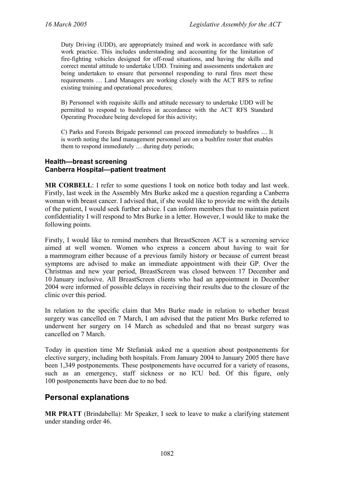Duty Driving (UDD), are appropriately trained and work in accordance with safe work practice. This includes understanding and accounting for the limitation of fire-fighting vehicles designed for off-road situations, and having the skills and correct mental attitude to undertake UDD. Training and assessments undertaken are being undertaken to ensure that personnel responding to rural fires meet these requirements … Land Managers are working closely with the ACT RFS to refine existing training and operational procedures;

B) Personnel with requisite skills and attitude necessary to undertake UDD will be permitted to respond to bushfires in accordance with the ACT RFS Standard Operating Procedure being developed for this activity;

C) Parks and Forests Brigade personnel can proceed immediately to bushfires … It is worth noting the land management personnel are on a bushfire roster that enables them to respond immediately … during duty periods;

#### **Health—breast screening Canberra Hospital—patient treatment**

**MR CORBELL**: I refer to some questions I took on notice both today and last week. Firstly, last week in the Assembly Mrs Burke asked me a question regarding a Canberra woman with breast cancer. I advised that, if she would like to provide me with the details of the patient, I would seek further advice. I can inform members that to maintain patient confidentiality I will respond to Mrs Burke in a letter. However, I would like to make the following points.

Firstly, I would like to remind members that BreastScreen ACT is a screening service aimed at well women. Women who express a concern about having to wait for a mammogram either because of a previous family history or because of current breast symptoms are advised to make an immediate appointment with their GP. Over the Christmas and new year period, BreastScreen was closed between 17 December and 10 January inclusive. All BreastScreen clients who had an appointment in December 2004 were informed of possible delays in receiving their results due to the closure of the clinic over this period.

In relation to the specific claim that Mrs Burke made in relation to whether breast surgery was cancelled on 7 March, I am advised that the patient Mrs Burke referred to underwent her surgery on 14 March as scheduled and that no breast surgery was cancelled on 7 March.

Today in question time Mr Stefaniak asked me a question about postponements for elective surgery, including both hospitals. From January 2004 to January 2005 there have been 1,349 postponements. These postponements have occurred for a variety of reasons, such as an emergency, staff sickness or no ICU bed. Of this figure, only 100 postponements have been due to no bed.

# **Personal explanations**

**MR PRATT** (Brindabella): Mr Speaker, I seek to leave to make a clarifying statement under standing order 46.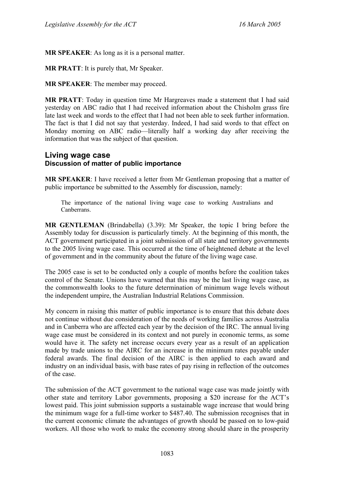**MR SPEAKER**: As long as it is a personal matter.

**MR PRATT**: It is purely that, Mr Speaker.

**MR SPEAKER**: The member may proceed.

**MR PRATT**: Today in question time Mr Hargreaves made a statement that I had said yesterday on ABC radio that I had received information about the Chisholm grass fire late last week and words to the effect that I had not been able to seek further information. The fact is that I did not say that yesterday. Indeed, I had said words to that effect on Monday morning on ABC radio—literally half a working day after receiving the information that was the subject of that question.

# **Living wage case Discussion of matter of public importance**

**MR SPEAKER**: I have received a letter from Mr Gentleman proposing that a matter of public importance be submitted to the Assembly for discussion, namely:

The importance of the national living wage case to working Australians and Canberrans.

**MR GENTLEMAN** (Brindabella) (3.39): Mr Speaker, the topic I bring before the Assembly today for discussion is particularly timely. At the beginning of this month, the ACT government participated in a joint submission of all state and territory governments to the 2005 living wage case. This occurred at the time of heightened debate at the level of government and in the community about the future of the living wage case.

The 2005 case is set to be conducted only a couple of months before the coalition takes control of the Senate. Unions have warned that this may be the last living wage case, as the commonwealth looks to the future determination of minimum wage levels without the independent umpire, the Australian Industrial Relations Commission.

My concern in raising this matter of public importance is to ensure that this debate does not continue without due consideration of the needs of working families across Australia and in Canberra who are affected each year by the decision of the IRC. The annual living wage case must be considered in its context and not purely in economic terms, as some would have it. The safety net increase occurs every year as a result of an application made by trade unions to the AIRC for an increase in the minimum rates payable under federal awards. The final decision of the AIRC is then applied to each award and industry on an individual basis, with base rates of pay rising in reflection of the outcomes of the case.

The submission of the ACT government to the national wage case was made jointly with other state and territory Labor governments, proposing a \$20 increase for the ACT's lowest paid. This joint submission supports a sustainable wage increase that would bring the minimum wage for a full-time worker to \$487.40. The submission recognises that in the current economic climate the advantages of growth should be passed on to low-paid workers. All those who work to make the economy strong should share in the prosperity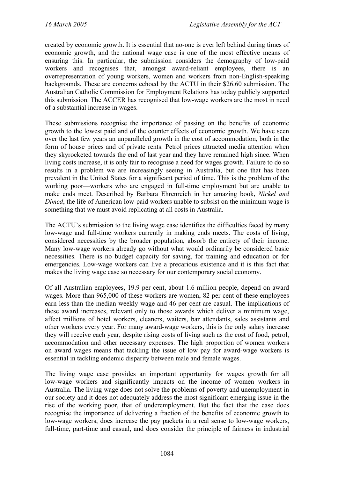created by economic growth. It is essential that no-one is ever left behind during times of economic growth, and the national wage case is one of the most effective means of ensuring this. In particular, the submission considers the demography of low-paid workers and recognises that, amongst award-reliant employees, there is an overrepresentation of young workers, women and workers from non-English-speaking backgrounds. These are concerns echoed by the ACTU in their \$26.60 submission. The Australian Catholic Commission for Employment Relations has today publicly supported this submission. The ACCER has recognised that low-wage workers are the most in need of a substantial increase in wages.

These submissions recognise the importance of passing on the benefits of economic growth to the lowest paid and of the counter effects of economic growth. We have seen over the last few years an unparalleled growth in the cost of accommodation, both in the form of house prices and of private rents. Petrol prices attracted media attention when they skyrocketed towards the end of last year and they have remained high since. When living costs increase, it is only fair to recognise a need for wages growth. Failure to do so results in a problem we are increasingly seeing in Australia, but one that has been prevalent in the United States for a significant period of time. This is the problem of the working poor—workers who are engaged in full-time employment but are unable to make ends meet. Described by Barbara Ehrenreich in her amazing book, *Nickel and Dimed*, the life of American low-paid workers unable to subsist on the minimum wage is something that we must avoid replicating at all costs in Australia.

The ACTU's submission to the living wage case identifies the difficulties faced by many low-wage and full-time workers currently in making ends meets. The costs of living, considered necessities by the broader population, absorb the entirety of their income. Many low-wage workers already go without what would ordinarily be considered basic necessities. There is no budget capacity for saving, for training and education or for emergencies. Low-wage workers can live a precarious existence and it is this fact that makes the living wage case so necessary for our contemporary social economy.

Of all Australian employees, 19.9 per cent, about 1.6 million people, depend on award wages. More than 965,000 of these workers are women, 82 per cent of these employees earn less than the median weekly wage and 46 per cent are casual. The implications of these award increases, relevant only to those awards which deliver a minimum wage, affect millions of hotel workers, cleaners, waiters, bar attendants, sales assistants and other workers every year. For many award-wage workers, this is the only salary increase they will receive each year, despite rising costs of living such as the cost of food, petrol, accommodation and other necessary expenses. The high proportion of women workers on award wages means that tackling the issue of low pay for award-wage workers is essential in tackling endemic disparity between male and female wages.

The living wage case provides an important opportunity for wages growth for all low-wage workers and significantly impacts on the income of women workers in Australia. The living wage does not solve the problems of poverty and unemployment in our society and it does not adequately address the most significant emerging issue in the rise of the working poor, that of underemployment. But the fact that the case does recognise the importance of delivering a fraction of the benefits of economic growth to low-wage workers, does increase the pay packets in a real sense to low-wage workers, full-time, part-time and casual, and does consider the principle of fairness in industrial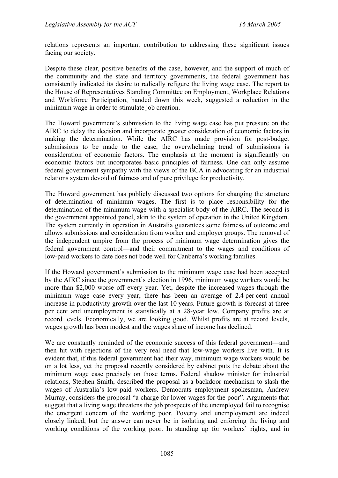relations represents an important contribution to addressing these significant issues facing our society.

Despite these clear, positive benefits of the case, however, and the support of much of the community and the state and territory governments, the federal government has consistently indicated its desire to radically refigure the living wage case. The report to the House of Representatives Standing Committee on Employment, Workplace Relations and Workforce Participation, handed down this week, suggested a reduction in the minimum wage in order to stimulate job creation.

The Howard government's submission to the living wage case has put pressure on the AIRC to delay the decision and incorporate greater consideration of economic factors in making the determination. While the AIRC has made provision for post-budget submissions to be made to the case, the overwhelming trend of submissions is consideration of economic factors. The emphasis at the moment is significantly on economic factors but incorporates basic principles of fairness. One can only assume federal government sympathy with the views of the BCA in advocating for an industrial relations system devoid of fairness and of pure privilege for productivity.

The Howard government has publicly discussed two options for changing the structure of determination of minimum wages. The first is to place responsibility for the determination of the minimum wage with a specialist body of the AIRC. The second is the government appointed panel, akin to the system of operation in the United Kingdom. The system currently in operation in Australia guarantees some fairness of outcome and allows submissions and consideration from worker and employer groups. The removal of the independent umpire from the process of minimum wage determination gives the federal government control—and their commitment to the wages and conditions of low-paid workers to date does not bode well for Canberra's working families.

If the Howard government's submission to the minimum wage case had been accepted by the AIRC since the government's election in 1996, minimum wage workers would be more than \$2,000 worse off every year. Yet, despite the increased wages through the minimum wage case every year, there has been an average of 2.4 per cent annual increase in productivity growth over the last 10 years. Future growth is forecast at three per cent and unemployment is statistically at a 28-year low. Company profits are at record levels. Economically, we are looking good. Whilst profits are at record levels, wages growth has been modest and the wages share of income has declined.

We are constantly reminded of the economic success of this federal government—and then hit with rejections of the very real need that low-wage workers live with. It is evident that, if this federal government had their way, minimum wage workers would be on a lot less, yet the proposal recently considered by cabinet puts the debate about the minimum wage case precisely on those terms. Federal shadow minister for industrial relations, Stephen Smith, described the proposal as a backdoor mechanism to slash the wages of Australia's low-paid workers. Democrats employment spokesman, Andrew Murray, considers the proposal "a charge for lower wages for the poor". Arguments that suggest that a living wage threatens the job prospects of the unemployed fail to recognise the emergent concern of the working poor. Poverty and unemployment are indeed closely linked, but the answer can never be in isolating and enforcing the living and working conditions of the working poor. In standing up for workers' rights, and in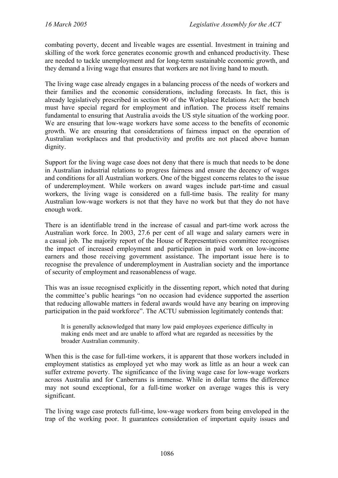combating poverty, decent and liveable wages are essential. Investment in training and skilling of the work force generates economic growth and enhanced productivity. These are needed to tackle unemployment and for long-term sustainable economic growth, and they demand a living wage that ensures that workers are not living hand to mouth.

The living wage case already engages in a balancing process of the needs of workers and their families and the economic considerations, including forecasts. In fact, this is already legislatively prescribed in section 90 of the Workplace Relations Act: the bench must have special regard for employment and inflation. The process itself remains fundamental to ensuring that Australia avoids the US style situation of the working poor. We are ensuring that low-wage workers have some access to the benefits of economic growth. We are ensuring that considerations of fairness impact on the operation of Australian workplaces and that productivity and profits are not placed above human dignity.

Support for the living wage case does not deny that there is much that needs to be done in Australian industrial relations to progress fairness and ensure the decency of wages and conditions for all Australian workers. One of the biggest concerns relates to the issue of underemployment. While workers on award wages include part-time and casual workers, the living wage is considered on a full-time basis. The reality for many Australian low-wage workers is not that they have no work but that they do not have enough work.

There is an identifiable trend in the increase of casual and part-time work across the Australian work force. In 2003, 27.6 per cent of all wage and salary earners were in a casual job. The majority report of the House of Representatives committee recognises the impact of increased employment and participation in paid work on low-income earners and those receiving government assistance. The important issue here is to recognise the prevalence of underemployment in Australian society and the importance of security of employment and reasonableness of wage.

This was an issue recognised explicitly in the dissenting report, which noted that during the committee's public hearings "on no occasion had evidence supported the assertion that reducing allowable matters in federal awards would have any bearing on improving participation in the paid workforce". The ACTU submission legitimately contends that:

It is generally acknowledged that many low paid employees experience difficulty in making ends meet and are unable to afford what are regarded as necessities by the broader Australian community.

When this is the case for full-time workers, it is apparent that those workers included in employment statistics as employed yet who may work as little as an hour a week can suffer extreme poverty. The significance of the living wage case for low-wage workers across Australia and for Canberrans is immense. While in dollar terms the difference may not sound exceptional, for a full-time worker on average wages this is very significant.

The living wage case protects full-time, low-wage workers from being enveloped in the trap of the working poor. It guarantees consideration of important equity issues and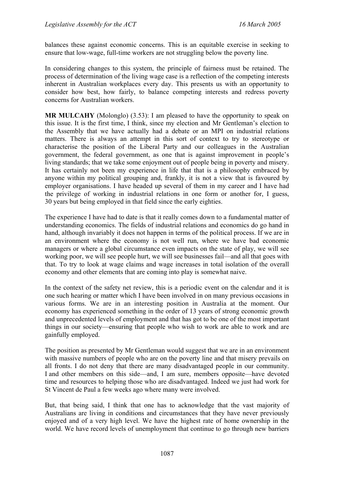balances these against economic concerns. This is an equitable exercise in seeking to ensure that low-wage, full-time workers are not struggling below the poverty line.

In considering changes to this system, the principle of fairness must be retained. The process of determination of the living wage case is a reflection of the competing interests inherent in Australian workplaces every day. This presents us with an opportunity to consider how best, how fairly, to balance competing interests and redress poverty concerns for Australian workers.

**MR MULCAHY** (Molonglo) (3.53): I am pleased to have the opportunity to speak on this issue. It is the first time, I think, since my election and Mr Gentleman's election to the Assembly that we have actually had a debate or an MPI on industrial relations matters. There is always an attempt in this sort of context to try to stereotype or characterise the position of the Liberal Party and our colleagues in the Australian government, the federal government, as one that is against improvement in people's living standards; that we take some enjoyment out of people being in poverty and misery. It has certainly not been my experience in life that that is a philosophy embraced by anyone within my political grouping and, frankly, it is not a view that is favoured by employer organisations. I have headed up several of them in my career and I have had the privilege of working in industrial relations in one form or another for, I guess, 30 years but being employed in that field since the early eighties.

The experience I have had to date is that it really comes down to a fundamental matter of understanding economics. The fields of industrial relations and economics do go hand in hand, although invariably it does not happen in terms of the political process. If we are in an environment where the economy is not well run, where we have bad economic managers or where a global circumstance even impacts on the state of play, we will see working poor, we will see people hurt, we will see businesses fail—and all that goes with that. To try to look at wage claims and wage increases in total isolation of the overall economy and other elements that are coming into play is somewhat naive.

In the context of the safety net review, this is a periodic event on the calendar and it is one such hearing or matter which I have been involved in on many previous occasions in various forms. We are in an interesting position in Australia at the moment. Our economy has experienced something in the order of 13 years of strong economic growth and unprecedented levels of employment and that has got to be one of the most important things in our society—ensuring that people who wish to work are able to work and are gainfully employed.

The position as presented by Mr Gentleman would suggest that we are in an environment with massive numbers of people who are on the poverty line and that misery prevails on all fronts. I do not deny that there are many disadvantaged people in our community. I and other members on this side—and, I am sure, members opposite—have devoted time and resources to helping those who are disadvantaged. Indeed we just had work for St Vincent de Paul a few weeks ago where many were involved.

But, that being said, I think that one has to acknowledge that the vast majority of Australians are living in conditions and circumstances that they have never previously enjoyed and of a very high level. We have the highest rate of home ownership in the world. We have record levels of unemployment that continue to go through new barriers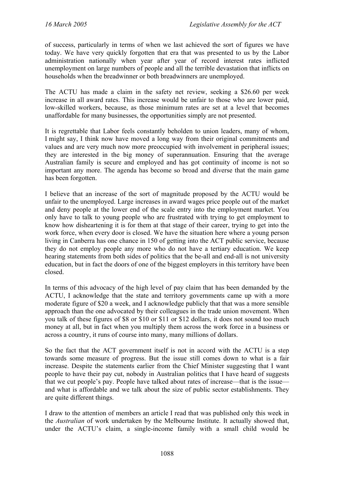of success, particularly in terms of when we last achieved the sort of figures we have today. We have very quickly forgotten that era that was presented to us by the Labor administration nationally when year after year of record interest rates inflicted unemployment on large numbers of people and all the terrible devastation that inflicts on households when the breadwinner or both breadwinners are unemployed.

The ACTU has made a claim in the safety net review, seeking a \$26.60 per week increase in all award rates. This increase would be unfair to those who are lower paid, low-skilled workers, because, as those minimum rates are set at a level that becomes unaffordable for many businesses, the opportunities simply are not presented.

It is regrettable that Labor feels constantly beholden to union leaders, many of whom, I might say, I think now have moved a long way from their original commitments and values and are very much now more preoccupied with involvement in peripheral issues; they are interested in the big money of superannuation. Ensuring that the average Australian family is secure and employed and has got continuity of income is not so important any more. The agenda has become so broad and diverse that the main game has been forgotten.

I believe that an increase of the sort of magnitude proposed by the ACTU would be unfair to the unemployed. Large increases in award wages price people out of the market and deny people at the lower end of the scale entry into the employment market. You only have to talk to young people who are frustrated with trying to get employment to know how disheartening it is for them at that stage of their career, trying to get into the work force, when every door is closed. We have the situation here where a young person living in Canberra has one chance in 150 of getting into the ACT public service, because they do not employ people any more who do not have a tertiary education. We keep hearing statements from both sides of politics that the be-all and end-all is not university education, but in fact the doors of one of the biggest employers in this territory have been closed.

In terms of this advocacy of the high level of pay claim that has been demanded by the ACTU, I acknowledge that the state and territory governments came up with a more moderate figure of \$20 a week, and I acknowledge publicly that that was a more sensible approach than the one advocated by their colleagues in the trade union movement. When you talk of these figures of \$8 or \$10 or \$11 or \$12 dollars, it does not sound too much money at all, but in fact when you multiply them across the work force in a business or across a country, it runs of course into many, many millions of dollars.

So the fact that the ACT government itself is not in accord with the ACTU is a step towards some measure of progress. But the issue still comes down to what is a fair increase. Despite the statements earlier from the Chief Minister suggesting that I want people to have their pay cut, nobody in Australian politics that I have heard of suggests that we cut people's pay. People have talked about rates of increase—that is the issue and what is affordable and we talk about the size of public sector establishments. They are quite different things.

I draw to the attention of members an article I read that was published only this week in the *Australian* of work undertaken by the Melbourne Institute. It actually showed that, under the ACTU's claim, a single-income family with a small child would be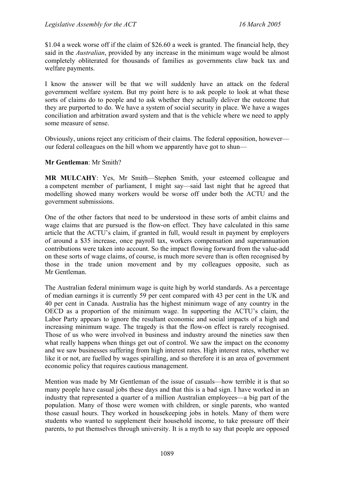\$1.04 a week worse off if the claim of \$26.60 a week is granted. The financial help, they said in the *Australian*, provided by any increase in the minimum wage would be almost completely obliterated for thousands of families as governments claw back tax and welfare payments.

I know the answer will be that we will suddenly have an attack on the federal government welfare system. But my point here is to ask people to look at what these sorts of claims do to people and to ask whether they actually deliver the outcome that they are purported to do. We have a system of social security in place. We have a wages conciliation and arbitration award system and that is the vehicle where we need to apply some measure of sense.

Obviously, unions reject any criticism of their claims. The federal opposition, however our federal colleagues on the hill whom we apparently have got to shun—

#### **Mr Gentleman**: Mr Smith?

**MR MULCAHY**: Yes, Mr Smith—Stephen Smith, your esteemed colleague and a competent member of parliament, I might say—said last night that he agreed that modelling showed many workers would be worse off under both the ACTU and the government submissions.

One of the other factors that need to be understood in these sorts of ambit claims and wage claims that are pursued is the flow-on effect. They have calculated in this same article that the ACTU's claim, if granted in full, would result in payment by employers of around a \$35 increase, once payroll tax, workers compensation and superannuation contributions were taken into account. So the impact flowing forward from the value-add on these sorts of wage claims, of course, is much more severe than is often recognised by those in the trade union movement and by my colleagues opposite, such as Mr Gentleman.

The Australian federal minimum wage is quite high by world standards. As a percentage of median earnings it is currently 59 per cent compared with 43 per cent in the UK and 40 per cent in Canada. Australia has the highest minimum wage of any country in the OECD as a proportion of the minimum wage. In supporting the ACTU's claim, the Labor Party appears to ignore the resultant economic and social impacts of a high and increasing minimum wage. The tragedy is that the flow-on effect is rarely recognised. Those of us who were involved in business and industry around the nineties saw then what really happens when things get out of control. We saw the impact on the economy and we saw businesses suffering from high interest rates. High interest rates, whether we like it or not, are fuelled by wages spiralling, and so therefore it is an area of government economic policy that requires cautious management.

Mention was made by Mr Gentleman of the issue of casuals—how terrible it is that so many people have casual jobs these days and that this is a bad sign. I have worked in an industry that represented a quarter of a million Australian employees—a big part of the population. Many of those were women with children, or single parents, who wanted those casual hours. They worked in housekeeping jobs in hotels. Many of them were students who wanted to supplement their household income, to take pressure off their parents, to put themselves through university. It is a myth to say that people are opposed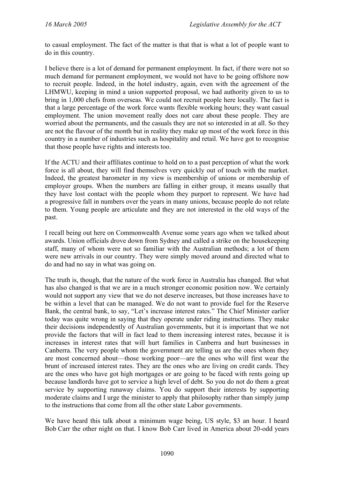to casual employment. The fact of the matter is that that is what a lot of people want to do in this country.

I believe there is a lot of demand for permanent employment. In fact, if there were not so much demand for permanent employment, we would not have to be going offshore now to recruit people. Indeed, in the hotel industry, again, even with the agreement of the LHMWU, keeping in mind a union supported proposal, we had authority given to us to bring in 1,000 chefs from overseas. We could not recruit people here locally. The fact is that a large percentage of the work force wants flexible working hours; they want casual employment. The union movement really does not care about these people. They are worried about the permanents, and the casuals they are not so interested in at all. So they are not the flavour of the month but in reality they make up most of the work force in this country in a number of industries such as hospitality and retail. We have got to recognise that those people have rights and interests too.

If the ACTU and their affiliates continue to hold on to a past perception of what the work force is all about, they will find themselves very quickly out of touch with the market. Indeed, the greatest barometer in my view is membership of unions or membership of employer groups. When the numbers are falling in either group, it means usually that they have lost contact with the people whom they purport to represent. We have had a progressive fall in numbers over the years in many unions, because people do not relate to them. Young people are articulate and they are not interested in the old ways of the past.

I recall being out here on Commonwealth Avenue some years ago when we talked about awards. Union officials drove down from Sydney and called a strike on the housekeeping staff, many of whom were not so familiar with the Australian methods; a lot of them were new arrivals in our country. They were simply moved around and directed what to do and had no say in what was going on.

The truth is, though, that the nature of the work force in Australia has changed. But what has also changed is that we are in a much stronger economic position now. We certainly would not support any view that we do not deserve increases, but those increases have to be within a level that can be managed. We do not want to provide fuel for the Reserve Bank, the central bank, to say, "Let's increase interest rates." The Chief Minister earlier today was quite wrong in saying that they operate under riding instructions. They make their decisions independently of Australian governments, but it is important that we not provide the factors that will in fact lead to them increasing interest rates, because it is increases in interest rates that will hurt families in Canberra and hurt businesses in Canberra. The very people whom the government are telling us are the ones whom they are most concerned about—those working poor—are the ones who will first wear the brunt of increased interest rates. They are the ones who are living on credit cards. They are the ones who have got high mortgages or are going to be faced with rents going up because landlords have got to service a high level of debt. So you do not do them a great service by supporting runaway claims. You do support their interests by supporting moderate claims and I urge the minister to apply that philosophy rather than simply jump to the instructions that come from all the other state Labor governments.

We have heard this talk about a minimum wage being, US style, \$3 an hour. I heard Bob Carr the other night on that. I know Bob Carr lived in America about 20-odd years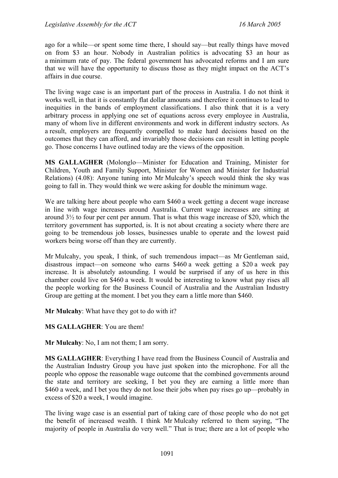ago for a while—or spent some time there, I should say—but really things have moved on from \$3 an hour. Nobody in Australian politics is advocating \$3 an hour as a minimum rate of pay. The federal government has advocated reforms and I am sure that we will have the opportunity to discuss those as they might impact on the ACT's affairs in due course.

The living wage case is an important part of the process in Australia. I do not think it works well, in that it is constantly flat dollar amounts and therefore it continues to lead to inequities in the bands of employment classifications. I also think that it is a very arbitrary process in applying one set of equations across every employee in Australia, many of whom live in different environments and work in different industry sectors. As a result, employers are frequently compelled to make hard decisions based on the outcomes that they can afford, and invariably those decisions can result in letting people go. Those concerns I have outlined today are the views of the opposition.

**MS GALLAGHER** (Molonglo—Minister for Education and Training, Minister for Children, Youth and Family Support, Minister for Women and Minister for Industrial Relations) (4.08): Anyone tuning into Mr Mulcahy's speech would think the sky was going to fall in. They would think we were asking for double the minimum wage.

We are talking here about people who earn \$460 a week getting a decent wage increase in line with wage increases around Australia. Current wage increases are sitting at around 3½ to four per cent per annum. That is what this wage increase of \$20, which the territory government has supported, is. It is not about creating a society where there are going to be tremendous job losses, businesses unable to operate and the lowest paid workers being worse off than they are currently.

Mr Mulcahy, you speak, I think, of such tremendous impact—as Mr Gentleman said, disastrous impact—on someone who earns \$460 a week getting a \$20 a week pay increase. It is absolutely astounding. I would be surprised if any of us here in this chamber could live on \$460 a week. It would be interesting to know what pay rises all the people working for the Business Council of Australia and the Australian Industry Group are getting at the moment. I bet you they earn a little more than \$460.

**Mr Mulcahy**: What have they got to do with it?

**MS GALLAGHER**: You are them!

**Mr Mulcahy**: No, I am not them; I am sorry.

**MS GALLAGHER**: Everything I have read from the Business Council of Australia and the Australian Industry Group you have just spoken into the microphone. For all the people who oppose the reasonable wage outcome that the combined governments around the state and territory are seeking, I bet you they are earning a little more than \$460 a week, and I bet you they do not lose their jobs when pay rises go up—probably in excess of \$20 a week, I would imagine.

The living wage case is an essential part of taking care of those people who do not get the benefit of increased wealth. I think Mr Mulcahy referred to them saying, "The majority of people in Australia do very well." That is true; there are a lot of people who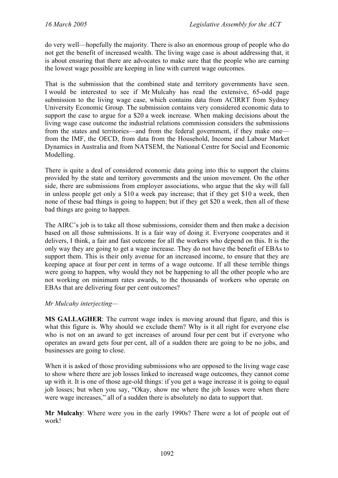do very well—hopefully the majority. There is also an enormous group of people who do not get the benefit of increased wealth. The living wage case is about addressing that, it is about ensuring that there are advocates to make sure that the people who are earning the lowest wage possible are keeping in line with current wage outcomes.

That is the submission that the combined state and territory governments have seen. I would be interested to see if Mr Mulcahy has read the extensive, 65-odd page submission to the living wage case, which contains data from ACIRRT from Sydney University Economic Group. The submission contains very considered economic data to support the case to argue for a \$20 a week increase. When making decisions about the living wage case outcome the industrial relations commission considers the submissions from the states and territories—and from the federal government, if they make one from the IMF, the OECD, from data from the Household, Income and Labour Market Dynamics in Australia and from NATSEM, the National Centre for Social and Economic Modelling.

There is quite a deal of considered economic data going into this to support the claims provided by the state and territory governments and the union movement. On the other side, there are submissions from employer associations, who argue that the sky will fall in unless people get only a \$10 a week pay increase; that if they get \$10 a week, then none of these bad things is going to happen; but if they get \$20 a week, then all of these bad things are going to happen.

The AIRC's job is to take all those submissions, consider them and then make a decision based on all those submissions. It is a fair way of doing it. Everyone cooperates and it delivers, I think, a fair and fast outcome for all the workers who depend on this. It is the only way they are going to get a wage increase. They do not have the benefit of EBAs to support them. This is their only avenue for an increased income, to ensure that they are keeping apace at four per cent in terms of a wage outcome. If all these terrible things were going to happen, why would they not be happening to all the other people who are not working on minimum rates awards, to the thousands of workers who operate on EBAs that are delivering four per cent outcomes?

#### *Mr Mulcahy interjecting—*

**MS GALLAGHER**: The current wage index is moving around that figure, and this is what this figure is. Why should we exclude them? Why is it all right for everyone else who is not on an award to get increases of around four per cent but if everyone who operates an award gets four per cent, all of a sudden there are going to be no jobs, and businesses are going to close.

When it is asked of those providing submissions who are opposed to the living wage case to show where there are job losses linked to increased wage outcomes, they cannot come up with it. It is one of those age-old things: if you get a wage increase it is going to equal job losses; but when you say, "Okay, show me where the job losses were when there were wage increases," all of a sudden there is absolutely no data to support that.

**Mr Mulcahy**: Where were you in the early 1990s? There were a lot of people out of work!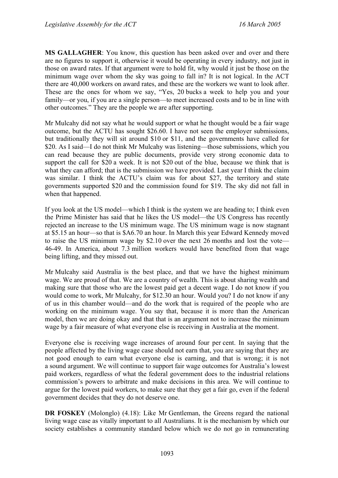**MS GALLAGHER**: You know, this question has been asked over and over and there are no figures to support it, otherwise it would be operating in every industry, not just in those on award rates. If that argument were to hold fit, why would it just be those on the minimum wage over whom the sky was going to fall in? It is not logical. In the ACT there are 40,000 workers on award rates, and these are the workers we want to look after. These are the ones for whom we say, "Yes, 20 bucks a week to help you and your family—or you, if you are a single person—to meet increased costs and to be in line with other outcomes." They are the people we are after supporting.

Mr Mulcahy did not say what he would support or what he thought would be a fair wage outcome, but the ACTU has sought \$26.60. I have not seen the employer submissions, but traditionally they will sit around \$10 or \$11, and the governments have called for \$20. As I said—I do not think Mr Mulcahy was listening—those submissions, which you can read because they are public documents, provide very strong economic data to support the call for \$20 a week. It is not \$20 out of the blue, because we think that is what they can afford; that is the submission we have provided. Last year I think the claim was similar. I think the ACTU's claim was for about \$27, the territory and state governments supported \$20 and the commission found for \$19. The sky did not fall in when that happened.

If you look at the US model—which I think is the system we are heading to; I think even the Prime Minister has said that he likes the US model—the US Congress has recently rejected an increase to the US minimum wage. The US minimum wage is now stagnant at \$5.15 an hour—so that is \$A6.70 an hour. In March this year Edward Kennedy moved to raise the US minimum wage by \$2.10 over the next 26 months and lost the vote— 46-49. In America, about 7.3 million workers would have benefited from that wage being lifting, and they missed out.

Mr Mulcahy said Australia is the best place, and that we have the highest minimum wage. We are proud of that. We are a country of wealth. This is about sharing wealth and making sure that those who are the lowest paid get a decent wage. I do not know if you would come to work, Mr Mulcahy, for \$12.30 an hour. Would you? I do not know if any of us in this chamber would—and do the work that is required of the people who are working on the minimum wage. You say that, because it is more than the American model, then we are doing okay and that that is an argument not to increase the minimum wage by a fair measure of what everyone else is receiving in Australia at the moment.

Everyone else is receiving wage increases of around four per cent. In saying that the people affected by the living wage case should not earn that, you are saying that they are not good enough to earn what everyone else is earning, and that is wrong; it is not a sound argument. We will continue to support fair wage outcomes for Australia's lowest paid workers, regardless of what the federal government does to the industrial relations commission's powers to arbitrate and make decisions in this area. We will continue to argue for the lowest paid workers, to make sure that they get a fair go, even if the federal government decides that they do not deserve one.

**DR FOSKEY** (Molonglo) (4.18): Like Mr Gentleman, the Greens regard the national living wage case as vitally important to all Australians. It is the mechanism by which our society establishes a community standard below which we do not go in remunerating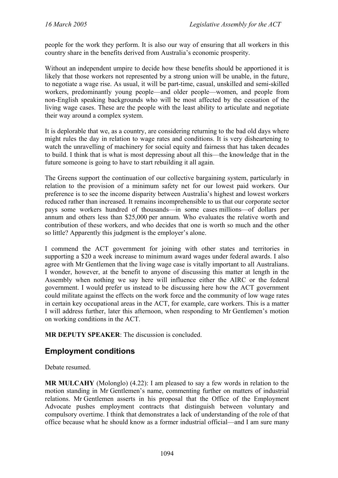people for the work they perform. It is also our way of ensuring that all workers in this country share in the benefits derived from Australia's economic prosperity.

Without an independent umpire to decide how these benefits should be apportioned it is likely that those workers not represented by a strong union will be unable, in the future, to negotiate a wage rise. As usual, it will be part-time, casual, unskilled and semi-skilled workers, predominantly young people—and older people—women, and people from non-English speaking backgrounds who will be most affected by the cessation of the living wage cases. These are the people with the least ability to articulate and negotiate their way around a complex system.

It is deplorable that we, as a country, are considering returning to the bad old days where might rules the day in relation to wage rates and conditions. It is very disheartening to watch the unravelling of machinery for social equity and fairness that has taken decades to build. I think that is what is most depressing about all this—the knowledge that in the future someone is going to have to start rebuilding it all again.

The Greens support the continuation of our collective bargaining system, particularly in relation to the provision of a minimum safety net for our lowest paid workers. Our preference is to see the income disparity between Australia's highest and lowest workers reduced rather than increased. It remains incomprehensible to us that our corporate sector pays some workers hundred of thousands—in some cases millions—of dollars per annum and others less than \$25,000 per annum. Who evaluates the relative worth and contribution of these workers, and who decides that one is worth so much and the other so little? Apparently this judgment is the employer's alone.

I commend the ACT government for joining with other states and territories in supporting a \$20 a week increase to minimum award wages under federal awards. I also agree with Mr Gentlemen that the living wage case is vitally important to all Australians. I wonder, however, at the benefit to anyone of discussing this matter at length in the Assembly when nothing we say here will influence either the AIRC or the federal government. I would prefer us instead to be discussing here how the ACT government could militate against the effects on the work force and the community of low wage rates in certain key occupational areas in the ACT, for example, care workers. This is a matter I will address further, later this afternoon, when responding to Mr Gentlemen's motion on working conditions in the ACT.

**MR DEPUTY SPEAKER**: The discussion is concluded.

# **Employment conditions**

Debate resumed.

**MR MULCAHY** (Molonglo) (4.22): I am pleased to say a few words in relation to the motion standing in Mr Gentlemen's name, commenting further on matters of industrial relations. Mr Gentlemen asserts in his proposal that the Office of the Employment Advocate pushes employment contracts that distinguish between voluntary and compulsory overtime. I think that demonstrates a lack of understanding of the role of that office because what he should know as a former industrial official—and I am sure many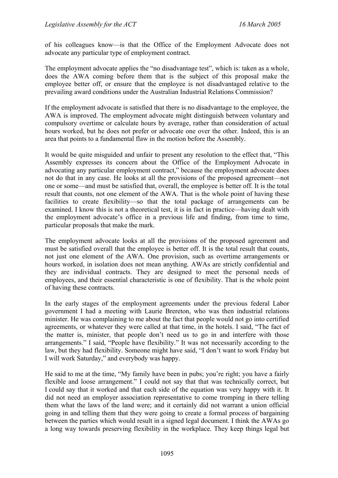of his colleagues know—is that the Office of the Employment Advocate does not advocate any particular type of employment contract.

The employment advocate applies the "no disadvantage test", which is: taken as a whole, does the AWA coming before them that is the subject of this proposal make the employee better off, or ensure that the employee is not disadvantaged relative to the prevailing award conditions under the Australian Industrial Relations Commission?

If the employment advocate is satisfied that there is no disadvantage to the employee, the AWA is improved. The employment advocate might distinguish between voluntary and compulsory overtime or calculate hours by average, rather than consideration of actual hours worked, but he does not prefer or advocate one over the other. Indeed, this is an area that points to a fundamental flaw in the motion before the Assembly.

It would be quite misguided and unfair to present any resolution to the effect that, "This Assembly expresses its concern about the Office of the Employment Advocate in advocating any particular employment contract," because the employment advocate does not do that in any case. He looks at all the provisions of the proposed agreement—not one or some—and must be satisfied that, overall, the employee is better off. It is the total result that counts, not one element of the AWA. That is the whole point of having these facilities to create flexibility—so that the total package of arrangements can be examined. I know this is not a theoretical test, it is in fact in practice—having dealt with the employment advocate's office in a previous life and finding, from time to time, particular proposals that make the mark.

The employment advocate looks at all the provisions of the proposed agreement and must be satisfied overall that the employee is better off. It is the total result that counts, not just one element of the AWA. One provision, such as overtime arrangements or hours worked, in isolation does not mean anything. AWAs are strictly confidential and they are individual contracts. They are designed to meet the personal needs of employees, and their essential characteristic is one of flexibility. That is the whole point of having these contracts.

In the early stages of the employment agreements under the previous federal Labor government I had a meeting with Laurie Brereton, who was then industrial relations minister. He was complaining to me about the fact that people would not go into certified agreements, or whatever they were called at that time, in the hotels. I said, "The fact of the matter is, minister, that people don't need us to go in and interfere with those arrangements." I said, "People have flexibility." It was not necessarily according to the law, but they had flexibility. Someone might have said, "I don't want to work Friday but I will work Saturday," and everybody was happy.

He said to me at the time, "My family have been in pubs; you're right; you have a fairly flexible and loose arrangement." I could not say that that was technically correct, but I could say that it worked and that each side of the equation was very happy with it. It did not need an employer association representative to come tromping in there telling them what the laws of the land were; and it certainly did not warrant a union official going in and telling them that they were going to create a formal process of bargaining between the parties which would result in a signed legal document. I think the AWAs go a long way towards preserving flexibility in the workplace. They keep things legal but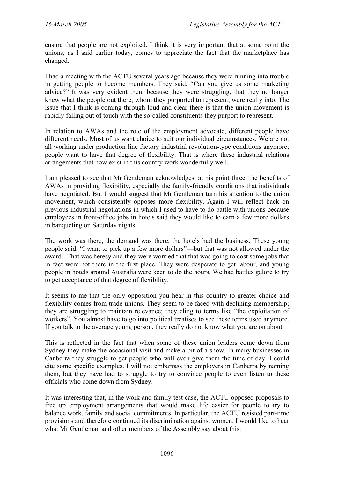ensure that people are not exploited. I think it is very important that at some point the unions, as I said earlier today, comes to appreciate the fact that the marketplace has changed.

I had a meeting with the ACTU several years ago because they were running into trouble in getting people to become members. They said, "Can you give us some marketing advice?" It was very evident then, because they were struggling, that they no longer knew what the people out there, whom they purported to represent, were really into. The issue that I think is coming through loud and clear there is that the union movement is rapidly falling out of touch with the so-called constituents they purport to represent.

In relation to AWAs and the role of the employment advocate, different people have different needs. Most of us want choice to suit our individual circumstances. We are not all working under production line factory industrial revolution-type conditions anymore; people want to have that degree of flexibility. That is where these industrial relations arrangements that now exist in this country work wonderfully well.

I am pleased to see that Mr Gentleman acknowledges, at his point three, the benefits of AWAs in providing flexibility, especially the family-friendly conditions that individuals have negotiated. But I would suggest that Mr Gentleman turn his attention to the union movement, which consistently opposes more flexibility. Again I will reflect back on previous industrial negotiations in which I used to have to do battle with unions because employees in front-office jobs in hotels said they would like to earn a few more dollars in banqueting on Saturday nights.

The work was there, the demand was there, the hotels had the business. These young people said, "I want to pick up a few more dollars"—but that was not allowed under the award. That was heresy and they were worried that that was going to cost some jobs that in fact were not there in the first place. They were desperate to get labour, and young people in hotels around Australia were keen to do the hours. We had battles galore to try to get acceptance of that degree of flexibility.

It seems to me that the only opposition you hear in this country to greater choice and flexibility comes from trade unions. They seem to be faced with declining membership; they are struggling to maintain relevance; they cling to terms like "the exploitation of workers". You almost have to go into political treatises to see these terms used anymore. If you talk to the average young person, they really do not know what you are on about.

This is reflected in the fact that when some of these union leaders come down from Sydney they make the occasional visit and make a bit of a show. In many businesses in Canberra they struggle to get people who will even give them the time of day. I could cite some specific examples. I will not embarrass the employers in Canberra by naming them, but they have had to struggle to try to convince people to even listen to these officials who come down from Sydney.

It was interesting that, in the work and family test case, the ACTU opposed proposals to free up employment arrangements that would make life easier for people to try to balance work, family and social commitments. In particular, the ACTU resisted part-time provisions and therefore continued its discrimination against women. I would like to hear what Mr Gentleman and other members of the Assembly say about this.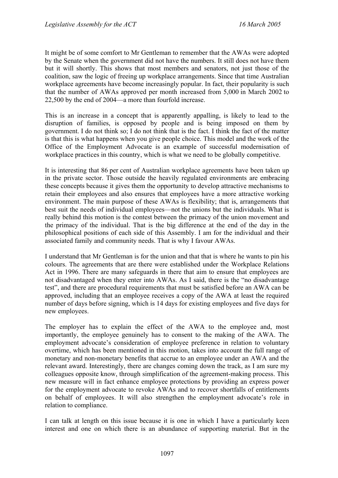It might be of some comfort to Mr Gentleman to remember that the AWAs were adopted by the Senate when the government did not have the numbers. It still does not have them but it will shortly. This shows that most members and senators, not just those of the coalition, saw the logic of freeing up workplace arrangements. Since that time Australian workplace agreements have become increasingly popular. In fact, their popularity is such that the number of AWAs approved per month increased from 5,000 in March 2002 to 22,500 by the end of 2004—a more than fourfold increase.

This is an increase in a concept that is apparently appalling, is likely to lead to the disruption of families, is opposed by people and is being imposed on them by government. I do not think so; I do not think that is the fact. I think the fact of the matter is that this is what happens when you give people choice. This model and the work of the Office of the Employment Advocate is an example of successful modernisation of workplace practices in this country, which is what we need to be globally competitive.

It is interesting that 86 per cent of Australian workplace agreements have been taken up in the private sector. Those outside the heavily regulated environments are embracing these concepts because it gives them the opportunity to develop attractive mechanisms to retain their employees and also ensures that employees have a more attractive working environment. The main purpose of these AWAs is flexibility; that is, arrangements that best suit the needs of individual employees—not the unions but the individuals. What is really behind this motion is the contest between the primacy of the union movement and the primacy of the individual. That is the big difference at the end of the day in the philosophical positions of each side of this Assembly. I am for the individual and their associated family and community needs. That is why I favour AWAs.

I understand that Mr Gentleman is for the union and that that is where he wants to pin his colours. The agreements that are there were established under the Workplace Relations Act in 1996. There are many safeguards in there that aim to ensure that employees are not disadvantaged when they enter into AWAs. As I said, there is the "no disadvantage test", and there are procedural requirements that must be satisfied before an AWA can be approved, including that an employee receives a copy of the AWA at least the required number of days before signing, which is 14 days for existing employees and five days for new employees.

The employer has to explain the effect of the AWA to the employee and, most importantly, the employee genuinely has to consent to the making of the AWA. The employment advocate's consideration of employee preference in relation to voluntary overtime, which has been mentioned in this motion, takes into account the full range of monetary and non-monetary benefits that accrue to an employee under an AWA and the relevant award. Interestingly, there are changes coming down the track, as I am sure my colleagues opposite know, through simplification of the agreement-making process. This new measure will in fact enhance employee protections by providing an express power for the employment advocate to revoke AWAs and to recover shortfalls of entitlements on behalf of employees. It will also strengthen the employment advocate's role in relation to compliance.

I can talk at length on this issue because it is one in which I have a particularly keen interest and one on which there is an abundance of supporting material. But in the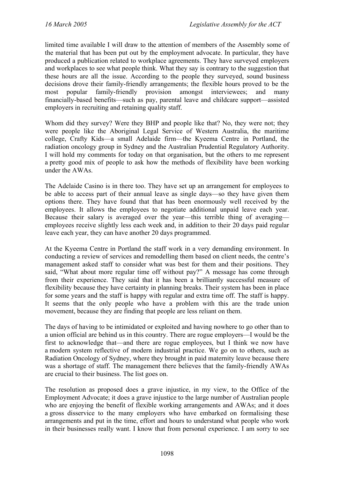limited time available I will draw to the attention of members of the Assembly some of the material that has been put out by the employment advocate. In particular, they have produced a publication related to workplace agreements. They have surveyed employers and workplaces to see what people think. What they say is contrary to the suggestion that these hours are all the issue. According to the people they surveyed, sound business decisions drove their family-friendly arrangements; the flexible hours proved to be the most popular family-friendly provision amongst interviewees; and many financially-based benefits—such as pay, parental leave and childcare support—assisted employers in recruiting and retaining quality staff.

Whom did they survey? Were they BHP and people like that? No, they were not; they were people like the Aboriginal Legal Service of Western Australia, the maritime college, Crafty Kids—a small Adelaide firm—the Kyeema Centre in Portland, the radiation oncology group in Sydney and the Australian Prudential Regulatory Authority. I will hold my comments for today on that organisation, but the others to me represent a pretty good mix of people to ask how the methods of flexibility have been working under the AWAs.

The Adelaide Casino is in there too. They have set up an arrangement for employees to be able to access part of their annual leave as single days—so they have given them options there. They have found that that has been enormously well received by the employees. It allows the employees to negotiate additional unpaid leave each year. Because their salary is averaged over the year—this terrible thing of averaging employees receive slightly less each week and, in addition to their 20 days paid regular leave each year, they can have another 20 days programmed.

At the Kyeema Centre in Portland the staff work in a very demanding environment. In conducting a review of services and remodelling them based on client needs, the centre's management asked staff to consider what was best for them and their positions. They said, "What about more regular time off without pay?" A message has come through from their experience. They said that it has been a brilliantly successful measure of flexibility because they have certainty in planning breaks. Their system has been in place for some years and the staff is happy with regular and extra time off. The staff is happy. It seems that the only people who have a problem with this are the trade union movement, because they are finding that people are less reliant on them.

The days of having to be intimidated or exploited and having nowhere to go other than to a union official are behind us in this country. There are rogue employers—I would be the first to acknowledge that—and there are rogue employees, but I think we now have a modern system reflective of modern industrial practice. We go on to others, such as Radiation Oncology of Sydney, where they brought in paid maternity leave because there was a shortage of staff. The management there believes that the family-friendly AWAs are crucial to their business. The list goes on.

The resolution as proposed does a grave injustice, in my view, to the Office of the Employment Advocate; it does a grave injustice to the large number of Australian people who are enjoying the benefit of flexible working arrangements and AWAs; and it does a gross disservice to the many employers who have embarked on formalising these arrangements and put in the time, effort and hours to understand what people who work in their businesses really want. I know that from personal experience. I am sorry to see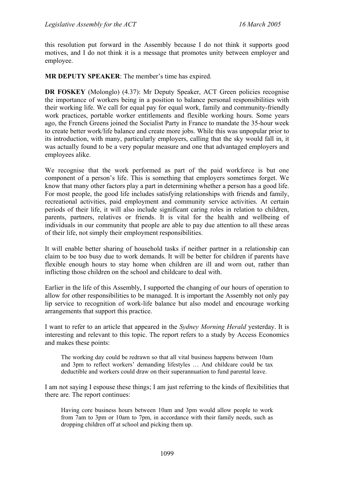this resolution put forward in the Assembly because I do not think it supports good motives, and I do not think it is a message that promotes unity between employer and employee.

**MR DEPUTY SPEAKER**: The member's time has expired.

**DR FOSKEY** (Molonglo) (4.37): Mr Deputy Speaker, ACT Green policies recognise the importance of workers being in a position to balance personal responsibilities with their working life. We call for equal pay for equal work, family and community-friendly work practices, portable worker entitlements and flexible working hours. Some years ago, the French Greens joined the Socialist Party in France to mandate the 35-hour week to create better work/life balance and create more jobs. While this was unpopular prior to its introduction, with many, particularly employers, calling that the sky would fall in, it was actually found to be a very popular measure and one that advantaged employers and employees alike.

We recognise that the work performed as part of the paid workforce is but one component of a person's life. This is something that employers sometimes forget. We know that many other factors play a part in determining whether a person has a good life. For most people, the good life includes satisfying relationships with friends and family, recreational activities, paid employment and community service activities. At certain periods of their life, it will also include significant caring roles in relation to children, parents, partners, relatives or friends. It is vital for the health and wellbeing of individuals in our community that people are able to pay due attention to all these areas of their life, not simply their employment responsibilities.

It will enable better sharing of household tasks if neither partner in a relationship can claim to be too busy due to work demands. It will be better for children if parents have flexible enough hours to stay home when children are ill and worn out, rather than inflicting those children on the school and childcare to deal with.

Earlier in the life of this Assembly, I supported the changing of our hours of operation to allow for other responsibilities to be managed. It is important the Assembly not only pay lip service to recognition of work-life balance but also model and encourage working arrangements that support this practice.

I want to refer to an article that appeared in the *Sydney Morning Herald* yesterday. It is interesting and relevant to this topic. The report refers to a study by Access Economics and makes these points:

The working day could be redrawn so that all vital business happens between 10am and 3pm to reflect workers' demanding lifestyles … And childcare could be tax deductible and workers could draw on their superannuation to fund parental leave.

I am not saying I espouse these things; I am just referring to the kinds of flexibilities that there are. The report continues:

Having core business hours between 10am and 3pm would allow people to work from 7am to 3pm or 10am to 7pm, in accordance with their family needs, such as dropping children off at school and picking them up.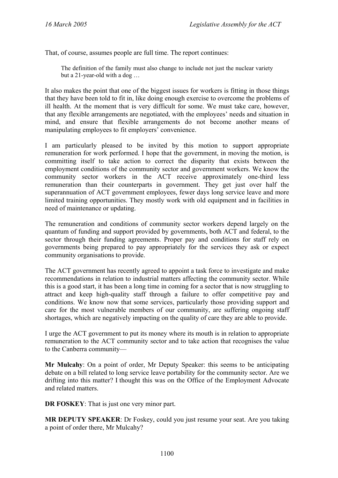That, of course, assumes people are full time. The report continues:

The definition of the family must also change to include not just the nuclear variety but a 21-year-old with a dog …

It also makes the point that one of the biggest issues for workers is fitting in those things that they have been told to fit in, like doing enough exercise to overcome the problems of ill health. At the moment that is very difficult for some. We must take care, however, that any flexible arrangements are negotiated, with the employees' needs and situation in mind, and ensure that flexible arrangements do not become another means of manipulating employees to fit employers' convenience.

I am particularly pleased to be invited by this motion to support appropriate remuneration for work performed. I hope that the government, in moving the motion, is committing itself to take action to correct the disparity that exists between the employment conditions of the community sector and government workers. We know the community sector workers in the ACT receive approximately one-third less remuneration than their counterparts in government. They get just over half the superannuation of ACT government employees, fewer days long service leave and more limited training opportunities. They mostly work with old equipment and in facilities in need of maintenance or updating.

The remuneration and conditions of community sector workers depend largely on the quantum of funding and support provided by governments, both ACT and federal, to the sector through their funding agreements. Proper pay and conditions for staff rely on governments being prepared to pay appropriately for the services they ask or expect community organisations to provide.

The ACT government has recently agreed to appoint a task force to investigate and make recommendations in relation to industrial matters affecting the community sector. While this is a good start, it has been a long time in coming for a sector that is now struggling to attract and keep high-quality staff through a failure to offer competitive pay and conditions. We know now that some services, particularly those providing support and care for the most vulnerable members of our community, are suffering ongoing staff shortages, which are negatively impacting on the quality of care they are able to provide.

I urge the ACT government to put its money where its mouth is in relation to appropriate remuneration to the ACT community sector and to take action that recognises the value to the Canberra community—

**Mr Mulcahy**: On a point of order, Mr Deputy Speaker: this seems to be anticipating debate on a bill related to long service leave portability for the community sector. Are we drifting into this matter? I thought this was on the Office of the Employment Advocate and related matters.

**DR FOSKEY**: That is just one very minor part.

**MR DEPUTY SPEAKER**: Dr Foskey, could you just resume your seat. Are you taking a point of order there, Mr Mulcahy?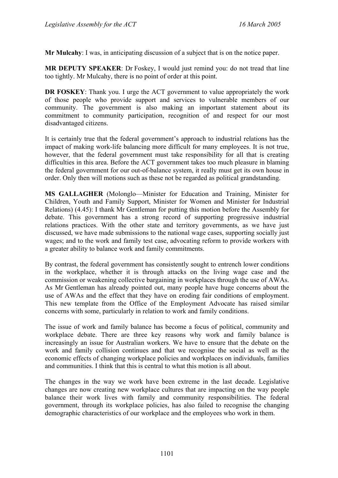**Mr Mulcahy**: I was, in anticipating discussion of a subject that is on the notice paper.

**MR DEPUTY SPEAKER**: Dr Foskey, I would just remind you: do not tread that line too tightly. Mr Mulcahy, there is no point of order at this point.

**DR FOSKEY**: Thank you. I urge the ACT government to value appropriately the work of those people who provide support and services to vulnerable members of our community. The government is also making an important statement about its commitment to community participation, recognition of and respect for our most disadvantaged citizens.

It is certainly true that the federal government's approach to industrial relations has the impact of making work-life balancing more difficult for many employees. It is not true, however, that the federal government must take responsibility for all that is creating difficulties in this area. Before the ACT government takes too much pleasure in blaming the federal government for our out-of-balance system, it really must get its own house in order. Only then will motions such as these not be regarded as political grandstanding.

**MS GALLAGHER** (Molonglo—Minister for Education and Training, Minister for Children, Youth and Family Support, Minister for Women and Minister for Industrial Relations) (4.45): I thank Mr Gentleman for putting this motion before the Assembly for debate. This government has a strong record of supporting progressive industrial relations practices. With the other state and territory governments, as we have just discussed, we have made submissions to the national wage cases, supporting socially just wages; and to the work and family test case, advocating reform to provide workers with a greater ability to balance work and family commitments.

By contrast, the federal government has consistently sought to entrench lower conditions in the workplace, whether it is through attacks on the living wage case and the commission or weakening collective bargaining in workplaces through the use of AWAs. As Mr Gentleman has already pointed out, many people have huge concerns about the use of AWAs and the effect that they have on eroding fair conditions of employment. This new template from the Office of the Employment Advocate has raised similar concerns with some, particularly in relation to work and family conditions.

The issue of work and family balance has become a focus of political, community and workplace debate. There are three key reasons why work and family balance is increasingly an issue for Australian workers. We have to ensure that the debate on the work and family collision continues and that we recognise the social as well as the economic effects of changing workplace policies and workplaces on individuals, families and communities. I think that this is central to what this motion is all about.

The changes in the way we work have been extreme in the last decade. Legislative changes are now creating new workplace cultures that are impacting on the way people balance their work lives with family and community responsibilities. The federal government, through its workplace policies, has also failed to recognise the changing demographic characteristics of our workplace and the employees who work in them.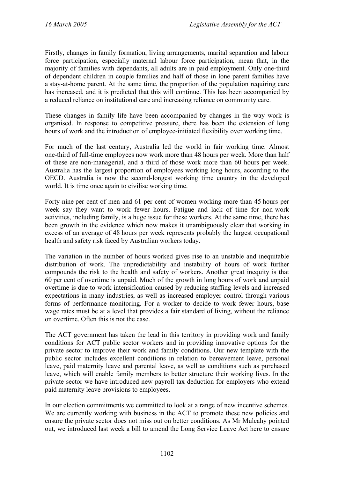Firstly, changes in family formation, living arrangements, marital separation and labour force participation, especially maternal labour force participation, mean that, in the majority of families with dependants, all adults are in paid employment. Only one-third of dependent children in couple families and half of those in lone parent families have a stay-at-home parent. At the same time, the proportion of the population requiring care has increased, and it is predicted that this will continue. This has been accompanied by a reduced reliance on institutional care and increasing reliance on community care.

These changes in family life have been accompanied by changes in the way work is organised. In response to competitive pressure, there has been the extension of long hours of work and the introduction of employee-initiated flexibility over working time.

For much of the last century, Australia led the world in fair working time. Almost one-third of full-time employees now work more than 48 hours per week. More than half of these are non-managerial, and a third of those work more than 60 hours per week. Australia has the largest proportion of employees working long hours, according to the OECD. Australia is now the second-longest working time country in the developed world. It is time once again to civilise working time.

Forty-nine per cent of men and 61 per cent of women working more than 45 hours per week say they want to work fewer hours. Fatigue and lack of time for non-work activities, including family, is a huge issue for these workers. At the same time, there has been growth in the evidence which now makes it unambiguously clear that working in excess of an average of 48 hours per week represents probably the largest occupational health and safety risk faced by Australian workers today.

The variation in the number of hours worked gives rise to an unstable and inequitable distribution of work. The unpredictability and instability of hours of work further compounds the risk to the health and safety of workers. Another great inequity is that 60 per cent of overtime is unpaid. Much of the growth in long hours of work and unpaid overtime is due to work intensification caused by reducing staffing levels and increased expectations in many industries, as well as increased employer control through various forms of performance monitoring. For a worker to decide to work fewer hours, base wage rates must be at a level that provides a fair standard of living, without the reliance on overtime. Often this is not the case.

The ACT government has taken the lead in this territory in providing work and family conditions for ACT public sector workers and in providing innovative options for the private sector to improve their work and family conditions. Our new template with the public sector includes excellent conditions in relation to bereavement leave, personal leave, paid maternity leave and parental leave, as well as conditions such as purchased leave, which will enable family members to better structure their working lives. In the private sector we have introduced new payroll tax deduction for employers who extend paid maternity leave provisions to employees.

In our election commitments we committed to look at a range of new incentive schemes. We are currently working with business in the ACT to promote these new policies and ensure the private sector does not miss out on better conditions. As Mr Mulcahy pointed out, we introduced last week a bill to amend the Long Service Leave Act here to ensure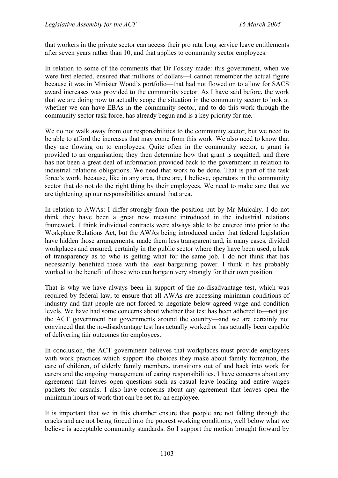that workers in the private sector can access their pro rata long service leave entitlements after seven years rather than 10, and that applies to community sector employees.

In relation to some of the comments that Dr Foskey made: this government, when we were first elected, ensured that millions of dollars—I cannot remember the actual figure because it was in Minister Wood's portfolio—that had not flowed on to allow for SACS award increases was provided to the community sector. As I have said before, the work that we are doing now to actually scope the situation in the community sector to look at whether we can have EBAs in the community sector, and to do this work through the community sector task force, has already begun and is a key priority for me.

We do not walk away from our responsibilities to the community sector, but we need to be able to afford the increases that may come from this work. We also need to know that they are flowing on to employees. Quite often in the community sector, a grant is provided to an organisation; they then determine how that grant is acquitted; and there has not been a great deal of information provided back to the government in relation to industrial relations obligations. We need that work to be done. That is part of the task force's work, because, like in any area, there are, I believe, operators in the community sector that do not do the right thing by their employees. We need to make sure that we are tightening up our responsibilities around that area.

In relation to AWAs: I differ strongly from the position put by Mr Mulcahy. I do not think they have been a great new measure introduced in the industrial relations framework. I think individual contracts were always able to be entered into prior to the Workplace Relations Act, but the AWAs being introduced under that federal legislation have hidden those arrangements, made them less transparent and, in many cases, divided workplaces and ensured, certainly in the public sector where they have been used, a lack of transparency as to who is getting what for the same job. I do not think that has necessarily benefited those with the least bargaining power. I think it has probably worked to the benefit of those who can bargain very strongly for their own position.

That is why we have always been in support of the no-disadvantage test, which was required by federal law, to ensure that all AWAs are accessing minimum conditions of industry and that people are not forced to negotiate below agreed wage and condition levels. We have had some concerns about whether that test has been adhered to—not just the ACT government but governments around the country—and we are certainly not convinced that the no-disadvantage test has actually worked or has actually been capable of delivering fair outcomes for employees.

In conclusion, the ACT government believes that workplaces must provide employees with work practices which support the choices they make about family formation, the care of children, of elderly family members, transitions out of and back into work for carers and the ongoing management of caring responsibilities. I have concerns about any agreement that leaves open questions such as casual leave loading and entire wages packets for casuals. I also have concerns about any agreement that leaves open the minimum hours of work that can be set for an employee.

It is important that we in this chamber ensure that people are not falling through the cracks and are not being forced into the poorest working conditions, well below what we believe is acceptable community standards. So I support the motion brought forward by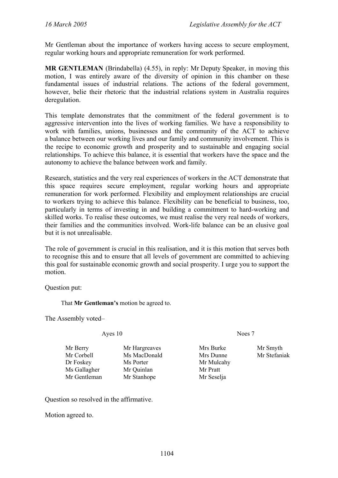Mr Gentleman about the importance of workers having access to secure employment, regular working hours and appropriate remuneration for work performed.

**MR GENTLEMAN** (Brindabella) (4.55), in reply: Mr Deputy Speaker, in moving this motion, I was entirely aware of the diversity of opinion in this chamber on these fundamental issues of industrial relations. The actions of the federal government, however, belie their rhetoric that the industrial relations system in Australia requires deregulation.

This template demonstrates that the commitment of the federal government is to aggressive intervention into the lives of working families. We have a responsibility to work with families, unions, businesses and the community of the ACT to achieve a balance between our working lives and our family and community involvement. This is the recipe to economic growth and prosperity and to sustainable and engaging social relationships. To achieve this balance, it is essential that workers have the space and the autonomy to achieve the balance between work and family.

Research, statistics and the very real experiences of workers in the ACT demonstrate that this space requires secure employment, regular working hours and appropriate remuneration for work performed. Flexibility and employment relationships are crucial to workers trying to achieve this balance. Flexibility can be beneficial to business, too, particularly in terms of investing in and building a commitment to hard-working and skilled works. To realise these outcomes, we must realise the very real needs of workers, their families and the communities involved. Work-life balance can be an elusive goal but it is not unrealisable.

The role of government is crucial in this realisation, and it is this motion that serves both to recognise this and to ensure that all levels of government are committed to achieving this goal for sustainable economic growth and social prosperity. I urge you to support the motion.

Question put:

That **Mr Gentleman's** motion be agreed to.

The Assembly voted–

Ayes 10 Noes 7

Mr Berry Mr Hargreaves Mrs Burke Mr Smyth Mr Corbell Ms MacDonald Mrs Dunne Mr Stefaniak Dr Foskey Ms Porter Mr Mulcahy Ms Gallagher Mr Ouinlan Mr Pratt Mr Gentleman Mr Stanhope Mr Seselja

Question so resolved in the affirmative.

Motion agreed to.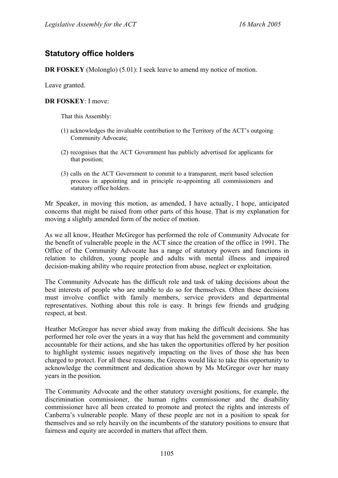# **Statutory office holders**

**DR FOSKEY** (Molonglo) (5.01): I seek leave to amend my notice of motion.

Leave granted.

#### **DR FOSKEY**: I move:

That this Assembly:

- (1) acknowledges the invaluable contribution to the Territory of the ACT's outgoing Community Advocate;
- (2) recognises that the ACT Government has publicly advertised for applicants for that position;
- (3) calls on the ACT Government to commit to a transparent, merit based selection process in appointing and in principle re-appointing all commissioners and statutory office holders.

Mr Speaker, in moving this motion, as amended, I have actually, I hope, anticipated concerns that might be raised from other parts of this house. That is my explanation for moving a slightly amended form of the notice of motion.

As we all know, Heather McGregor has performed the role of Community Advocate for the benefit of vulnerable people in the ACT since the creation of the office in 1991. The Office of the Community Advocate has a range of statutory powers and functions in relation to children, young people and adults with mental illness and impaired decision-making ability who require protection from abuse, neglect or exploitation.

The Community Advocate has the difficult role and task of taking decisions about the best interests of people who are unable to do so for themselves. Often these decisions must involve conflict with family members, service providers and departmental representatives. Nothing about this role is easy. It brings few friends and grudging respect, at best.

Heather McGregor has never shied away from making the difficult decisions. She has performed her role over the years in a way that has held the government and community accountable for their actions, and she has taken the opportunities offered by her position to highlight systemic issues negatively impacting on the lives of those she has been charged to protect. For all these reasons, the Greens would like to take this opportunity to acknowledge the commitment and dedication shown by Ms McGregor over her many years in the position.

The Community Advocate and the other statutory oversight positions, for example, the discrimination commissioner, the human rights commissioner and the disability commissioner have all been created to promote and protect the rights and interests of Canberra's vulnerable people. Many of these people are not in a position to speak for themselves and so rely heavily on the incumbents of the statutory positions to ensure that fairness and equity are accorded in matters that affect them.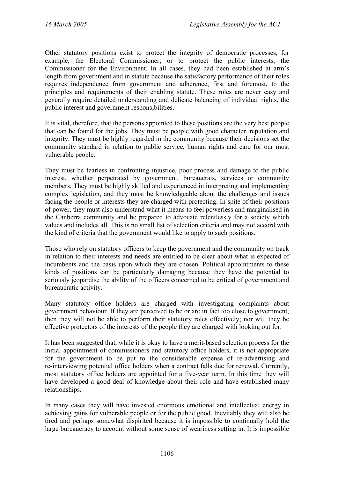Other statutory positions exist to protect the integrity of democratic processes, for example, the Electoral Commissioner; or to protect the public interests, the Commissioner for the Environment. In all cases, they had been established at arm's length from government and in statute because the satisfactory performance of their roles requires independence from government and adherence, first and foremost, to the principles and requirements of their enabling statute. These roles are never easy and generally require detailed understanding and delicate balancing of individual rights, the public interest and government responsibilities.

It is vital, therefore, that the persons appointed to these positions are the very best people that can be found for the jobs. They must be people with good character, reputation and integrity. They must be highly regarded in the community because their decisions set the community standard in relation to public service, human rights and care for our most vulnerable people.

They must be fearless in confronting injustice, poor process and damage to the public interest, whether perpetrated by government, bureaucrats, services or community members. They must be highly skilled and experienced in interpreting and implementing complex legislation, and they must be knowledgeable about the challenges and issues facing the people or interests they are charged with protecting. In spite of their positions of power, they must also understand what it means to feel powerless and marginalised in the Canberra community and be prepared to advocate relentlessly for a society which values and includes all. This is no small list of selection criteria and may not accord with the kind of criteria that the government would like to apply to such positions.

Those who rely on statutory officers to keep the government and the community on track in relation to their interests and needs are entitled to be clear about what is expected of incumbents and the basis upon which they are chosen. Political appointments to these kinds of positions can be particularly damaging because they have the potential to seriously jeopardise the ability of the officers concerned to be critical of government and bureaucratic activity.

Many statutory office holders are charged with investigating complaints about government behaviour. If they are perceived to be or are in fact too close to government, then they will not be able to perform their statutory roles effectively; nor will they be effective protectors of the interests of the people they are charged with looking out for.

It has been suggested that, while it is okay to have a merit-based selection process for the initial appointment of commissioners and statutory office holders, it is not appropriate for the government to be put to the considerable expense of re-advertising and re-interviewing potential office holders when a contract falls due for renewal. Currently, most statutory office holders are appointed for a five-year term. In this time they will have developed a good deal of knowledge about their role and have established many relationships.

In many cases they will have invested enormous emotional and intellectual energy in achieving gains for vulnerable people or for the public good. Inevitably they will also be tired and perhaps somewhat dispirited because it is impossible to continually hold the large bureaucracy to account without some sense of weariness setting in. It is impossible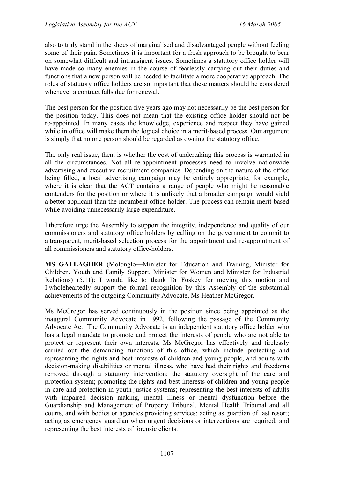also to truly stand in the shoes of marginalised and disadvantaged people without feeling some of their pain. Sometimes it is important for a fresh approach to be brought to bear on somewhat difficult and intransigent issues. Sometimes a statutory office holder will have made so many enemies in the course of fearlessly carrying out their duties and functions that a new person will be needed to facilitate a more cooperative approach. The roles of statutory office holders are so important that these matters should be considered whenever a contract falls due for renewal.

The best person for the position five years ago may not necessarily be the best person for the position today. This does not mean that the existing office holder should not be re-appointed. In many cases the knowledge, experience and respect they have gained while in office will make them the logical choice in a merit-based process. Our argument is simply that no one person should be regarded as owning the statutory office.

The only real issue, then, is whether the cost of undertaking this process is warranted in all the circumstances. Not all re-appointment processes need to involve nationwide advertising and executive recruitment companies. Depending on the nature of the office being filled, a local advertising campaign may be entirely appropriate, for example, where it is clear that the ACT contains a range of people who might be reasonable contenders for the position or where it is unlikely that a broader campaign would yield a better applicant than the incumbent office holder. The process can remain merit-based while avoiding unnecessarily large expenditure.

I therefore urge the Assembly to support the integrity, independence and quality of our commissioners and statutory office holders by calling on the government to commit to a transparent, merit-based selection process for the appointment and re-appointment of all commissioners and statutory office-holders.

**MS GALLAGHER** (Molonglo—Minister for Education and Training, Minister for Children, Youth and Family Support, Minister for Women and Minister for Industrial Relations) (5.11): I would like to thank Dr Foskey for moving this motion and I wholeheartedly support the formal recognition by this Assembly of the substantial achievements of the outgoing Community Advocate, Ms Heather McGregor.

Ms McGregor has served continuously in the position since being appointed as the inaugural Community Advocate in 1992, following the passage of the Community Advocate Act. The Community Advocate is an independent statutory office holder who has a legal mandate to promote and protect the interests of people who are not able to protect or represent their own interests. Ms McGregor has effectively and tirelessly carried out the demanding functions of this office, which include protecting and representing the rights and best interests of children and young people, and adults with decision-making disabilities or mental illness, who have had their rights and freedoms removed through a statutory intervention; the statutory oversight of the care and protection system; promoting the rights and best interests of children and young people in care and protection in youth justice systems; representing the best interests of adults with impaired decision making, mental illness or mental dysfunction before the Guardianship and Management of Property Tribunal, Mental Health Tribunal and all courts, and with bodies or agencies providing services; acting as guardian of last resort; acting as emergency guardian when urgent decisions or interventions are required; and representing the best interests of forensic clients.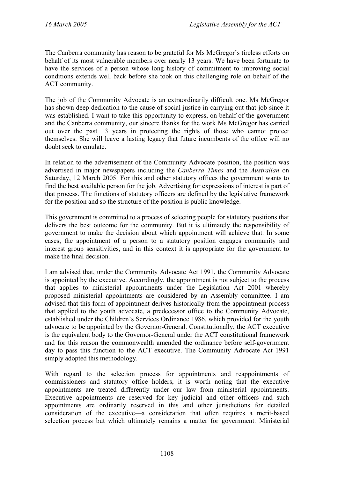The Canberra community has reason to be grateful for Ms McGregor's tireless efforts on behalf of its most vulnerable members over nearly 13 years. We have been fortunate to have the services of a person whose long history of commitment to improving social conditions extends well back before she took on this challenging role on behalf of the ACT community.

The job of the Community Advocate is an extraordinarily difficult one. Ms McGregor has shown deep dedication to the cause of social justice in carrying out that job since it was established. I want to take this opportunity to express, on behalf of the government and the Canberra community, our sincere thanks for the work Ms McGregor has carried out over the past 13 years in protecting the rights of those who cannot protect themselves. She will leave a lasting legacy that future incumbents of the office will no doubt seek to emulate.

In relation to the advertisement of the Community Advocate position, the position was advertised in major newspapers including the *Canberra Times* and the *Australian* on Saturday, 12 March 2005. For this and other statutory offices the government wants to find the best available person for the job. Advertising for expressions of interest is part of that process. The functions of statutory officers are defined by the legislative framework for the position and so the structure of the position is public knowledge.

This government is committed to a process of selecting people for statutory positions that delivers the best outcome for the community. But it is ultimately the responsibility of government to make the decision about which appointment will achieve that. In some cases, the appointment of a person to a statutory position engages community and interest group sensitivities, and in this context it is appropriate for the government to make the final decision.

I am advised that, under the Community Advocate Act 1991, the Community Advocate is appointed by the executive. Accordingly, the appointment is not subject to the process that applies to ministerial appointments under the Legislation Act 2001 whereby proposed ministerial appointments are considered by an Assembly committee. I am advised that this form of appointment derives historically from the appointment process that applied to the youth advocate, a predecessor office to the Community Advocate, established under the Children's Services Ordinance 1986, which provided for the youth advocate to be appointed by the Governor-General. Constitutionally, the ACT executive is the equivalent body to the Governor-General under the ACT constitutional framework and for this reason the commonwealth amended the ordinance before self-government day to pass this function to the ACT executive. The Community Advocate Act 1991 simply adopted this methodology.

With regard to the selection process for appointments and reappointments of commissioners and statutory office holders, it is worth noting that the executive appointments are treated differently under our law from ministerial appointments. Executive appointments are reserved for key judicial and other officers and such appointments are ordinarily reserved in this and other jurisdictions for detailed consideration of the executive—a consideration that often requires a merit-based selection process but which ultimately remains a matter for government. Ministerial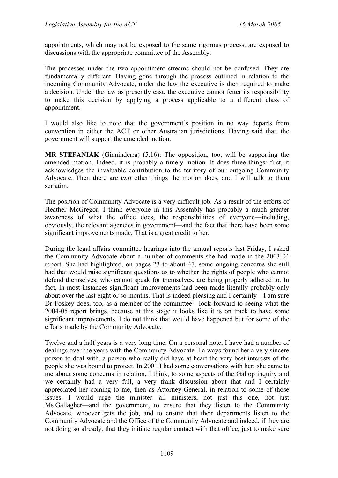appointments, which may not be exposed to the same rigorous process, are exposed to discussions with the appropriate committee of the Assembly.

The processes under the two appointment streams should not be confused. They are fundamentally different. Having gone through the process outlined in relation to the incoming Community Advocate, under the law the executive is then required to make a decision. Under the law as presently cast, the executive cannot fetter its responsibility to make this decision by applying a process applicable to a different class of appointment.

I would also like to note that the government's position in no way departs from convention in either the ACT or other Australian jurisdictions. Having said that, the government will support the amended motion.

**MR STEFANIAK** (Ginninderra) (5.16): The opposition, too, will be supporting the amended motion. Indeed, it is probably a timely motion. It does three things: first, it acknowledges the invaluable contribution to the territory of our outgoing Community Advocate. Then there are two other things the motion does, and I will talk to them seriatim.

The position of Community Advocate is a very difficult job. As a result of the efforts of Heather McGregor, I think everyone in this Assembly has probably a much greater awareness of what the office does, the responsibilities of everyone—including, obviously, the relevant agencies in government—and the fact that there have been some significant improvements made. That is a great credit to her.

During the legal affairs committee hearings into the annual reports last Friday, I asked the Community Advocate about a number of comments she had made in the 2003-04 report. She had highlighted, on pages 23 to about 47, some ongoing concerns she still had that would raise significant questions as to whether the rights of people who cannot defend themselves, who cannot speak for themselves, are being properly adhered to. In fact, in most instances significant improvements had been made literally probably only about over the last eight or so months. That is indeed pleasing and I certainly—I am sure Dr Foskey does, too, as a member of the committee—look forward to seeing what the 2004-05 report brings, because at this stage it looks like it is on track to have some significant improvements. I do not think that would have happened but for some of the efforts made by the Community Advocate.

Twelve and a half years is a very long time. On a personal note, I have had a number of dealings over the years with the Community Advocate. I always found her a very sincere person to deal with, a person who really did have at heart the very best interests of the people she was bound to protect. In 2001 I had some conversations with her; she came to me about some concerns in relation, I think, to some aspects of the Gallop inquiry and we certainly had a very full, a very frank discussion about that and I certainly appreciated her coming to me, then as Attorney-General, in relation to some of those issues. I would urge the minister—all ministers, not just this one, not just Ms Gallagher—and the government, to ensure that they listen to the Community Advocate, whoever gets the job, and to ensure that their departments listen to the Community Advocate and the Office of the Community Advocate and indeed, if they are not doing so already, that they initiate regular contact with that office, just to make sure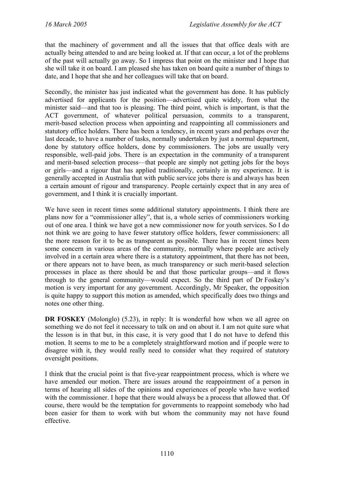that the machinery of government and all the issues that that office deals with are actually being attended to and are being looked at. If that can occur, a lot of the problems of the past will actually go away. So I impress that point on the minister and I hope that she will take it on board. I am pleased she has taken on board quite a number of things to date, and I hope that she and her colleagues will take that on board.

Secondly, the minister has just indicated what the government has done. It has publicly advertised for applicants for the position—advertised quite widely, from what the minister said—and that too is pleasing. The third point, which is important, is that the ACT government, of whatever political persuasion, commits to a transparent, merit-based selection process when appointing and reappointing all commissioners and statutory office holders. There has been a tendency, in recent years and perhaps over the last decade, to have a number of tasks, normally undertaken by just a normal department, done by statutory office holders, done by commissioners. The jobs are usually very responsible, well-paid jobs. There is an expectation in the community of a transparent and merit-based selection process—that people are simply not getting jobs for the boys or girls—and a rigour that has applied traditionally, certainly in my experience. It is generally accepted in Australia that with public service jobs there is and always has been a certain amount of rigour and transparency. People certainly expect that in any area of government, and I think it is crucially important.

We have seen in recent times some additional statutory appointments. I think there are plans now for a "commissioner alley", that is, a whole series of commissioners working out of one area. I think we have got a new commissioner now for youth services. So I do not think we are going to have fewer statutory office holders, fewer commissioners: all the more reason for it to be as transparent as possible. There has in recent times been some concern in various areas of the community, normally where people are actively involved in a certain area where there is a statutory appointment, that there has not been, or there appears not to have been, as much transparency or such merit-based selection processes in place as there should be and that those particular groups—and it flows through to the general community—would expect. So the third part of Dr Foskey's motion is very important for any government. Accordingly, Mr Speaker, the opposition is quite happy to support this motion as amended, which specifically does two things and notes one other thing.

**DR FOSKEY** (Molonglo) (5.23), in reply: It is wonderful how when we all agree on something we do not feel it necessary to talk on and on about it. I am not quite sure what the lesson is in that but, in this case, it is very good that I do not have to defend this motion. It seems to me to be a completely straightforward motion and if people were to disagree with it, they would really need to consider what they required of statutory oversight positions.

I think that the crucial point is that five-year reappointment process, which is where we have amended our motion. There are issues around the reappointment of a person in terms of hearing all sides of the opinions and experiences of people who have worked with the commissioner. I hope that there would always be a process that allowed that. Of course, there would be the temptation for governments to reappoint somebody who had been easier for them to work with but whom the community may not have found effective.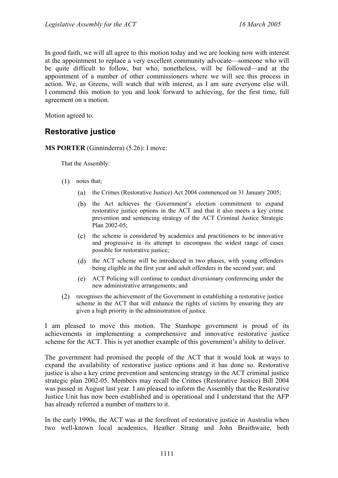In good faith, we will all agree to this motion today and we are looking now with interest at the appointment to replace a very excellent community advocate—someone who will be quite difficult to follow, but who, nonetheless, will be followed—and at the appointment of a number of other commissioners where we will see this process in action. We, as Greens, will watch that with interest, as I am sure everyone else will. I commend this motion to you and look forward to achieving, for the first time, full agreement on a motion.

Motion agreed to.

## **Restorative justice**

**MS PORTER** (Ginninderra) (5.26): I move:

That the Assembly:

- (1) notes that;
	- (a) the Crimes (Restorative Justice) Act 2004 commenced on 31 January 2005;
	- (b) the Act achieves the Government's election commitment to expand restorative justice options in the ACT and that it also meets a key crime prevention and sentencing strategy of the ACT Criminal Justice Strategic Plan 2002-05;
	- (c) the scheme is considered by academics and practitioners to be innovative and progressive in its attempt to encompass the widest range of cases possible for restorative justice;
	- (d) the ACT scheme will be introduced in two phases, with young offenders being eligible in the first year and adult offenders in the second year; and
	- (e) ACT Policing will continue to conduct diversionary conferencing under the new administrative arrangements; and
- (2) recognises the achievement of the Government in establishing a restorative justice scheme in the ACT that will enhance the rights of victims by ensuring they are given a high priority in the administration of justice.

I am pleased to move this motion. The Stanhope government is proud of its achievements in implementing a comprehensive and innovative restorative justice scheme for the ACT. This is yet another example of this government's ability to deliver.

The government had promised the people of the ACT that it would look at ways to expand the availability of restorative justice options and it has done so. Restorative justice is also a key crime prevention and sentencing strategy in the ACT criminal justice strategic plan 2002-05. Members may recall the Crimes (Restorative Justice) Bill 2004 was passed in August last year. I am pleased to inform the Assembly that the Restorative Justice Unit has now been established and is operational and I understand that the AFP has already referred a number of matters to it.

In the early 1990s, the ACT was at the forefront of restorative justice in Australia when two well-known local academics, Heather Strang and John Braithwaite, both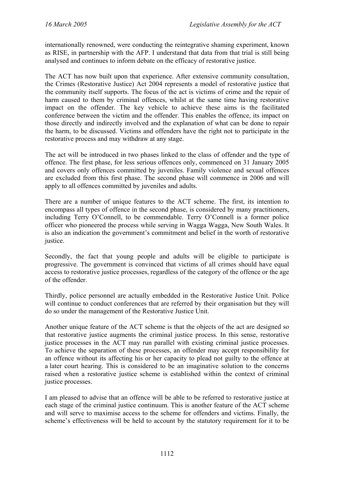internationally renowned, were conducting the reintegrative shaming experiment, known as RISE, in partnership with the AFP. I understand that data from that trial is still being analysed and continues to inform debate on the efficacy of restorative justice.

The ACT has now built upon that experience. After extensive community consultation, the Crimes (Restorative Justice) Act 2004 represents a model of restorative justice that the community itself supports. The focus of the act is victims of crime and the repair of harm caused to them by criminal offences, whilst at the same time having restorative impact on the offender. The key vehicle to achieve these aims is the facilitated conference between the victim and the offender. This enables the offence, its impact on those directly and indirectly involved and the explanation of what can be done to repair the harm, to be discussed. Victims and offenders have the right not to participate in the restorative process and may withdraw at any stage.

The act will be introduced in two phases linked to the class of offender and the type of offence. The first phase, for less serious offences only, commenced on 31 January 2005 and covers only offences committed by juveniles. Family violence and sexual offences are excluded from this first phase. The second phase will commence in 2006 and will apply to all offences committed by juveniles and adults.

There are a number of unique features to the ACT scheme. The first, its intention to encompass all types of offence in the second phase, is considered by many practitioners, including Terry O'Connell, to be commendable. Terry O'Connell is a former police officer who pioneered the process while serving in Wagga Wagga, New South Wales. It is also an indication the government's commitment and belief in the worth of restorative justice.

Secondly, the fact that young people and adults will be eligible to participate is progressive. The government is convinced that victims of all crimes should have equal access to restorative justice processes, regardless of the category of the offence or the age of the offender.

Thirdly, police personnel are actually embedded in the Restorative Justice Unit. Police will continue to conduct conferences that are referred by their organisation but they will do so under the management of the Restorative Justice Unit.

Another unique feature of the ACT scheme is that the objects of the act are designed so that restorative justice augments the criminal justice process. In this sense, restorative justice processes in the ACT may run parallel with existing criminal justice processes. To achieve the separation of these processes, an offender may accept responsibility for an offence without its affecting his or her capacity to plead not guilty to the offence at a later court hearing. This is considered to be an imaginative solution to the concerns raised when a restorative justice scheme is established within the context of criminal justice processes.

I am pleased to advise that an offence will be able to be referred to restorative justice at each stage of the criminal justice continuum. This is another feature of the ACT scheme and will serve to maximise access to the scheme for offenders and victims. Finally, the scheme's effectiveness will be held to account by the statutory requirement for it to be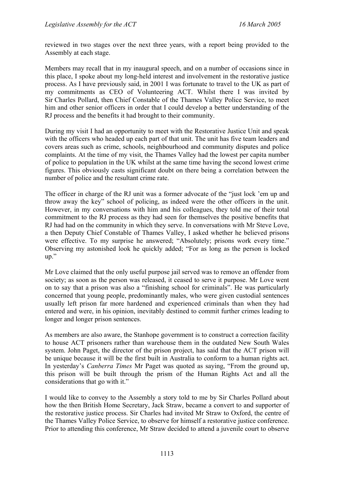reviewed in two stages over the next three years, with a report being provided to the Assembly at each stage.

Members may recall that in my inaugural speech, and on a number of occasions since in this place, I spoke about my long-held interest and involvement in the restorative justice process. As I have previously said, in 2001 I was fortunate to travel to the UK as part of my commitments as CEO of Volunteering ACT. Whilst there I was invited by Sir Charles Pollard, then Chief Constable of the Thames Valley Police Service, to meet him and other senior officers in order that I could develop a better understanding of the RJ process and the benefits it had brought to their community.

During my visit I had an opportunity to meet with the Restorative Justice Unit and speak with the officers who headed up each part of that unit. The unit has five team leaders and covers areas such as crime, schools, neighbourhood and community disputes and police complaints. At the time of my visit, the Thames Valley had the lowest per capita number of police to population in the UK whilst at the same time having the second lowest crime figures. This obviously casts significant doubt on there being a correlation between the number of police and the resultant crime rate.

The officer in charge of the RJ unit was a former advocate of the "just lock 'em up and throw away the key" school of policing, as indeed were the other officers in the unit. However, in my conversations with him and his colleagues, they told me of their total commitment to the RJ process as they had seen for themselves the positive benefits that RJ had had on the community in which they serve. In conversations with Mr Steve Love, a then Deputy Chief Constable of Thames Valley, I asked whether he believed prisons were effective. To my surprise he answered; "Absolutely; prisons work every time." Observing my astonished look he quickly added; "For as long as the person is locked up."

Mr Love claimed that the only useful purpose jail served was to remove an offender from society; as soon as the person was released, it ceased to serve it purpose. Mr Love went on to say that a prison was also a "finishing school for criminals". He was particularly concerned that young people, predominantly males, who were given custodial sentences usually left prison far more hardened and experienced criminals than when they had entered and were, in his opinion, inevitably destined to commit further crimes leading to longer and longer prison sentences.

As members are also aware, the Stanhope government is to construct a correction facility to house ACT prisoners rather than warehouse them in the outdated New South Wales system. John Paget, the director of the prison project, has said that the ACT prison will be unique because it will be the first built in Australia to conform to a human rights act. In yesterday's *Canberra Times* Mr Paget was quoted as saying, "From the ground up, this prison will be built through the prism of the Human Rights Act and all the considerations that go with it."

I would like to convey to the Assembly a story told to me by Sir Charles Pollard about how the then British Home Secretary, Jack Straw, became a convert to and supporter of the restorative justice process. Sir Charles had invited Mr Straw to Oxford, the centre of the Thames Valley Police Service, to observe for himself a restorative justice conference. Prior to attending this conference, Mr Straw decided to attend a juvenile court to observe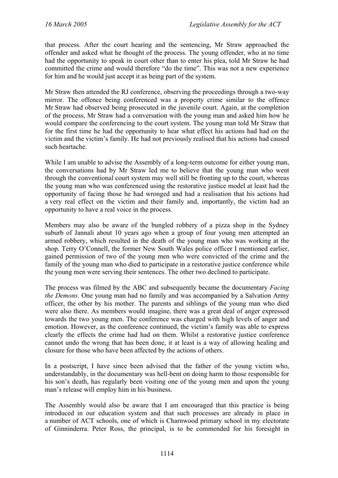that process. After the court hearing and the sentencing, Mr Straw approached the offender and asked what he thought of the process. The young offender, who at no time had the opportunity to speak in court other than to enter his plea, told Mr Straw he had committed the crime and would therefore "do the time". This was not a new experience for him and he would just accept it as being part of the system.

Mr Straw then attended the RJ conference, observing the proceedings through a two-way mirror. The offence being conferenced was a property crime similar to the offence Mr Straw had observed being prosecuted in the juvenile court. Again, at the completion of the process, Mr Straw had a conversation with the young man and asked him how he would compare the conferencing to the court system. The young man told Mr Straw that for the first time he had the opportunity to hear what effect his actions had had on the victim and the victim's family. He had not previously realised that his actions had caused such heartache.

While I am unable to advise the Assembly of a long-term outcome for either young man, the conversations had by Mr Straw led me to believe that the young man who went through the conventional court system may well still be fronting up to the court, whereas the young man who was conferenced using the restorative justice model at least had the opportunity of facing those he had wronged and had a realisation that his actions had a very real effect on the victim and their family and, importantly, the victim had an opportunity to have a real voice in the process.

Members may also be aware of the bungled robbery of a pizza shop in the Sydney suburb of Jannali about 10 years ago when a group of four young men attempted an armed robbery, which resulted in the death of the young man who was working at the shop. Terry O'Connell, the former New South Wales police officer I mentioned earlier, gained permission of two of the young men who were convicted of the crime and the family of the young man who died to participate in a restorative justice conference while the young men were serving their sentences. The other two declined to participate.

The process was filmed by the ABC and subsequently became the documentary *Facing the Demons*. One young man had no family and was accompanied by a Salvation Army officer, the other by his mother. The parents and siblings of the young man who died were also there. As members would imagine, there was a great deal of anger expressed towards the two young men. The conference was charged with high levels of anger and emotion. However, as the conference continued, the victim's family was able to express clearly the effects the crime had had on them. Whilst a restorative justice conference cannot undo the wrong that has been done, it at least is a way of allowing healing and closure for those who have been affected by the actions of others.

In a postscript, I have since been advised that the father of the young victim who, understandably, in the documentary was hell-bent on doing harm to those responsible for his son's death, has regularly been visiting one of the young men and upon the young man's release will employ him in his business.

The Assembly would also be aware that I am encouraged that this practice is being introduced in our education system and that such processes are already in place in a number of ACT schools, one of which is Charnwood primary school in my electorate of Ginninderra. Peter Ross, the principal, is to be commended for his foresight in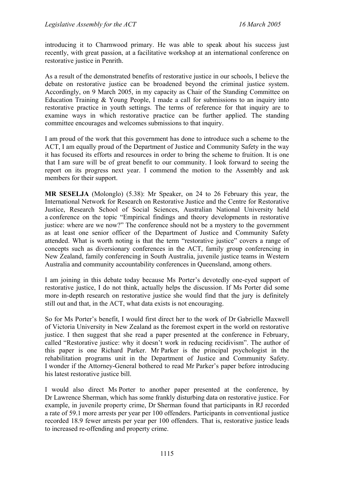introducing it to Charnwood primary. He was able to speak about his success just recently, with great passion, at a facilitative workshop at an international conference on restorative justice in Penrith.

As a result of the demonstrated benefits of restorative justice in our schools, I believe the debate on restorative justice can be broadened beyond the criminal justice system. Accordingly, on 9 March 2005, in my capacity as Chair of the Standing Committee on Education Training & Young People, I made a call for submissions to an inquiry into restorative practice in youth settings. The terms of reference for that inquiry are to examine ways in which restorative practice can be further applied. The standing committee encourages and welcomes submissions to that inquiry.

I am proud of the work that this government has done to introduce such a scheme to the ACT, I am equally proud of the Department of Justice and Community Safety in the way it has focused its efforts and resources in order to bring the scheme to fruition. It is one that I am sure will be of great benefit to our community. I look forward to seeing the report on its progress next year. I commend the motion to the Assembly and ask members for their support.

**MR SESELJA** (Molonglo) (5.38): Mr Speaker, on 24 to 26 February this year, the International Network for Research on Restorative Justice and the Centre for Restorative Justice, Research School of Social Sciences, Australian National University held a conference on the topic "Empirical findings and theory developments in restorative justice: where are we now?" The conference should not be a mystery to the government as at least one senior officer of the Department of Justice and Community Safety attended. What is worth noting is that the term "restorative justice" covers a range of concepts such as diversionary conferences in the ACT, family group conferencing in New Zealand, family conferencing in South Australia, juvenile justice teams in Western Australia and community accountability conferences in Queensland, among others.

I am joining in this debate today because Ms Porter's devotedly one-eyed support of restorative justice, I do not think, actually helps the discussion. If Ms Porter did some more in-depth research on restorative justice she would find that the jury is definitely still out and that, in the ACT, what data exists is not encouraging.

So for Ms Porter's benefit, I would first direct her to the work of Dr Gabrielle Maxwell of Victoria University in New Zealand as the foremost expert in the world on restorative justice. I then suggest that she read a paper presented at the conference in February, called "Restorative justice: why it doesn't work in reducing recidivism". The author of this paper is one Richard Parker. Mr Parker is the principal psychologist in the rehabilitation programs unit in the Department of Justice and Community Safety. I wonder if the Attorney-General bothered to read Mr Parker's paper before introducing his latest restorative justice bill.

I would also direct Ms Porter to another paper presented at the conference, by Dr Lawrence Sherman, which has some frankly disturbing data on restorative justice. For example, in juvenile property crime, Dr Sherman found that participants in RJ recorded a rate of 59.1 more arrests per year per 100 offenders. Participants in conventional justice recorded 18.9 fewer arrests per year per 100 offenders. That is, restorative justice leads to increased re-offending and property crime.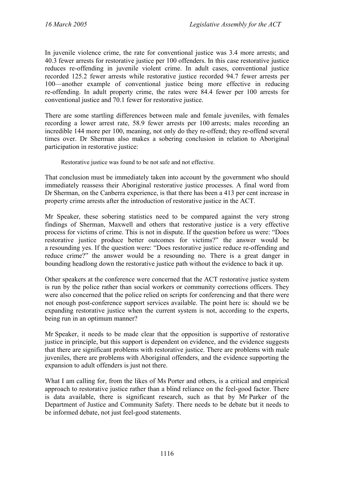In juvenile violence crime, the rate for conventional justice was 3.4 more arrests; and 40.3 fewer arrests for restorative justice per 100 offenders. In this case restorative justice reduces re-offending in juvenile violent crime. In adult cases, conventional justice recorded 125.2 fewer arrests while restorative justice recorded 94.7 fewer arrests per 100—another example of conventional justice being more effective in reducing re-offending. In adult property crime, the rates were 84.4 fewer per 100 arrests for conventional justice and 70.1 fewer for restorative justice.

There are some startling differences between male and female juveniles, with females recording a lower arrest rate, 58.9 fewer arrests per 100 arrests; males recording an incredible 144 more per 100, meaning, not only do they re-offend; they re-offend several times over. Dr Sherman also makes a sobering conclusion in relation to Aboriginal participation in restorative justice:

Restorative justice was found to be not safe and not effective.

That conclusion must be immediately taken into account by the government who should immediately reassess their Aboriginal restorative justice processes. A final word from Dr Sherman, on the Canberra experience, is that there has been a 413 per cent increase in property crime arrests after the introduction of restorative justice in the ACT.

Mr Speaker, these sobering statistics need to be compared against the very strong findings of Sherman, Maxwell and others that restorative justice is a very effective process for victims of crime. This is not in dispute. If the question before us were: "Does restorative justice produce better outcomes for victims?" the answer would be a resounding yes. If the question were: "Does restorative justice reduce re-offending and reduce crime?" the answer would be a resounding no. There is a great danger in bounding headlong down the restorative justice path without the evidence to back it up.

Other speakers at the conference were concerned that the ACT restorative justice system is run by the police rather than social workers or community corrections officers. They were also concerned that the police relied on scripts for conferencing and that there were not enough post-conference support services available. The point here is: should we be expanding restorative justice when the current system is not, according to the experts, being run in an optimum manner?

Mr Speaker, it needs to be made clear that the opposition is supportive of restorative justice in principle, but this support is dependent on evidence, and the evidence suggests that there are significant problems with restorative justice. There are problems with male juveniles, there are problems with Aboriginal offenders, and the evidence supporting the expansion to adult offenders is just not there.

What I am calling for, from the likes of Ms Porter and others, is a critical and empirical approach to restorative justice rather than a blind reliance on the feel-good factor. There is data available, there is significant research, such as that by Mr Parker of the Department of Justice and Community Safety. There needs to be debate but it needs to be informed debate, not just feel-good statements.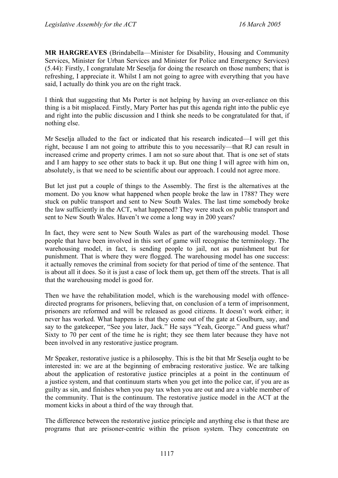**MR HARGREAVES** (Brindabella—Minister for Disability, Housing and Community Services, Minister for Urban Services and Minister for Police and Emergency Services) (5.44): Firstly, I congratulate Mr Seselja for doing the research on those numbers; that is refreshing, I appreciate it. Whilst I am not going to agree with everything that you have said, I actually do think you are on the right track.

I think that suggesting that Ms Porter is not helping by having an over-reliance on this thing is a bit misplaced. Firstly, Mary Porter has put this agenda right into the public eye and right into the public discussion and I think she needs to be congratulated for that, if nothing else.

Mr Seselja alluded to the fact or indicated that his research indicated—I will get this right, because I am not going to attribute this to you necessarily—that RJ can result in increased crime and property crimes. I am not so sure about that. That is one set of stats and I am happy to see other stats to back it up. But one thing I will agree with him on, absolutely, is that we need to be scientific about our approach. I could not agree more.

But let just put a couple of things to the Assembly. The first is the alternatives at the moment. Do you know what happened when people broke the law in 1788? They were stuck on public transport and sent to New South Wales. The last time somebody broke the law sufficiently in the ACT, what happened? They were stuck on public transport and sent to New South Wales. Haven't we come a long way in 200 years?

In fact, they were sent to New South Wales as part of the warehousing model. Those people that have been involved in this sort of game will recognise the terminology. The warehousing model, in fact, is sending people to jail, not as punishment but for punishment. That is where they were flogged. The warehousing model has one success: it actually removes the criminal from society for that period of time of the sentence. That is about all it does. So it is just a case of lock them up, get them off the streets. That is all that the warehousing model is good for.

Then we have the rehabilitation model, which is the warehousing model with offencedirected programs for prisoners, believing that, on conclusion of a term of imprisonment, prisoners are reformed and will be released as good citizens. It doesn't work either; it never has worked. What happens is that they come out of the gate at Goulburn, say, and say to the gatekeeper, "See you later, Jack." He says "Yeah, George." And guess what? Sixty to 70 per cent of the time he is right; they see them later because they have not been involved in any restorative justice program.

Mr Speaker, restorative justice is a philosophy. This is the bit that Mr Seselja ought to be interested in: we are at the beginning of embracing restorative justice. We are talking about the application of restorative justice principles at a point in the continuum of a justice system, and that continuum starts when you get into the police car, if you are as guilty as sin, and finishes when you pay tax when you are out and are a viable member of the community. That is the continuum. The restorative justice model in the ACT at the moment kicks in about a third of the way through that.

The difference between the restorative justice principle and anything else is that these are programs that are prisoner-centric within the prison system. They concentrate on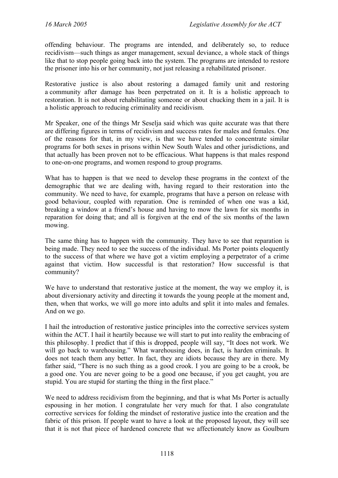offending behaviour. The programs are intended, and deliberately so, to reduce recidivism—such things as anger management, sexual deviance, a whole stack of things like that to stop people going back into the system. The programs are intended to restore the prisoner into his or her community, not just releasing a rehabilitated prisoner.

Restorative justice is also about restoring a damaged family unit and restoring a community after damage has been perpetrated on it. It is a holistic approach to restoration. It is not about rehabilitating someone or about chucking them in a jail. It is a holistic approach to reducing criminality and recidivism.

Mr Speaker, one of the things Mr Seselja said which was quite accurate was that there are differing figures in terms of recidivism and success rates for males and females. One of the reasons for that, in my view, is that we have tended to concentrate similar programs for both sexes in prisons within New South Wales and other jurisdictions, and that actually has been proven not to be efficacious. What happens is that males respond to one-on-one programs, and women respond to group programs.

What has to happen is that we need to develop these programs in the context of the demographic that we are dealing with, having regard to their restoration into the community. We need to have, for example, programs that have a person on release with good behaviour, coupled with reparation. One is reminded of when one was a kid, breaking a window at a friend's house and having to mow the lawn for six months in reparation for doing that; and all is forgiven at the end of the six months of the lawn mowing.

The same thing has to happen with the community. They have to see that reparation is being made. They need to see the success of the individual. Ms Porter points eloquently to the success of that where we have got a victim employing a perpetrator of a crime against that victim. How successful is that restoration? How successful is that community?

We have to understand that restorative justice at the moment, the way we employ it, is about diversionary activity and directing it towards the young people at the moment and, then, when that works, we will go more into adults and split it into males and females. And on we go.

I hail the introduction of restorative justice principles into the corrective services system within the ACT. I hail it heartily because we will start to put into reality the embracing of this philosophy. I predict that if this is dropped, people will say, "It does not work. We will go back to warehousing." What warehousing does, in fact, is harden criminals. It does not teach them any better. In fact, they are idiots because they are in there. My father said, "There is no such thing as a good crook. I you are going to be a crook, be a good one. You are never going to be a good one because, if you get caught, you are stupid. You are stupid for starting the thing in the first place."

We need to address recidivism from the beginning, and that is what Ms Porter is actually espousing in her motion. I congratulate her very much for that. I also congratulate corrective services for folding the mindset of restorative justice into the creation and the fabric of this prison. If people want to have a look at the proposed layout, they will see that it is not that piece of hardened concrete that we affectionately know as Goulburn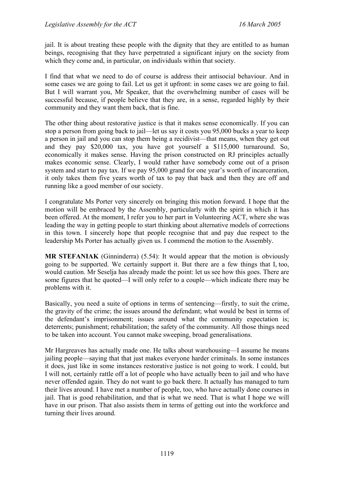jail. It is about treating these people with the dignity that they are entitled to as human beings, recognising that they have perpetrated a significant injury on the society from which they come and, in particular, on individuals within that society.

I find that what we need to do of course is address their antisocial behaviour. And in some cases we are going to fail. Let us get it upfront: in some cases we are going to fail. But I will warrant you, Mr Speaker, that the overwhelming number of cases will be successful because, if people believe that they are, in a sense, regarded highly by their community and they want them back, that is fine.

The other thing about restorative justice is that it makes sense economically. If you can stop a person from going back to jail—let us say it costs you 95,000 bucks a year to keep a person in jail and you can stop them being a recidivist—that means, when they get out and they pay \$20,000 tax, you have got yourself a \$115,000 turnaround. So, economically it makes sense. Having the prison constructed on RJ principles actually makes economic sense. Clearly, I would rather have somebody come out of a prison system and start to pay tax. If we pay 95,000 grand for one year's worth of incarceration, it only takes them five years worth of tax to pay that back and then they are off and running like a good member of our society.

I congratulate Ms Porter very sincerely on bringing this motion forward. I hope that the motion will be embraced by the Assembly, particularly with the spirit in which it has been offered. At the moment, I refer you to her part in Volunteering ACT, where she was leading the way in getting people to start thinking about alternative models of corrections in this town. I sincerely hope that people recognise that and pay due respect to the leadership Ms Porter has actually given us. I commend the motion to the Assembly.

**MR STEFANIAK** (Ginninderra) (5.54): It would appear that the motion is obviously going to be supported. We certainly support it. But there are a few things that I, too, would caution. Mr Seselja has already made the point: let us see how this goes. There are some figures that he quoted—I will only refer to a couple—which indicate there may be problems with it.

Basically, you need a suite of options in terms of sentencing—firstly, to suit the crime, the gravity of the crime; the issues around the defendant; what would be best in terms of the defendant's imprisonment; issues around what the community expectation is; deterrents; punishment; rehabilitation; the safety of the community. All those things need to be taken into account. You cannot make sweeping, broad generalisations.

Mr Hargreaves has actually made one. He talks about warehousing—I assume he means jailing people—saying that that just makes everyone harder criminals. In some instances it does, just like in some instances restorative justice is not going to work. I could, but I will not, certainly rattle off a lot of people who have actually been to jail and who have never offended again. They do not want to go back there. It actually has managed to turn their lives around. I have met a number of people, too, who have actually done courses in jail. That is good rehabilitation, and that is what we need. That is what I hope we will have in our prison. That also assists them in terms of getting out into the workforce and turning their lives around.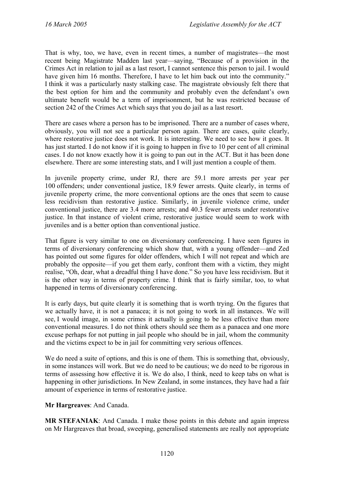That is why, too, we have, even in recent times, a number of magistrates—the most recent being Magistrate Madden last year—saying, "Because of a provision in the Crimes Act in relation to jail as a last resort, I cannot sentence this person to jail. I would have given him 16 months. Therefore, I have to let him back out into the community." I think it was a particularly nasty stalking case. The magistrate obviously felt there that the best option for him and the community and probably even the defendant's own ultimate benefit would be a term of imprisonment, but he was restricted because of section 242 of the Crimes Act which says that you do jail as a last resort.

There are cases where a person has to be imprisoned. There are a number of cases where, obviously, you will not see a particular person again. There are cases, quite clearly, where restorative justice does not work. It is interesting. We need to see how it goes. It has just started. I do not know if it is going to happen in five to 10 per cent of all criminal cases. I do not know exactly how it is going to pan out in the ACT. But it has been done elsewhere. There are some interesting stats, and I will just mention a couple of them.

In juvenile property crime, under RJ, there are 59.1 more arrests per year per 100 offenders; under conventional justice, 18.9 fewer arrests. Quite clearly, in terms of juvenile property crime, the more conventional options are the ones that seem to cause less recidivism than restorative justice. Similarly, in juvenile violence crime, under conventional justice, there are 3.4 more arrests; and 40.3 fewer arrests under restorative justice. In that instance of violent crime, restorative justice would seem to work with juveniles and is a better option than conventional justice.

That figure is very similar to one on diversionary conferencing. I have seen figures in terms of diversionary conferencing which show that, with a young offender—and Zed has pointed out some figures for older offenders, which I will not repeat and which are probably the opposite—if you get them early, confront them with a victim, they might realise, "Oh, dear, what a dreadful thing I have done." So you have less recidivism. But it is the other way in terms of property crime. I think that is fairly similar, too, to what happened in terms of diversionary conferencing.

It is early days, but quite clearly it is something that is worth trying. On the figures that we actually have, it is not a panacea; it is not going to work in all instances. We will see, I would image, in some crimes it actually is going to be less effective than more conventional measures. I do not think others should see them as a panacea and one more excuse perhaps for not putting in jail people who should be in jail, whom the community and the victims expect to be in jail for committing very serious offences.

We do need a suite of options, and this is one of them. This is something that, obviously, in some instances will work. But we do need to be cautious; we do need to be rigorous in terms of assessing how effective it is. We do also, I think, need to keep tabs on what is happening in other jurisdictions. In New Zealand, in some instances, they have had a fair amount of experience in terms of restorative justice.

**Mr Hargreaves**: And Canada.

**MR STEFANIAK**: And Canada. I make those points in this debate and again impress on Mr Hargreaves that broad, sweeping, generalised statements are really not appropriate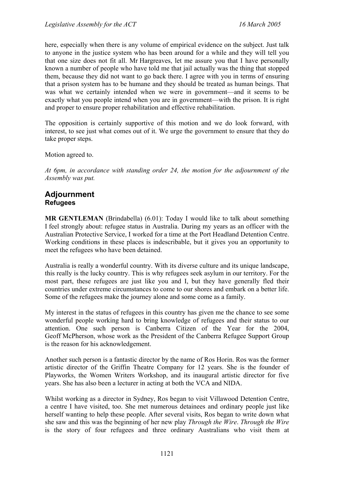here, especially when there is any volume of empirical evidence on the subject. Just talk to anyone in the justice system who has been around for a while and they will tell you that one size does not fit all. Mr Hargreaves, let me assure you that I have personally known a number of people who have told me that jail actually was the thing that stopped them, because they did not want to go back there. I agree with you in terms of ensuring that a prison system has to be humane and they should be treated as human beings. That was what we certainly intended when we were in government—and it seems to be exactly what you people intend when you are in government—with the prison. It is right and proper to ensure proper rehabilitation and effective rehabilitation.

The opposition is certainly supportive of this motion and we do look forward, with interest, to see just what comes out of it. We urge the government to ensure that they do take proper steps.

Motion agreed to.

*At 6pm, in accordance with standing order 24, the motion for the adjournment of the Assembly was put.* 

## **Adjournment Refugees**

**MR GENTLEMAN** (Brindabella) (6.01): Today I would like to talk about something I feel strongly about: refugee status in Australia. During my years as an officer with the Australian Protective Service, I worked for a time at the Port Headland Detention Centre. Working conditions in these places is indescribable, but it gives you an opportunity to meet the refugees who have been detained.

Australia is really a wonderful country. With its diverse culture and its unique landscape, this really is the lucky country. This is why refugees seek asylum in our territory. For the most part, these refugees are just like you and I, but they have generally fled their countries under extreme circumstances to come to our shores and embark on a better life. Some of the refugees make the journey alone and some come as a family.

My interest in the status of refugees in this country has given me the chance to see some wonderful people working hard to bring knowledge of refugees and their status to our attention. One such person is Canberra Citizen of the Year for the 2004, Geoff McPherson, whose work as the President of the Canberra Refugee Support Group is the reason for his acknowledgement.

Another such person is a fantastic director by the name of Ros Horin. Ros was the former artistic director of the Griffin Theatre Company for 12 years. She is the founder of Playworks, the Women Writers Workshop, and its inaugural artistic director for five years. She has also been a lecturer in acting at both the VCA and NIDA.

Whilst working as a director in Sydney, Ros began to visit Villawood Detention Centre, a centre I have visited, too. She met numerous detainees and ordinary people just like herself wanting to help these people. After several visits, Ros began to write down what she saw and this was the beginning of her new play *Through the Wire*. *Through the Wire* is the story of four refugees and three ordinary Australians who visit them at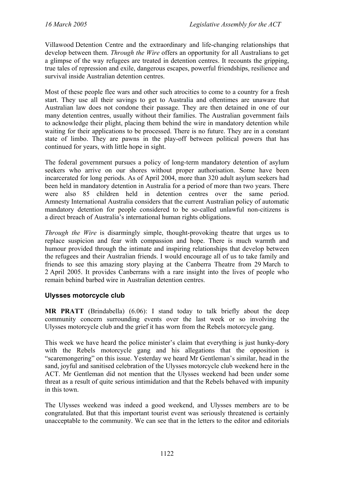Villawood Detention Centre and the extraordinary and life-changing relationships that develop between them. *Through the Wire* offers an opportunity for all Australians to get a glimpse of the way refugees are treated in detention centres. It recounts the gripping, true tales of repression and exile, dangerous escapes, powerful friendships, resilience and survival inside Australian detention centres.

Most of these people flee wars and other such atrocities to come to a country for a fresh start. They use all their savings to get to Australia and oftentimes are unaware that Australian law does not condone their passage. They are then detained in one of our many detention centres, usually without their families. The Australian government fails to acknowledge their plight, placing them behind the wire in mandatory detention while waiting for their applications to be processed. There is no future. They are in a constant state of limbo. They are pawns in the play-off between political powers that has continued for years, with little hope in sight.

The federal government pursues a policy of long-term mandatory detention of asylum seekers who arrive on our shores without proper authorisation. Some have been incarcerated for long periods. As of April 2004, more than 320 adult asylum seekers had been held in mandatory detention in Australia for a period of more than two years. There were also 85 children held in detention centres over the same period. Amnesty International Australia considers that the current Australian policy of automatic mandatory detention for people considered to be so-called unlawful non-citizens is a direct breach of Australia's international human rights obligations.

*Through the Wire* is disarmingly simple, thought-provoking theatre that urges us to replace suspicion and fear with compassion and hope. There is much warmth and humour provided through the intimate and inspiring relationships that develop between the refugees and their Australian friends. I would encourage all of us to take family and friends to see this amazing story playing at the Canberra Theatre from 29 March to 2 April 2005. It provides Canberrans with a rare insight into the lives of people who remain behind barbed wire in Australian detention centres.

## **Ulysses motorcycle club**

**MR PRATT** (Brindabella) (6.06): I stand today to talk briefly about the deep community concern surrounding events over the last week or so involving the Ulysses motorcycle club and the grief it has worn from the Rebels motorcycle gang.

This week we have heard the police minister's claim that everything is just hunky-dory with the Rebels motorcycle gang and his allegations that the opposition is "scaremongering" on this issue. Yesterday we heard Mr Gentleman's similar, head in the sand, joyful and sanitised celebration of the Ulysses motorcycle club weekend here in the ACT. Mr Gentleman did not mention that the Ulysses weekend had been under some threat as a result of quite serious intimidation and that the Rebels behaved with impunity in this town.

The Ulysses weekend was indeed a good weekend, and Ulysses members are to be congratulated. But that this important tourist event was seriously threatened is certainly unacceptable to the community. We can see that in the letters to the editor and editorials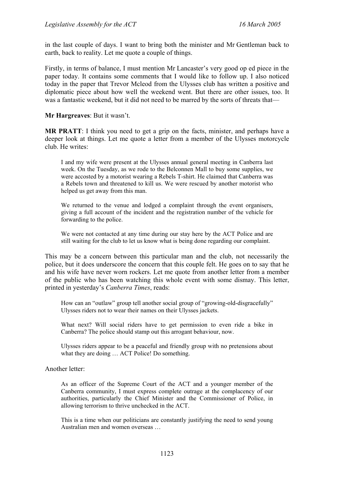in the last couple of days. I want to bring both the minister and Mr Gentleman back to earth, back to reality. Let me quote a couple of things.

Firstly, in terms of balance, I must mention Mr Lancaster's very good op ed piece in the paper today. It contains some comments that I would like to follow up. I also noticed today in the paper that Trevor Mcleod from the Ulysses club has written a positive and diplomatic piece about how well the weekend went. But there are other issues, too. It was a fantastic weekend, but it did not need to be marred by the sorts of threats that—

**Mr Hargreaves**: But it wasn't.

**MR PRATT**: I think you need to get a grip on the facts, minister, and perhaps have a deeper look at things. Let me quote a letter from a member of the Ulysses motorcycle club. He writes:

I and my wife were present at the Ulysses annual general meeting in Canberra last week. On the Tuesday, as we rode to the Belconnen Mall to buy some supplies, we were accosted by a motorist wearing a Rebels T-shirt. He claimed that Canberra was a Rebels town and threatened to kill us. We were rescued by another motorist who helped us get away from this man.

We returned to the venue and lodged a complaint through the event organisers, giving a full account of the incident and the registration number of the vehicle for forwarding to the police.

We were not contacted at any time during our stay here by the ACT Police and are still waiting for the club to let us know what is being done regarding our complaint.

This may be a concern between this particular man and the club, not necessarily the police, but it does underscore the concern that this couple felt. He goes on to say that he and his wife have never worn rockers. Let me quote from another letter from a member of the public who has been watching this whole event with some dismay. This letter, printed in yesterday's *Canberra Times*, reads:

How can an "outlaw" group tell another social group of "growing-old-disgracefully" Ulysses riders not to wear their names on their Ulysses jackets.

What next? Will social riders have to get permission to even ride a bike in Canberra? The police should stamp out this arrogant behaviour, now.

Ulysses riders appear to be a peaceful and friendly group with no pretensions about what they are doing ... ACT Police! Do something.

Another letter:

As an officer of the Supreme Court of the ACT and a younger member of the Canberra community, I must express complete outrage at the complacency of our authorities, particularly the Chief Minister and the Commissioner of Police, in allowing terrorism to thrive unchecked in the ACT.

This is a time when our politicians are constantly justifying the need to send young Australian men and women overseas …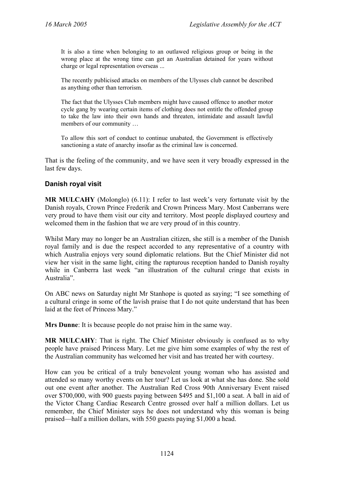It is also a time when belonging to an outlawed religious group or being in the wrong place at the wrong time can get an Australian detained for years without charge or legal representation overseas ...

The recently publicised attacks on members of the Ulysses club cannot be described as anything other than terrorism.

The fact that the Ulysses Club members might have caused offence to another motor cycle gang by wearing certain items of clothing does not entitle the offended group to take the law into their own hands and threaten, intimidate and assault lawful members of our community …

To allow this sort of conduct to continue unabated, the Government is effectively sanctioning a state of anarchy insofar as the criminal law is concerned.

That is the feeling of the community, and we have seen it very broadly expressed in the last few days.

### **Danish royal visit**

**MR MULCAHY** (Molonglo) (6.11): I refer to last week's very fortunate visit by the Danish royals, Crown Prince Frederik and Crown Princess Mary. Most Canberrans were very proud to have them visit our city and territory. Most people displayed courtesy and welcomed them in the fashion that we are very proud of in this country.

Whilst Mary may no longer be an Australian citizen, she still is a member of the Danish royal family and is due the respect accorded to any representative of a country with which Australia enjoys very sound diplomatic relations. But the Chief Minister did not view her visit in the same light, citing the rapturous reception handed to Danish royalty while in Canberra last week "an illustration of the cultural cringe that exists in Australia".

On ABC news on Saturday night Mr Stanhope is quoted as saying; "I see something of a cultural cringe in some of the lavish praise that I do not quite understand that has been laid at the feet of Princess Mary."

**Mrs Dunne**: It is because people do not praise him in the same way.

**MR MULCAHY**: That is right. The Chief Minister obviously is confused as to why people have praised Princess Mary. Let me give him some examples of why the rest of the Australian community has welcomed her visit and has treated her with courtesy.

How can you be critical of a truly benevolent young woman who has assisted and attended so many worthy events on her tour? Let us look at what she has done. She sold out one event after another. The Australian Red Cross 90th Anniversary Event raised over \$700,000, with 900 guests paying between \$495 and \$1,100 a seat. A ball in aid of the Victor Chang Cardiac Research Centre grossed over half a million dollars. Let us remember, the Chief Minister says he does not understand why this woman is being praised—half a million dollars, with 550 guests paying \$1,000 a head.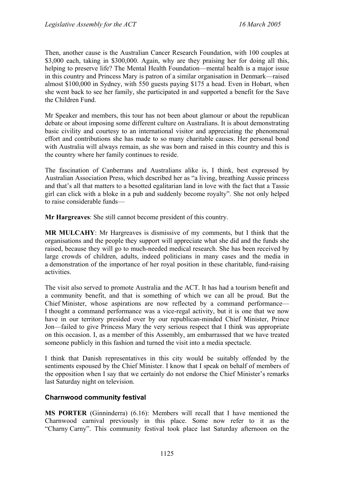Then, another cause is the Australian Cancer Research Foundation, with 100 couples at \$3,000 each, taking in \$300,000. Again, why are they praising her for doing all this, helping to preserve life? The Mental Health Foundation—mental health is a major issue in this country and Princess Mary is patron of a similar organisation in Denmark—raised almost \$100,000 in Sydney, with 550 guests paying \$175 a head. Even in Hobart, when she went back to see her family, she participated in and supported a benefit for the Save the Children Fund.

Mr Speaker and members, this tour has not been about glamour or about the republican debate or about imposing some different culture on Australians. It is about demonstrating basic civility and courtesy to an international visitor and appreciating the phenomenal effort and contributions she has made to so many charitable causes. Her personal bond with Australia will always remain, as she was born and raised in this country and this is the country where her family continues to reside.

The fascination of Canberrans and Australians alike is, I think, best expressed by Australian Association Press, which described her as "a living, breathing Aussie princess and that's all that matters to a besotted egalitarian land in love with the fact that a Tassie girl can click with a bloke in a pub and suddenly become royalty". She not only helped to raise considerable funds—

**Mr Hargreaves**: She still cannot become president of this country.

**MR MULCAHY**: Mr Hargreaves is dismissive of my comments, but I think that the organisations and the people they support will appreciate what she did and the funds she raised, because they will go to much-needed medical research. She has been received by large crowds of children, adults, indeed politicians in many cases and the media in a demonstration of the importance of her royal position in these charitable, fund-raising activities.

The visit also served to promote Australia and the ACT. It has had a tourism benefit and a community benefit, and that is something of which we can all be proud. But the Chief Minister, whose aspirations are now reflected by a command performance— I thought a command performance was a vice-regal activity, but it is one that we now have in our territory presided over by our republican-minded Chief Minister, Prince Jon—failed to give Princess Mary the very serious respect that I think was appropriate on this occasion. I, as a member of this Assembly, am embarrassed that we have treated someone publicly in this fashion and turned the visit into a media spectacle.

I think that Danish representatives in this city would be suitably offended by the sentiments espoused by the Chief Minister. I know that I speak on behalf of members of the opposition when I say that we certainly do not endorse the Chief Minister's remarks last Saturday night on television.

#### **Charnwood community festival**

**MS PORTER** (Ginninderra) (6.16): Members will recall that I have mentioned the Charnwood carnival previously in this place. Some now refer to it as the "Charny Carny". This community festival took place last Saturday afternoon on the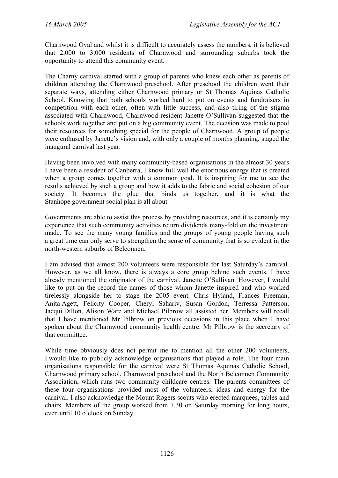Charnwood Oval and whilst it is difficult to accurately assess the numbers, it is believed that 2,000 to 3,000 residents of Charnwood and surrounding suburbs took the opportunity to attend this community event.

The Charny carnival started with a group of parents who knew each other as parents of children attending the Charnwood preschool. After preschool the children went their separate ways, attending either Charnwood primary or St Thomas Aquinas Catholic School. Knowing that both schools worked hard to put on events and fundraisers in competition with each other, often with little success, and also tiring of the stigma associated with Charnwood, Charnwood resident Janette O'Sullivan suggested that the schools work together and put on a big community event. The decision was made to pool their resources for something special for the people of Charnwood. A group of people were enthused by Janette's vision and, with only a couple of months planning, staged the inaugural carnival last year.

Having been involved with many community-based organisations in the almost 30 years I have been a resident of Canberra, I know full well the enormous energy that is created when a group comes together with a common goal. It is inspiring for me to see the results achieved by such a group and how it adds to the fabric and social cohesion of our society. It becomes the glue that binds us together, and it is what the Stanhope government social plan is all about.

Governments are able to assist this process by providing resources, and it is certainly my experience that such community activities return dividends many-fold on the investment made. To see the many young families and the groups of young people having such a great time can only serve to strengthen the sense of community that is so evident in the north-western suburbs of Belconnen.

I am advised that almost 200 volunteers were responsible for last Saturday's carnival. However, as we all know, there is always a core group behind such events. I have already mentioned the originator of the carnival, Janette O'Sullivan. However, I would like to put on the record the names of those whom Janette inspired and who worked tirelessly alongside her to stage the 2005 event. Chris Hyland, Frances Freeman, Anita Agett, Felicity Cooper, Cheryl Sahariv, Susan Gordon, Terressa Patterson, Jacqui Dillon, Alison Ware and Michael Pilbrow all assisted her. Members will recall that I have mentioned Mr Pilbrow on previous occasions in this place when I have spoken about the Charnwood community health centre. Mr Pilbrow is the secretary of that committee.

While time obviously does not permit me to mention all the other 200 volunteers, I would like to publicly acknowledge organisations that played a role. The four main organisations responsible for the carnival were St Thomas Aquinas Catholic School, Charnwood primary school, Charnwood preschool and the North Belconnen Community Association, which runs two community childcare centres. The parents committees of these four organisations provided most of the volunteers, ideas and energy for the carnival. I also acknowledge the Mount Rogers scouts who erected marquees, tables and chairs. Members of the group worked from 7.30 on Saturday morning for long hours, even until 10 o'clock on Sunday.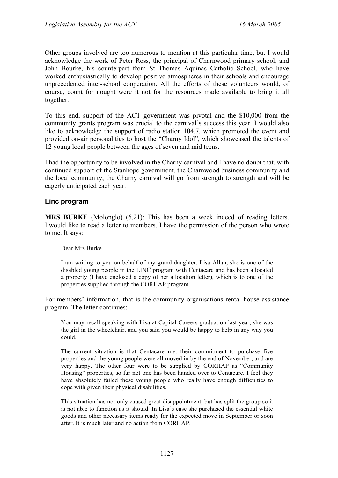Other groups involved are too numerous to mention at this particular time, but I would acknowledge the work of Peter Ross, the principal of Charnwood primary school, and John Bourke, his counterpart from St Thomas Aquinas Catholic School, who have worked enthusiastically to develop positive atmospheres in their schools and encourage unprecedented inter-school cooperation. All the efforts of these volunteers would, of course, count for nought were it not for the resources made available to bring it all together.

To this end, support of the ACT government was pivotal and the \$10,000 from the community grants program was crucial to the carnival's success this year. I would also like to acknowledge the support of radio station 104.7, which promoted the event and provided on-air personalities to host the "Charny Idol", which showcased the talents of 12 young local people between the ages of seven and mid teens.

I had the opportunity to be involved in the Charny carnival and I have no doubt that, with continued support of the Stanhope government, the Charnwood business community and the local community, the Charny carnival will go from strength to strength and will be eagerly anticipated each year.

#### **Linc program**

**MRS BURKE** (Molonglo) (6.21): This has been a week indeed of reading letters. I would like to read a letter to members. I have the permission of the person who wrote to me. It says:

#### Dear Mrs Burke

I am writing to you on behalf of my grand daughter, Lisa Allan, she is one of the disabled young people in the LINC program with Centacare and has been allocated a property (I have enclosed a copy of her allocation letter), which is to one of the properties supplied through the CORHAP program.

For members' information, that is the community organisations rental house assistance program. The letter continues:

You may recall speaking with Lisa at Capital Careers graduation last year, she was the girl in the wheelchair, and you said you would be happy to help in any way you could.

The current situation is that Centacare met their commitment to purchase five properties and the young people were all moved in by the end of November, and are very happy. The other four were to be supplied by CORHAP as "Community Housing" properties, so far not one has been handed over to Centacare. I feel they have absolutely failed these young people who really have enough difficulties to cope with given their physical disabilities.

This situation has not only caused great disappointment, but has split the group so it is not able to function as it should. In Lisa's case she purchased the essential white goods and other necessary items ready for the expected move in September or soon after. It is much later and no action from CORHAP.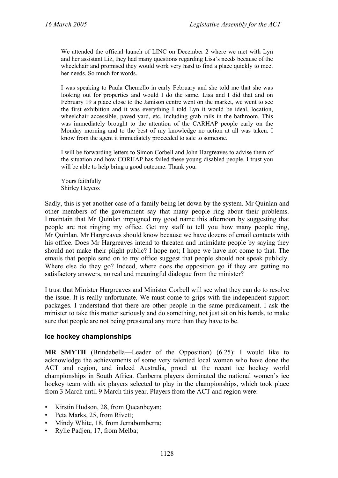We attended the official launch of LINC on December 2 where we met with Lyn and her assistant Liz, they had many questions regarding Lisa's needs because of the wheelchair and promised they would work very hard to find a place quickly to meet her needs. So much for words.

I was speaking to Paula Chemello in early February and she told me that she was looking out for properties and would I do the same. Lisa and I did that and on February 19 a place close to the Jamison centre went on the market, we went to see the first exhibition and it was everything I told Lyn it would be ideal, location, wheelchair accessible, paved yard, etc. including grab rails in the bathroom. This was immediately brought to the attention of the CARHAP people early on the Monday morning and to the best of my knowledge no action at all was taken. I know from the agent it immediately proceeded to sale to someone.

I will be forwarding letters to Simon Corbell and John Hargreaves to advise them of the situation and how CORHAP has failed these young disabled people. I trust you will be able to help bring a good outcome. Thank you.

Yours faithfully Shirley Heycox

Sadly, this is yet another case of a family being let down by the system. Mr Quinlan and other members of the government say that many people ring about their problems. I maintain that Mr Quinlan impugned my good name this afternoon by suggesting that people are not ringing my office. Get my staff to tell you how many people ring, Mr Quinlan. Mr Hargreaves should know because we have dozens of email contacts with his office. Does Mr Hargreaves intend to threaten and intimidate people by saying they should not make their plight public? I hope not; I hope we have not come to that. The emails that people send on to my office suggest that people should not speak publicly. Where else do they go? Indeed, where does the opposition go if they are getting no satisfactory answers, no real and meaningful dialogue from the minister?

I trust that Minister Hargreaves and Minister Corbell will see what they can do to resolve the issue. It is really unfortunate. We must come to grips with the independent support packages. I understand that there are other people in the same predicament. I ask the minister to take this matter seriously and do something, not just sit on his hands, to make sure that people are not being pressured any more than they have to be.

#### **Ice hockey championships**

**MR SMYTH** (Brindabella—Leader of the Opposition) (6.25): I would like to acknowledge the achievements of some very talented local women who have done the ACT and region, and indeed Australia, proud at the recent ice hockey world championships in South Africa. Canberra players dominated the national women's ice hockey team with six players selected to play in the championships, which took place from 3 March until 9 March this year. Players from the ACT and region were:

- Kirstin Hudson, 28, from Queanbeyan;
- Peta Marks, 25, from Rivett;
- Mindy White, 18, from Jerrabomberra;
- Rylie Padjen, 17, from Melba;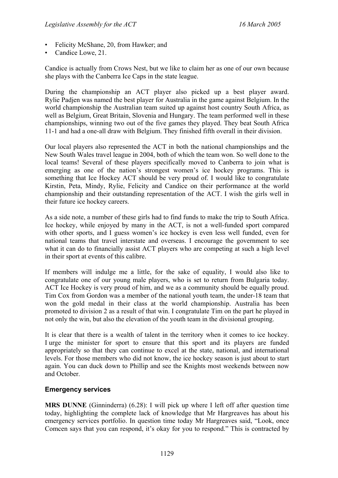- Felicity McShane, 20, from Hawker; and
- Candice Lowe, 21.

Candice is actually from Crows Nest, but we like to claim her as one of our own because she plays with the Canberra Ice Caps in the state league.

During the championship an ACT player also picked up a best player award. Rylie Padjen was named the best player for Australia in the game against Belgium. In the world championship the Australian team suited up against host country South Africa, as well as Belgium, Great Britain, Slovenia and Hungary. The team performed well in these championships, winning two out of the five games they played. They beat South Africa 11-1 and had a one-all draw with Belgium. They finished fifth overall in their division.

Our local players also represented the ACT in both the national championships and the New South Wales travel league in 2004, both of which the team won. So well done to the local teams! Several of these players specifically moved to Canberra to join what is emerging as one of the nation's strongest women's ice hockey programs. This is something that Ice Hockey ACT should be very proud of. I would like to congratulate Kirstin, Peta, Mindy, Rylie, Felicity and Candice on their performance at the world championship and their outstanding representation of the ACT. I wish the girls well in their future ice hockey careers.

As a side note, a number of these girls had to find funds to make the trip to South Africa. Ice hockey, while enjoyed by many in the ACT, is not a well-funded sport compared with other sports, and I guess women's ice hockey is even less well funded, even for national teams that travel interstate and overseas. I encourage the government to see what it can do to financially assist ACT players who are competing at such a high level in their sport at events of this calibre.

If members will indulge me a little, for the sake of equality, I would also like to congratulate one of our young male players, who is set to return from Bulgaria today. ACT Ice Hockey is very proud of him, and we as a community should be equally proud. Tim Cox from Gordon was a member of the national youth team, the under-18 team that won the gold medal in their class at the world championship. Australia has been promoted to division 2 as a result of that win. I congratulate Tim on the part he played in not only the win, but also the elevation of the youth team in the divisional grouping.

It is clear that there is a wealth of talent in the territory when it comes to ice hockey. I urge the minister for sport to ensure that this sport and its players are funded appropriately so that they can continue to excel at the state, national, and international levels. For those members who did not know, the ice hockey season is just about to start again. You can duck down to Phillip and see the Knights most weekends between now and October.

## **Emergency services**

**MRS DUNNE** (Ginninderra) (6.28): I will pick up where I left off after question time today, highlighting the complete lack of knowledge that Mr Hargreaves has about his emergency services portfolio. In question time today Mr Hargreaves said, "Look, once Comcen says that you can respond, it's okay for you to respond." This is contracted by